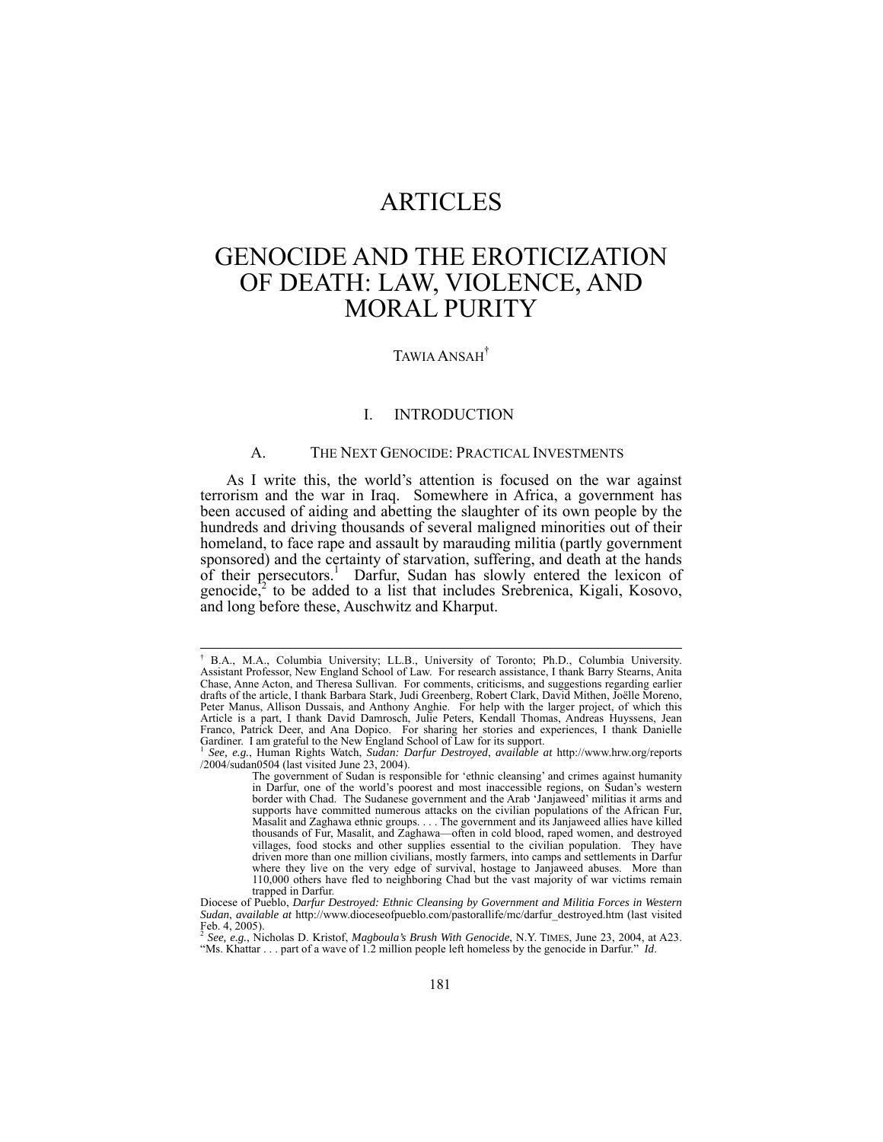## ARTICLES

# GENOCIDE AND THE EROTICIZATION OF DEATH: LAW, VIOLENCE, AND MORAL PURITY

## TAWIA ANSAH†

### I. INTRODUCTION

#### A. THE NEXT GENOCIDE: PRACTICAL INVESTMENTS

As I write this, the world's attention is focused on the war against terrorism and the war in Iraq. Somewhere in Africa, a government has been accused of aiding and abetting the slaughter of its own people by the hundreds and driving thousands of several maligned minorities out of their homeland, to face rape and assault by marauding militia (partly government sponsored) and the certainty of starvation, suffering, and death at the hands of their persecutors.<sup>1</sup> Darfur, Sudan has slowly entered the lexicon of genocide, $\lambda^2$  to be added to a list that includes Srebrenica, Kigali, Kosovo, and long before these, Auschwitz and Kharput.

 <sup>†</sup> B.A., M.A., Columbia University; LL.B., University of Toronto; Ph.D., Columbia University. Assistant Professor, New England School of Law. For research assistance, I thank Barry Stearns, Anita Chase, Anne Acton, and Theresa Sullivan. For comments, criticisms, and suggestions regarding earlier drafts of the article, I thank Barbara Stark, Judi Greenberg, Robert Clark, David Mithen, Joëlle Moreno, Peter Manus, Allison Dussais, and Anthony Anghie. For help with the larger project, of which this Article is a part, I thank David Damrosch, Julie Peters, Kendall Thomas, Andreas Huyssens, Jean Franco, Patrick Deer, and Ana Dopico. For sharing her stories and experiences, I thank Danielle Gardiner. I am grateful to the New England School of Law for its support.

<sup>1</sup> *See, e.g.*, Human Rights Watch, *Sudan: Darfur Destroyed*, *available at* http://www.hrw.org/reports /2004/sudan0504 (last visited June 23, 2004).

The government of Sudan is responsible for 'ethnic cleansing' and crimes against humanity in Darfur, one of the world's poorest and most inaccessible regions, on Sudan's western border with Chad. The Sudanese government and the Arab 'Janjaweed' militias it arms and supports have committed numerous attacks on the civilian populations of the African Fur, Masalit and Zaghawa ethnic groups. . . . The government and its Janjaweed allies have killed thousands of Fur, Masalit, and Zaghawa—often in cold blood, raped women, and destroyed villages, food stocks and other supplies essential to the civilian population. They have driven more than one million civilians, mostly farmers, into camps and settlements in Darfur where they live on the very edge of survival, hostage to Janjaweed abuses. More than 110,000 others have fled to neighboring Chad but the vast majority of war victims remain

trapped in Darfur. Diocese of Pueblo, *Darfur Destroyed: Ethnic Cleansing by Government and Militia Forces in Western Sudan*, *available at* http://www.dioceseofpueblo.com/pastorallife/mc/darfur\_destroyed.htm (last visited  $[Feb. 4, 2005]$ .

<sup>2</sup> *See, e.g.*, Nicholas D. Kristof, *Magboula's Brush With Genocide*, N.Y. TIMES, June 23, 2004, at A23. "Ms. Khattar . . . part of a wave of 1.2 million people left homeless by the genocide in Darfur." *Id*.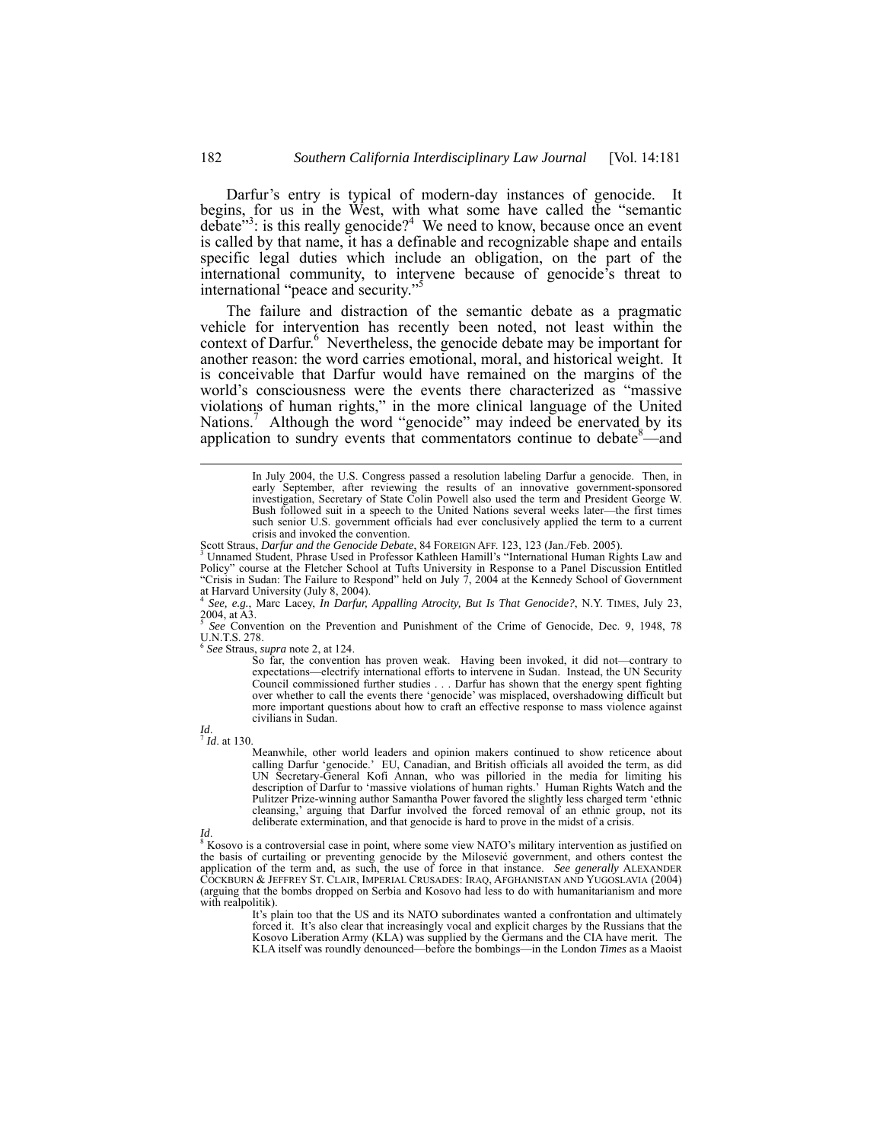Darfur's entry is typical of modern-day instances of genocide. It begins, for us in the West, with what some have called the "semantic  $\det^{\delta^{3}}$ : is this really genocide?<sup>4</sup> We need to know, because once an event is called by that name, it has a definable and recognizable shape and entails specific legal duties which include an obligation, on the part of the international community, to intervene because of genocide's threat to international "peace and security."

The failure and distraction of the semantic debate as a pragmatic vehicle for intervention has recently been noted, not least within the context of Darfur.<sup>6</sup> Nevertheless, the genocide debate may be important for another reason: the word carries emotional, moral, and historical weight. It is conceivable that Darfur would have remained on the margins of the world's consciousness were the events there characterized as "massive violations of human rights," in the more clinical language of the United Nations.<sup>7</sup> Although the word "genocide" may indeed be enervated by its application to sundry events that commentators continue to debate $\frac{8}{2}$  and

<sup>6</sup> *See* Straus, *supra* note 2, at 124.

So far, the convention has proven weak. Having been invoked, it did not—contrary to expectations—electrify international efforts to intervene in Sudan. Instead, the UN Security Council commissioned further studies . . . Darfur has shown that the energy spent fighting over whether to call the events there 'genocide' was misplaced, overshadowing difficult but more important questions about how to craft an effective response to mass violence against civilians in Sudan.

*Id.*<br><sup>7</sup> *Id.* at 130.

Meanwhile, other world leaders and opinion makers continued to show reticence about calling Darfur 'genocide.' EU, Canadian, and British officials all avoided the term, as did UN Secretary-General Kofi Annan, who was pilloried in the media for limiting his description of Darfur to 'massive violations of human rights.' Human Rights Watch and the Pulitzer Prize-winning author Samantha Power favored the slightly less charged term 'ethnic cleansing,' arguing that Darfur involved the forced removal of an ethnic group, not its deliberate extermination, and that genocide is hard to prove in the midst of a crisis.

*Id.* 8 Kosovo is a controversial case in point, where some view NATO's military intervention as justified on the basis of curtailing or preventing genocide by the Milosević government, and others contest the application of the term and, as such, the use of force in that instance. *See generally* ALEXANDER COCKBURN & JEFFREY ST. CLAIR, IMPERIAL CRUSADES: IRAQ, AFGHANISTAN AND YUGOSLAVIA (2004) (arguing that the bombs dropped on Serbia and Kosovo had less to do with humanitarianism and more with realpolitik).

It's plain too that the US and its NATO subordinates wanted a confrontation and ultimately forced it. It's also clear that increasingly vocal and explicit charges by the Russians that the Kosovo Liberation Army (KLA) was supplied by the Germans and the CIA have merit. The KLA itself was roundly denounced—before the bombings—in the London *Times* as a Maoist

In July 2004, the U.S. Congress passed a resolution labeling Darfur a genocide. Then, in early September, after reviewing the results of an innovative government-sponsored investigation, Secretary of State Colin Powell also used the term and President George W. Bush followed suit in a speech to the United Nations several weeks later—the first times such senior U.S. government officials had ever conclusively applied the term to a current crisis and invoked the convention.

Scott Straus, *Darfur and the Genocide Debate*, 84 FOREIGN AFF. 123, 123 (Jan./Feb. 2005).<br><sup>3</sup> Unnamed Student, Phrase Used in Professor Kathleen Hamill's "International Human Rights Law and Policy" course at the Fletcher School at Tufts University in Response to a Panel Discussion Entitled<br>"Crisis in Sudan: The Failure to Respond" held on July 7, 2004 at the Kennedy School of Government<br>at Harvard University

<sup>4</sup> *See, e.g.*, Marc Lacey, *In Darfur, Appalling Atrocity, But Is That Genocide?*, N.Y. TIMES, July 23, 2004, at A3.

<sup>5</sup> *See* Convention on the Prevention and Punishment of the Crime of Genocide, Dec. 9, 1948, 78 U.N.T.S. 278.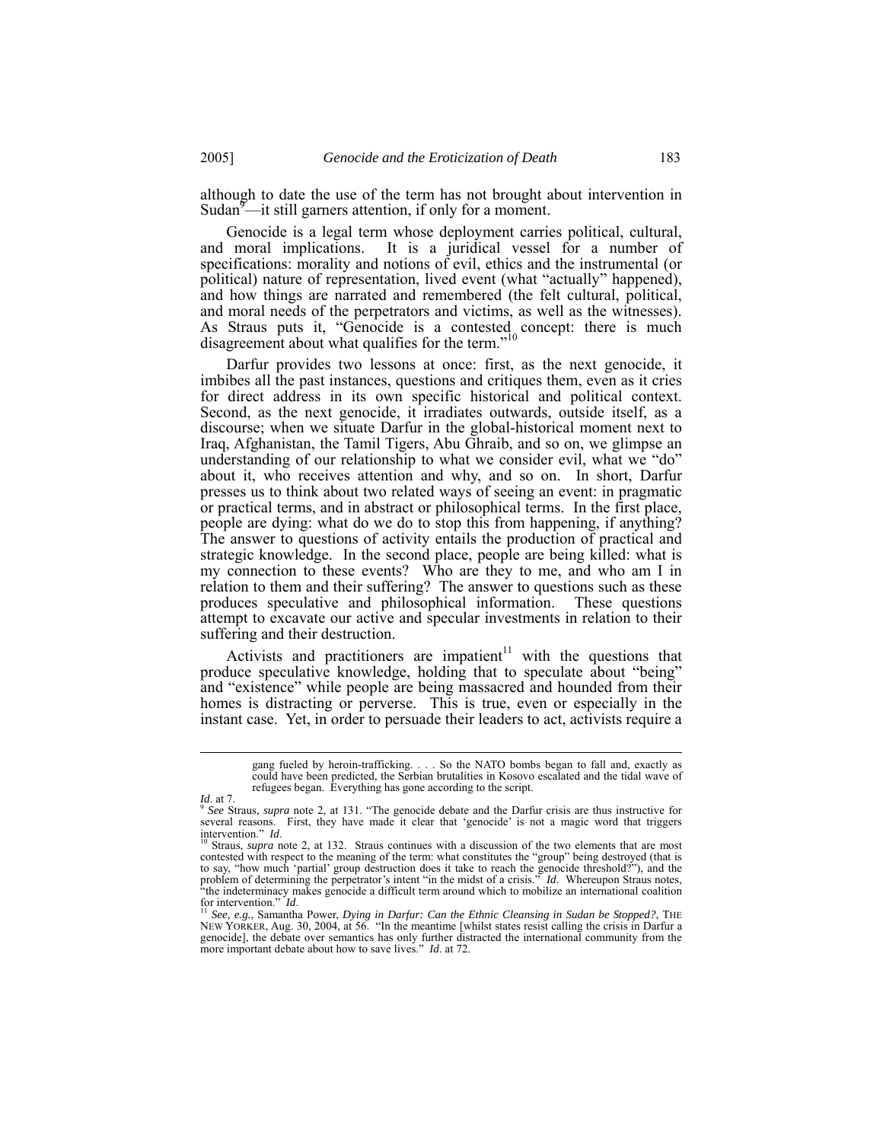although to date the use of the term has not brought about intervention in Sudan<sup>9</sup>—it still garners attention, if only for a moment.

Genocide is a legal term whose deployment carries political, cultural, and moral implications. It is a juridical vessel for a number of specifications: morality and notions of evil, ethics and the instrumental (or political) nature of representation, lived event (what "actually" happened), and how things are narrated and remembered (the felt cultural, political, and moral needs of the perpetrators and victims, as well as the witnesses). As Straus puts it, "Genocide is a contested concept: there is much disagreement about what qualifies for the term."<sup>10</sup>

Darfur provides two lessons at once: first, as the next genocide, it imbibes all the past instances, questions and critiques them, even as it cries for direct address in its own specific historical and political context. Second, as the next genocide, it irradiates outwards, outside itself, as a discourse; when we situate Darfur in the global-historical moment next to Iraq, Afghanistan, the Tamil Tigers, Abu Ghraib, and so on, we glimpse an understanding of our relationship to what we consider evil, what we "do" about it, who receives attention and why, and so on. In short, Darfur presses us to think about two related ways of seeing an event: in pragmatic or practical terms, and in abstract or philosophical terms. In the first place, people are dying: what do we do to stop this from happening, if anything? The answer to questions of activity entails the production of practical and strategic knowledge. In the second place, people are being killed: what is my connection to these events? Who are they to me, and who am I in relation to them and their suffering? The answer to questions such as these produces speculative and philosophical information. These questions attempt to excavate our active and specular investments in relation to their suffering and their destruction.

Activists and practitioners are impatient<sup>11</sup> with the questions that produce speculative knowledge, holding that to speculate about "being" and "existence" while people are being massacred and hounded from their homes is distracting or perverse. This is true, even or especially in the instant case. Yet, in order to persuade their leaders to act, activists require a

gang fueled by heroin-trafficking. . . . So the NATO bombs began to fall and, exactly as could have been predicted, the Serbian brutalities in Kosovo escalated and the tidal wave of refugees began. Everything has gone according to the script.

*Id.* at 7. **Supplementary** *See Straus, <i>supra* note 2, at 131. "The genocide debate and the Darfur crisis are thus instructive for *See Straus, supra* note 2, at 131. "The genocide debate and the Darfur crisis are thus i several reasons. First, they have made it clear that 'genocide' is not a magic word that triggers intervention." Id.<br><sup>10</sup> Straus, *supra* note 2, at 132. Straus continues with a discussion of the two elements that are most

contested with respect to the meaning of the term: what constitutes the "group" being destroyed (that is to say, "how much 'partial' group destruction does it take to reach the genocide threshold?"), and the problem of determining the perpetrator's intent "in the midst of a crisis." *Id*.Whereupon Straus notes, "the indeterminacy makes genocide a difficult term around which to mobilize an international coalition for intervention." *Id.*<br><sup>11</sup> See, e.g., Samantha Power, *Dying in Darfur: Can the Ethnic Cleansing in Sudan be Stoppe* 

NEW YORKER, Aug. 30, 2004, at 56. "In the meantime [whilst states resist calling the crisis in Darfur a genocide], the debate over semantics has only further distracted the international community from the more important debate about how to save lives." *Id*. at 72.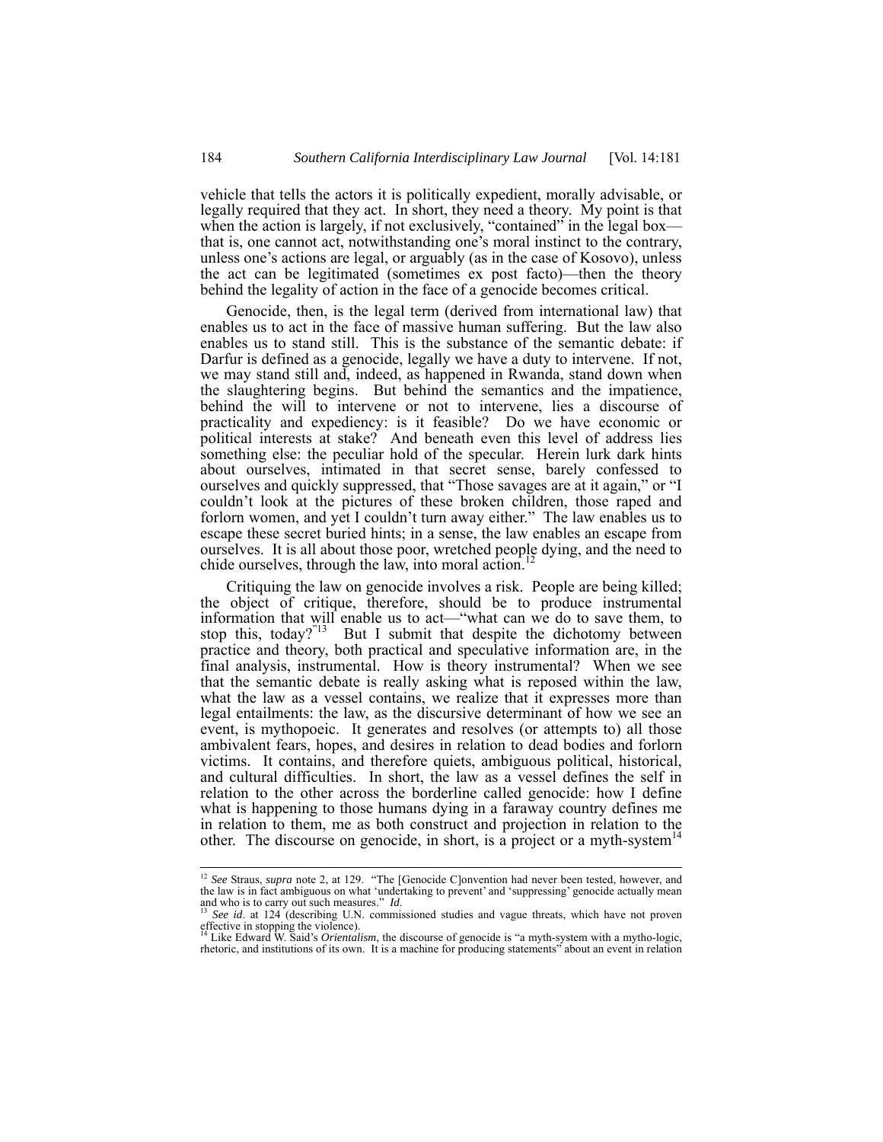vehicle that tells the actors it is politically expedient, morally advisable, or legally required that they act. In short, they need a theory. My point is that when the action is largely, if not exclusively, "contained" in the legal box that is, one cannot act, notwithstanding one's moral instinct to the contrary, unless one's actions are legal, or arguably (as in the case of Kosovo), unless the act can be legitimated (sometimes ex post facto)—then the theory behind the legality of action in the face of a genocide becomes critical.

Genocide, then, is the legal term (derived from international law) that enables us to act in the face of massive human suffering. But the law also enables us to stand still. This is the substance of the semantic debate: if Darfur is defined as a genocide, legally we have a duty to intervene. If not, we may stand still and, indeed, as happened in Rwanda, stand down when the slaughtering begins. But behind the semantics and the impatience, behind the will to intervene or not to intervene, lies a discourse of practicality and expediency: is it feasible? Do we have economic or political interests at stake? And beneath even this level of address lies something else: the peculiar hold of the specular. Herein lurk dark hints about ourselves, intimated in that secret sense, barely confessed to ourselves and quickly suppressed, that "Those savages are at it again," or "I couldn't look at the pictures of these broken children, those raped and forlorn women, and yet I couldn't turn away either." The law enables us to escape these secret buried hints; in a sense, the law enables an escape from ourselves. It is all about those poor, wretched people dying, and the need to chide ourselves, through the law, into moral action.

Critiquing the law on genocide involves a risk. People are being killed; the object of critique, therefore, should be to produce instrumental information that will enable us to act—"what can we do to save them, to stop this, today?" But I submit that despite the dichotomy between But I submit that despite the dichotomy between practice and theory, both practical and speculative information are, in the final analysis, instrumental. How is theory instrumental? When we see that the semantic debate is really asking what is reposed within the law, what the law as a vessel contains, we realize that it expresses more than legal entailments: the law, as the discursive determinant of how we see an event, is mythopoeic. It generates and resolves (or attempts to) all those ambivalent fears, hopes, and desires in relation to dead bodies and forlorn victims. It contains, and therefore quiets, ambiguous political, historical, and cultural difficulties. In short, the law as a vessel defines the self in relation to the other across the borderline called genocide: how I define what is happening to those humans dying in a faraway country defines me in relation to them, me as both construct and projection in relation to the other. The discourse on genocide, in short, is a project or a myth-system<sup>14</sup>

<sup>&</sup>lt;sup>12</sup> See Straus, *supra* note 2, at 129. "The [Genocide C]onvention had never been tested, however, and the law is in fact ambiguous on what 'undertaking to prevent' and 'suppressing' genocide actually mean and who is to carry out such measures."  $Id$ .

See id. at 124 (describing U.N. commissioned studies and vague threats, which have not proven effective in stopping the violence).<br><sup>14</sup> Like Edward W. Said's *Orientalism*, the discourse of genocide is "a myth-system with a mytho-logic,

rhetoric, and institutions of its own. It is a machine for producing statements" about an event in relation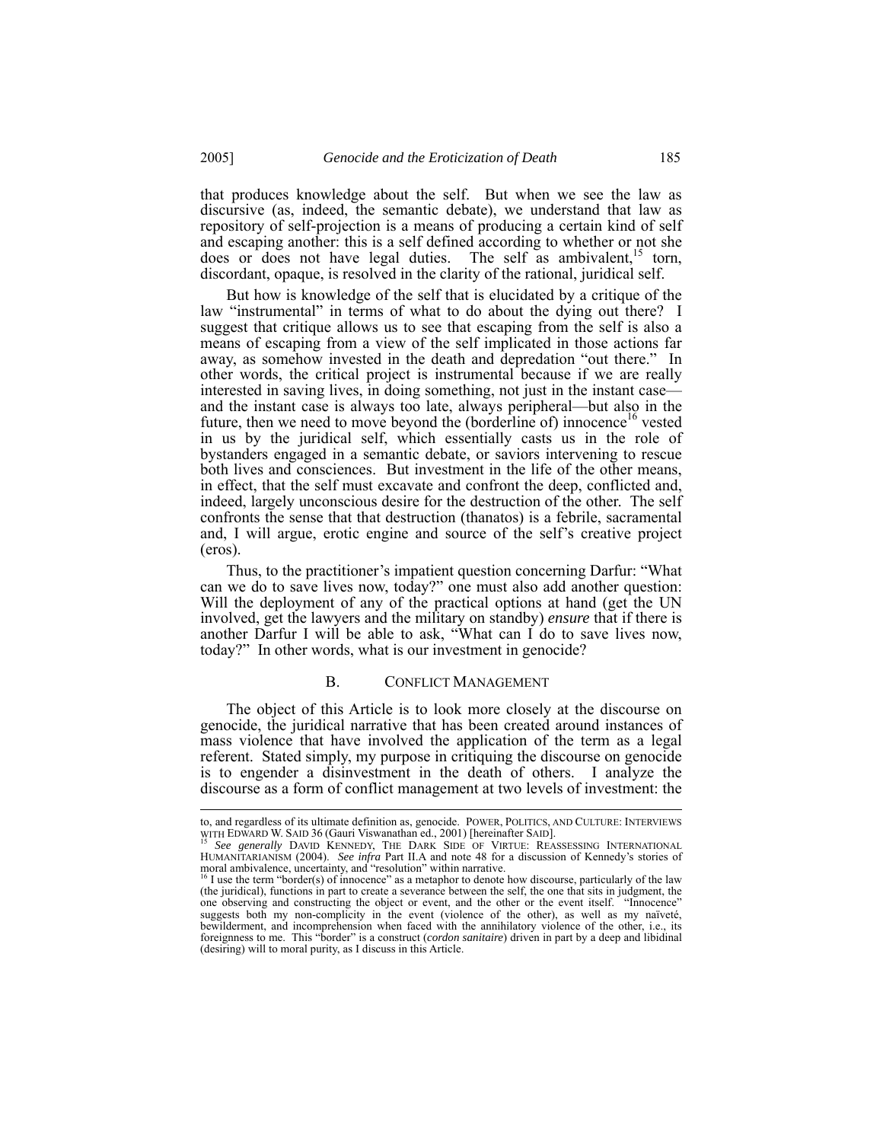that produces knowledge about the self. But when we see the law as discursive (as, indeed, the semantic debate), we understand that law as repository of self-projection is a means of producing a certain kind of self and escaping another: this is a self defined according to whether or not she does or does not have legal duties. The self as ambivalent,<sup>15</sup> torn, discordant, opaque, is resolved in the clarity of the rational, juridical self.

But how is knowledge of the self that is elucidated by a critique of the law "instrumental" in terms of what to do about the dying out there? I suggest that critique allows us to see that escaping from the self is also a means of escaping from a view of the self implicated in those actions far away, as somehow invested in the death and depredation "out there." In other words, the critical project is instrumental because if we are really interested in saving lives, in doing something, not just in the instant case and the instant case is always too late, always peripheral—but also in the future, then we need to move beyond the (borderline of) innocence<sup>16</sup> vested in us by the juridical self, which essentially casts us in the role of bystanders engaged in a semantic debate, or saviors intervening to rescue both lives and consciences. But investment in the life of the other means, in effect, that the self must excavate and confront the deep, conflicted and, indeed, largely unconscious desire for the destruction of the other. The self confronts the sense that that destruction (thanatos) is a febrile, sacramental and, I will argue, erotic engine and source of the self's creative project (eros).

Thus, to the practitioner's impatient question concerning Darfur: "What can we do to save lives now, today?" one must also add another question: Will the deployment of any of the practical options at hand (get the UN involved, get the lawyers and the military on standby) *ensure* that if there is another Darfur I will be able to ask, "What can I do to save lives now, today?" In other words, what is our investment in genocide?

#### B. CONFLICT MANAGEMENT

The object of this Article is to look more closely at the discourse on genocide, the juridical narrative that has been created around instances of mass violence that have involved the application of the term as a legal referent. Stated simply, my purpose in critiquing the discourse on genocide is to engender a disinvestment in the death of others. I analyze the discourse as a form of conflict management at two levels of investment: the

to, and regardless of its ultimate definition as, genocide. POWER, POLITICS, AND CULTURE: INTERVIEWS<br>WITH EDWARD W. SAID 36 (Gauri Viswanathan ed., 2001) [hereinafter SAID].

See generally DAVID KENNEDY, THE DARK SIDE OF VIRTUE: REASSESSING INTERNATIONAL HUMANITARIANISM (2004). *See infra* Part II.A and note 48 for a discussion of Kennedy's stories of moral ambivalence, uncertainty, and "resolution" within narrative.<br><sup>16</sup> I use the term "border(s) of innocence" as a metaphor to denote how discourse, particularly of the law<br><sup>16</sup> I use the term "border(s) of innocence" a

<sup>(</sup>the juridical), functions in part to create a severance between the self, the one that sits in judgment, the one observing and constructing the object or event, and the other or the event itself. "Innocence" suggests both my non-complicity in the event (violence of the other), as well as my naïveté, bewilderment, and incomprehension when faced with the annihilatory violence of the other, i.e., its foreignness to me. This "border" is a construct (*cordon sanitaire*) driven in part by a deep and libidinal (desiring) will to moral purity, as I discuss in this Article.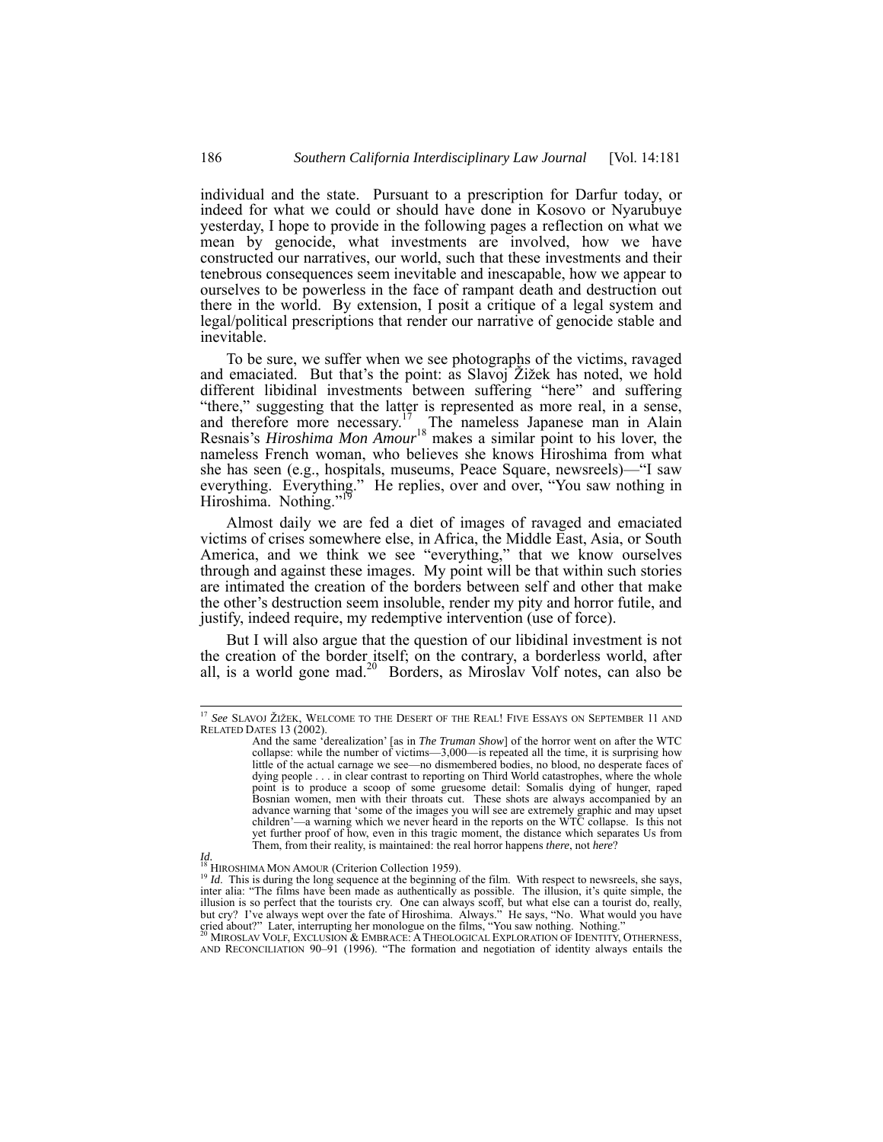individual and the state. Pursuant to a prescription for Darfur today, or indeed for what we could or should have done in Kosovo or Nyarubuye yesterday, I hope to provide in the following pages a reflection on what we mean by genocide, what investments are involved, how we have constructed our narratives, our world, such that these investments and their tenebrous consequences seem inevitable and inescapable, how we appear to ourselves to be powerless in the face of rampant death and destruction out there in the world. By extension, I posit a critique of a legal system and legal/political prescriptions that render our narrative of genocide stable and inevitable.

To be sure, we suffer when we see photographs of the victims, ravaged and emaciated. But that's the point: as Slavoj Žižek has noted, we hold different libidinal investments between suffering "here" and suffering "there," suggesting that the latter is represented as more real, in a sense, and therefore more necessary.<sup>17</sup> The nameless Japanese man in Alain Resnais's *Hiroshima Mon Amour*18 makes a similar point to his lover, the nameless French woman, who believes she knows Hiroshima from what she has seen (e.g., hospitals, museums, Peace Square, newsreels)—"I saw everything. Everything." He replies, over and over, "You saw nothing in Hiroshima. Nothing."<sup>19</sup>

Almost daily we are fed a diet of images of ravaged and emaciated victims of crises somewhere else, in Africa, the Middle East, Asia, or South America, and we think we see "everything," that we know ourselves through and against these images. My point will be that within such stories are intimated the creation of the borders between self and other that make the other's destruction seem insoluble, render my pity and horror futile, and justify, indeed require, my redemptive intervention (use of force).

But I will also argue that the question of our libidinal investment is not the creation of the border itself; on the contrary, a borderless world, after all, is a world gone mad.<sup>20</sup> Borders, as Miroslav Volf notes, can also be

 <sup>17</sup> *See* SLAVOJ ŽIŽEK, WELCOME TO THE DESERT OF THE REAL! FIVE ESSAYS ON SEPTEMBER 11 AND RELATED DATES 13 (2002).

And the same 'derealization' [as in *The Truman Show*] of the horror went on after the WTC collapse: while the number of victims—3,000—is repeated all the time, it is surprising how little of the actual carnage we see—no dismembered bodies, no blood, no desperate faces of dying people . . . in clear contrast to reporting on Third World catastrophes, where the whole point is to produce a scoop of some gruesome detail: Somalis dying of hunger, raped Bosnian women, men with their throats cut. These shots are always accompanied by an advance warning that 'some of the images you will see are extremely graphic and may upset children'—a warning which we never heard in the reports on the WTC collapse. Is this not yet further proof of how, even in this tragic moment, the distance which separates Us from Them, from their reality, is maintained: the real horror happens *there*, not *here*?

*Id.*<br><sup>18</sup> HIROSHIMA MON AMOUR (Criterion Collection 1959).

<sup>&</sup>lt;sup>18</sup> HIROSHIMA MON AMOUR (Criterion Collection 1959).<br><sup>19</sup> *Id.* This is during the long sequence at the beginning of the film. With respect to newsreels, she says, inter alia: "The films have been made as authentically a but cry? I've always wept over the fate of Hiroshima. Always." He says, "No. What would you have cried about?" Later, interrupting her monologue on the films, "You saw nothing. Nothing."<br><sup>20</sup> MIROSLAV VOLF, EXCLUSION & EMB

AND RECONCILIATION 90–91 (1996). "The formation and negotiation of identity always entails the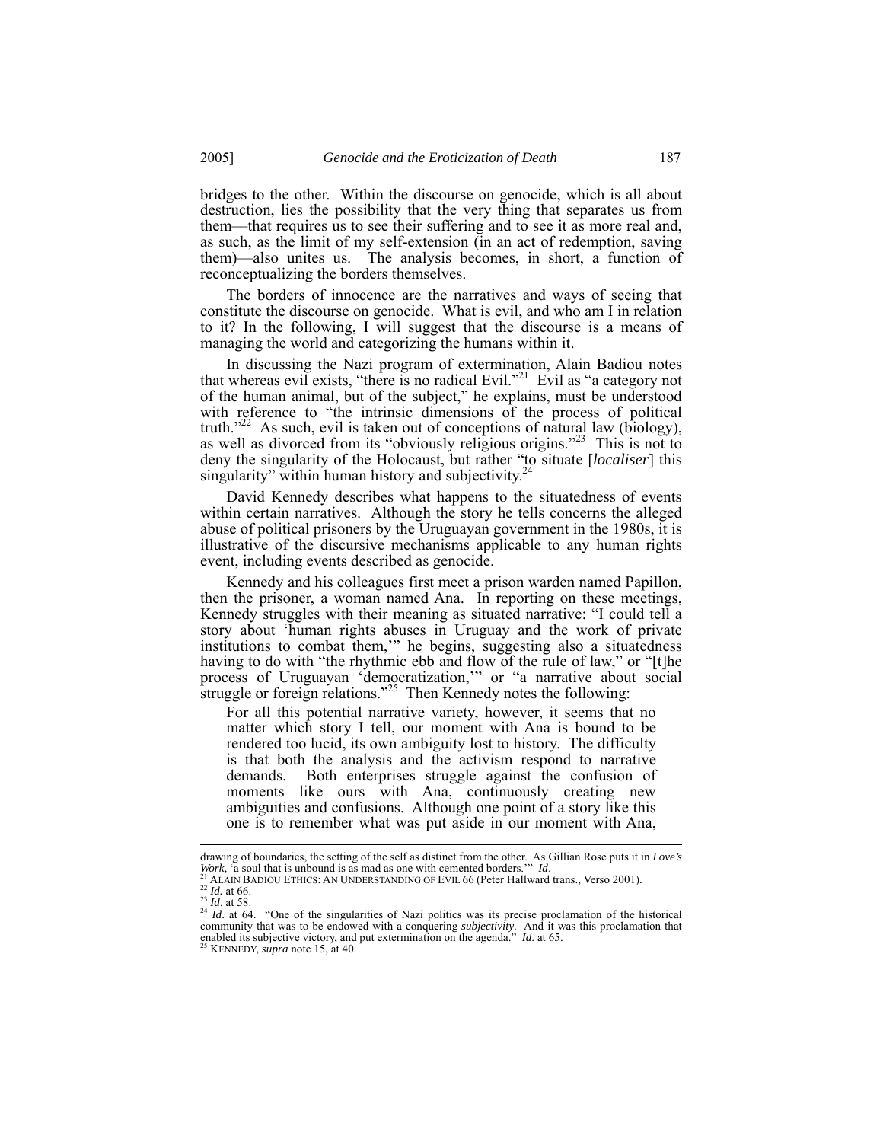bridges to the other. Within the discourse on genocide, which is all about destruction, lies the possibility that the very thing that separates us from them—that requires us to see their suffering and to see it as more real and, as such, as the limit of my self-extension (in an act of redemption, saving them)—also unites us. The analysis becomes, in short, a function of reconceptualizing the borders themselves.

The borders of innocence are the narratives and ways of seeing that constitute the discourse on genocide. What is evil, and who am I in relation to it? In the following, I will suggest that the discourse is a means of managing the world and categorizing the humans within it.

In discussing the Nazi program of extermination, Alain Badiou notes that whereas evil exists, "there is no radical Evil."21 Evil as "a category not of the human animal, but of the subject," he explains, must be understood with reference to "the intrinsic dimensions of the process of political truth."<sup>22</sup> As such, evil is taken out of conceptions of natural law (biology), as well as divorced from its "obviously religious origins."<sup>23</sup> This is not to deny the singularity of the Holocaust, but rather "to situate [*localiser*] this singularity" within human history and subjectivity.<sup>2</sup>

David Kennedy describes what happens to the situatedness of events within certain narratives. Although the story he tells concerns the alleged abuse of political prisoners by the Uruguayan government in the 1980s, it is illustrative of the discursive mechanisms applicable to any human rights event, including events described as genocide.

Kennedy and his colleagues first meet a prison warden named Papillon, then the prisoner, a woman named Ana. In reporting on these meetings, Kennedy struggles with their meaning as situated narrative: "I could tell a story about 'human rights abuses in Uruguay and the work of private institutions to combat them,'" he begins, suggesting also a situatedness having to do with "the rhythmic ebb and flow of the rule of law," or "[t]he process of Uruguayan 'democratization,'" or "a narrative about social struggle or foreign relations."<sup>25</sup> Then Kennedy notes the following:

For all this potential narrative variety, however, it seems that no matter which story I tell, our moment with Ana is bound to be rendered too lucid, its own ambiguity lost to history. The difficulty is that both the analysis and the activism respond to narrative demands. Both enterprises struggle against the confusion of moments like ours with Ana, continuously creating new ambiguities and confusions. Although one point of a story like this one is to remember what was put aside in our moment with Ana,

drawing of boundaries, the setting of the self as distinct from the other. As Gillian Rose puts it in *Love's Work*, 'a soul that is unbound is as mad as one with cemented borders.'" *Id.*<br><sup>21</sup> ALAIN BANQUETIUS: AN UNITE

<sup>21</sup> *ALAIN BADIOU ETHICS:* AN UNDERSTANDING OF EVIL 66 (Peter Hallward trans., Verso 2001).<br>
<sup>22</sup> *Id.* at 66.<br>
<sup>23</sup> *Id.* at 66.<br>
<sup>24</sup> *Id.* at 64. "One of the singularities of Nazi politics was its precise proclamation o community that was to be endowed with a conquering *subjectivity*. And it was this proclamation that enabled its subjective victory, and put extermination on the agenda." *Id.* at 65.<br><sup>25</sup> KENNEDY, *supra* note 15, at 40.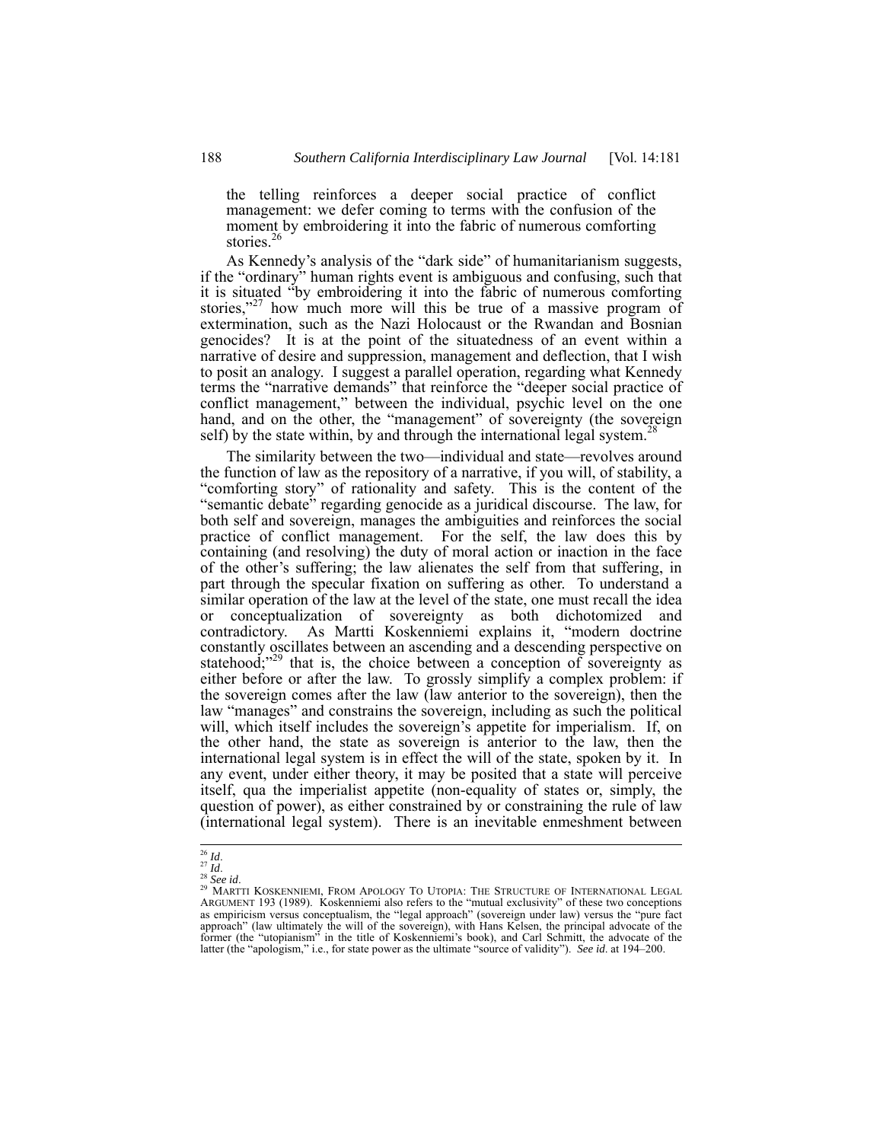the telling reinforces a deeper social practice of conflict management: we defer coming to terms with the confusion of the moment by embroidering it into the fabric of numerous comforting stories.<sup>26</sup>

As Kennedy's analysis of the "dark side" of humanitarianism suggests, if the "ordinary" human rights event is ambiguous and confusing, such that it is situated "by embroidering it into the fabric of numerous comforting stories,"<sup>27</sup> how much more will this be true of a massive program of extermination, such as the Nazi Holocaust or the Rwandan and Bosnian genocides? It is at the point of the situatedness of an event within a narrative of desire and suppression, management and deflection, that I wish to posit an analogy. I suggest a parallel operation, regarding what Kennedy terms the "narrative demands" that reinforce the "deeper social practice of conflict management," between the individual, psychic level on the one hand, and on the other, the "management" of sovereignty (the sovereign self) by the state within, by and through the international legal system.<sup>2</sup>

The similarity between the two—individual and state—revolves around the function of law as the repository of a narrative, if you will, of stability, a "comforting story" of rationality and safety. This is the content of the "semantic debate" regarding genocide as a juridical discourse. The law, for both self and sovereign, manages the ambiguities and reinforces the social practice of conflict management. For the self, the law does this by containing (and resolving) the duty of moral action or inaction in the face of the other's suffering; the law alienates the self from that suffering, in part through the specular fixation on suffering as other. To understand a similar operation of the law at the level of the state, one must recall the idea or conceptualization of sovereignty as both dichotomized and contradictory. As Martti Koskenniemi explains it, "modern doctrine constantly oscillates between an ascending and a descending perspective on statehood; $^{229}$  that is, the choice between a conception of sovereignty as either before or after the law. To grossly simplify a complex problem: if the sovereign comes after the law (law anterior to the sovereign), then the law "manages" and constrains the sovereign, including as such the political will, which itself includes the sovereign's appetite for imperialism. If, on the other hand, the state as sovereign is anterior to the law, then the international legal system is in effect the will of the state, spoken by it. In any event, under either theory, it may be posited that a state will perceive itself, qua the imperialist appetite (non-equality of states or, simply, the question of power), as either constrained by or constraining the rule of law (international legal system). There is an inevitable enmeshment between

<sup>&</sup>lt;sup>26</sup> Id.<br><sup>27</sup> Id.<br><sup>28</sup> See id.<br><sup>29</sup> MARTTI KOSKENNIEMI, FROM APOLOGY TO UTOPIA: THE STRUCTURE OF INTERNATIONAL LEGAL<br>ARGUMENT 193 (1989). Koskenniemi also refers to the "mutual exclusivity" of these two conceptions as empiricism versus conceptualism, the "legal approach" (sovereign under law) versus the "pure fact approach" (law ultimately the will of the sovereign), with Hans Kelsen, the principal advocate of the former (the "utopianism" in the title of Koskenniemi's book), and Carl Schmitt, the advocate of the latter (the "apologism," i.e., for state power as the ultimate "source of validity"). *See id*. at 194–200.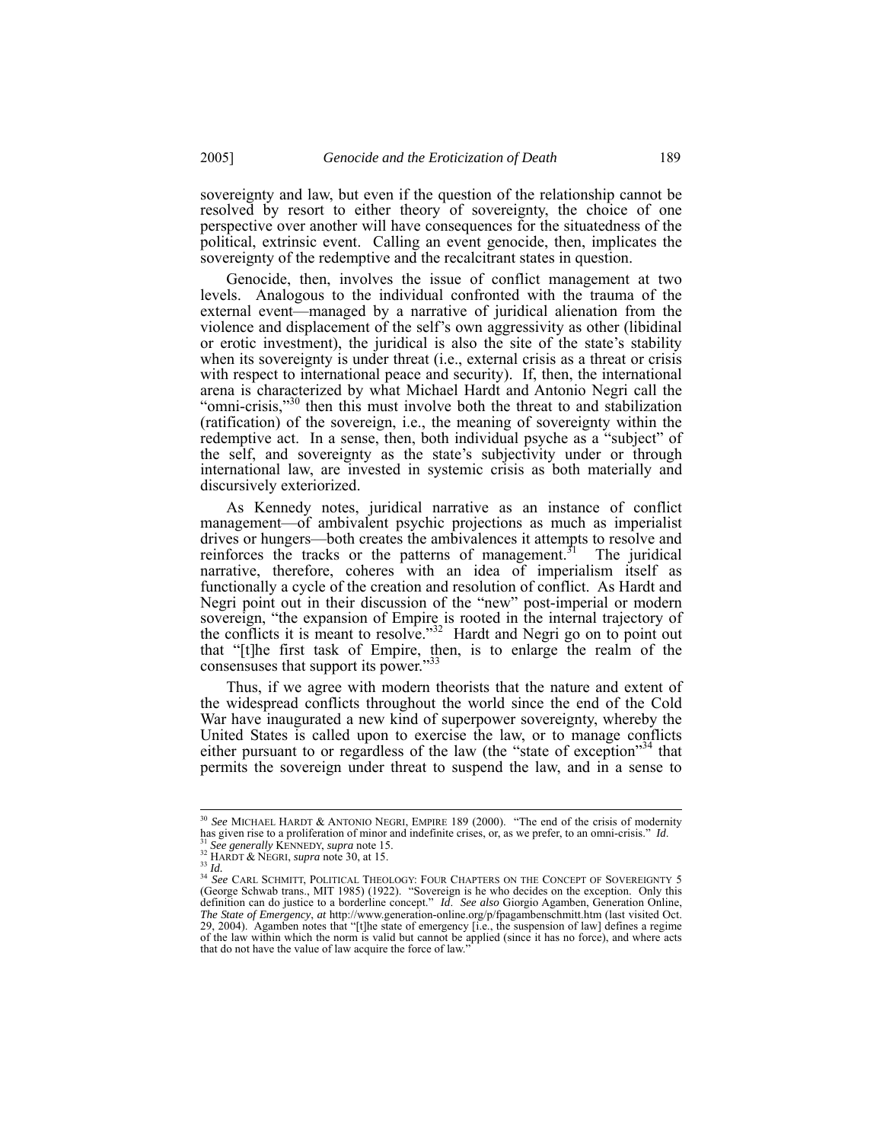sovereignty and law, but even if the question of the relationship cannot be resolved by resort to either theory of sovereignty, the choice of one perspective over another will have consequences for the situatedness of the political, extrinsic event. Calling an event genocide, then, implicates the sovereignty of the redemptive and the recalcitrant states in question.

Genocide, then, involves the issue of conflict management at two levels. Analogous to the individual confronted with the trauma of the external event—managed by a narrative of juridical alienation from the violence and displacement of the self's own aggressivity as other (libidinal or erotic investment), the juridical is also the site of the state's stability when its sovereignty is under threat (i.e., external crisis as a threat or crisis with respect to international peace and security). If, then, the international arena is characterized by what Michael Hardt and Antonio Negri call the "omni-crisis,"<sup>30</sup> then this must involve both the threat to and stabilization (ratification) of the sovereign, i.e., the meaning of sovereignty within the redemptive act. In a sense, then, both individual psyche as a "subject" of the self, and sovereignty as the state's subjectivity under or through international law, are invested in systemic crisis as both materially and discursively exteriorized.

As Kennedy notes, juridical narrative as an instance of conflict management—of ambivalent psychic projections as much as imperialist drives or hungers—both creates the ambivalences it attempts to resolve and reinforces the tracks or the patterns of management.<sup>31</sup> The juridical narrative, therefore, coheres with an idea of imperialism itself as functionally a cycle of the creation and resolution of conflict. As Hardt and Negri point out in their discussion of the "new" post-imperial or modern sovereign, "the expansion of Empire is rooted in the internal trajectory of the conflicts it is meant to resolve."<sup>32</sup> Hardt and Negri go on to point out that "[t]he first task of Empire, then, is to enlarge the realm of the consensuses that support its power."33

Thus, if we agree with modern theorists that the nature and extent of the widespread conflicts throughout the world since the end of the Cold War have inaugurated a new kind of superpower sovereignty, whereby the United States is called upon to exercise the law, or to manage conflicts either pursuant to or regardless of the law (the "state of exception"<sup>34</sup> that permits the sovereign under threat to suspend the law, and in a sense to

<sup>&</sup>lt;sup>30</sup> *See* MICHAEL HARDT & ANTONIO NEGRI, EMPIRE 189 (2000). "The end of the crisis of modernity has given rise to a proliferation of minor and indefinite crises, or, as we prefer, to an omni-crisis." *Id.* 

has given rise to a proliferation of minor and indefinite crises, or, as we prefer, to an omni-crisis." *Id.*<br><sup>33</sup> *See generally* KENNEDY, *supra* note 15.<br><sup>33</sup> HARDT & NEGRI, *supra* note 30, at 15.<br><sup>34</sup> *Ha.*<br><sup>34</sup> *See* decrease CAND trans., MIT 1985) (1922). "Sovereign is he who decides on the exception. Only this definition can do justice to a borderline concept." *Id. See also* Giorgio Agamben, Generation Online, *The State of Emergency*, *at* http://www.generation-online.org/p/fpagambenschmitt.htm (last visited Oct. 29, 2004). Agamben notes that "[t]he state of emergency [i.e., the suspension of law] defines a regime of the law within which the norm is valid but cannot be applied (since it has no force), and where acts that do not have the value of law acquire the force of law.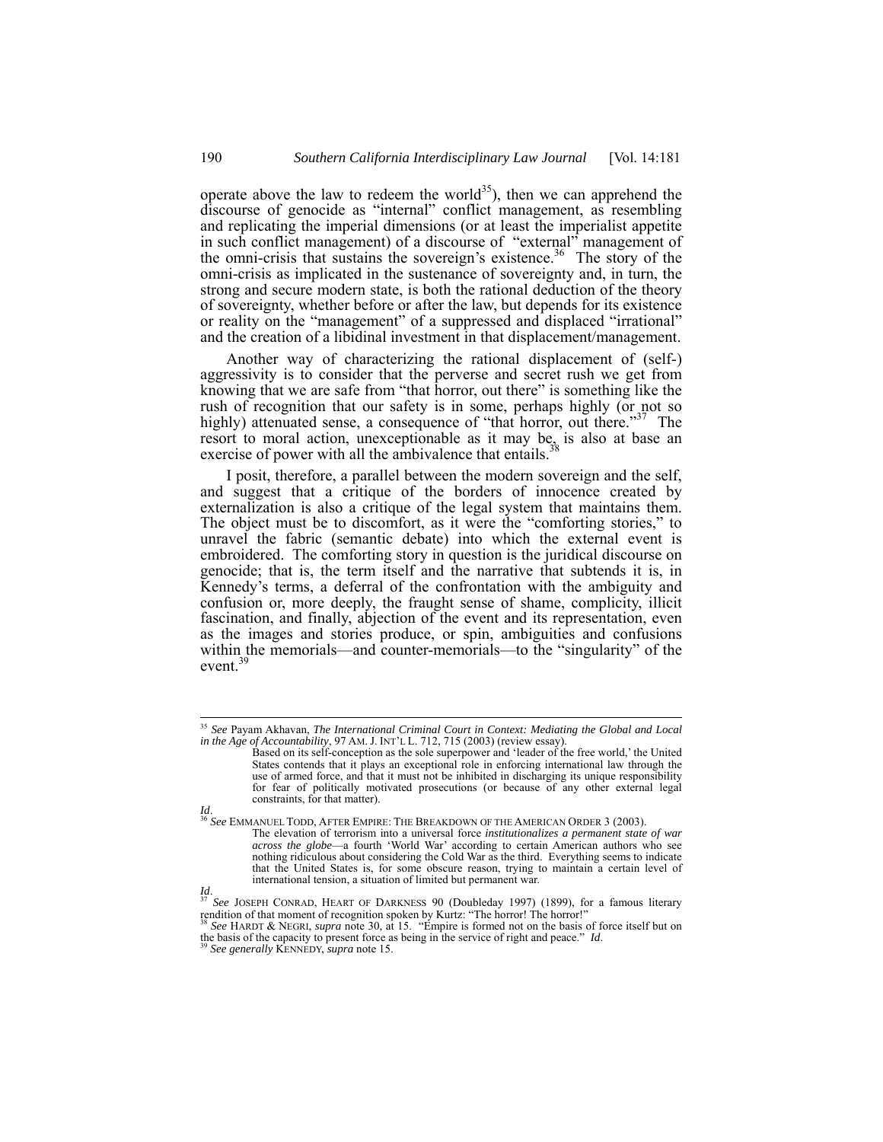operate above the law to redeem the world<sup>35</sup>), then we can apprehend the discourse of genocide as "internal" conflict management, as resembling and replicating the imperial dimensions (or at least the imperialist appetite in such conflict management) of a discourse of "external" management of the omni-crisis that sustains the sovereign's existence.<sup>36</sup> The story of the omni-crisis as implicated in the sustenance of sovereignty and, in turn, the strong and secure modern state, is both the rational deduction of the theory of sovereignty, whether before or after the law, but depends for its existence or reality on the "management" of a suppressed and displaced "irrational" and the creation of a libidinal investment in that displacement/management.

Another way of characterizing the rational displacement of (self-) aggressivity is to consider that the perverse and secret rush we get from knowing that we are safe from "that horror, out there" is something like the rush of recognition that our safety is in some, perhaps highly (or not so highly) attenuated sense, a consequence of "that horror, out there."<sup>37</sup> The resort to moral action, unexceptionable as it may be, is also at base an exercise of power with all the ambivalence that entails.

I posit, therefore, a parallel between the modern sovereign and the self, and suggest that a critique of the borders of innocence created by externalization is also a critique of the legal system that maintains them. The object must be to discomfort, as it were the "comforting stories," to unravel the fabric (semantic debate) into which the external event is embroidered. The comforting story in question is the juridical discourse on genocide; that is, the term itself and the narrative that subtends it is, in Kennedy's terms, a deferral of the confrontation with the ambiguity and confusion or, more deeply, the fraught sense of shame, complicity, illicit fascination, and finally, abjection of the event and its representation, even as the images and stories produce, or spin, ambiguities and confusions within the memorials—and counter-memorials—to the "singularity" of the event.<sup>3</sup>

*Id*. 36 *See* EMMANUEL TODD, AFTER EMPIRE: THE BREAKDOWN OF THE AMERICAN ORDER 3 (2003).

The elevation of terrorism into a universal force *institutionalizes a permanent state of war across the globe*—a fourth 'World War' according to certain American authors who see nothing ridiculous about considering the Cold War as the third. Everything seems to indicate that the United States is, for some obscure reason, trying to maintain a certain level of international tension, a situation of limited but permanent war.

the basis of the capacity to present force as being in the service of right and peace." *Id*. 39 *See generally* KENNEDY, *supra* note 15.

 <sup>35</sup> *See* Payam Akhavan, *The International Criminal Court in Context: Mediating the Global and Local in the Age of Accountability*, 97 AM. J. INT'L L. 712, 715 (2003) (review essay).

Based on its self-conception as the sole superpower and 'leader of the free world,' the United States contends that it plays an exceptional role in enforcing international law through the use of armed force, and that it must not be inhibited in discharging its unique responsibility for fear of politically motivated prosecutions (or because of any other external legal constraints, for that matter).

*Id.* 37 *See* JOSEPH CONRAD, HEART OF DARKNESS 90 (Doubleday 1997) (1899), for a famous literary rendition of that moment of recognition spoken by Kurtz: "The horror! The horror!" <sup>38</sup> *See* HARDT & NEGRI, *supra* note 30, at 15. "Empire is formed not on the basis of force itself but on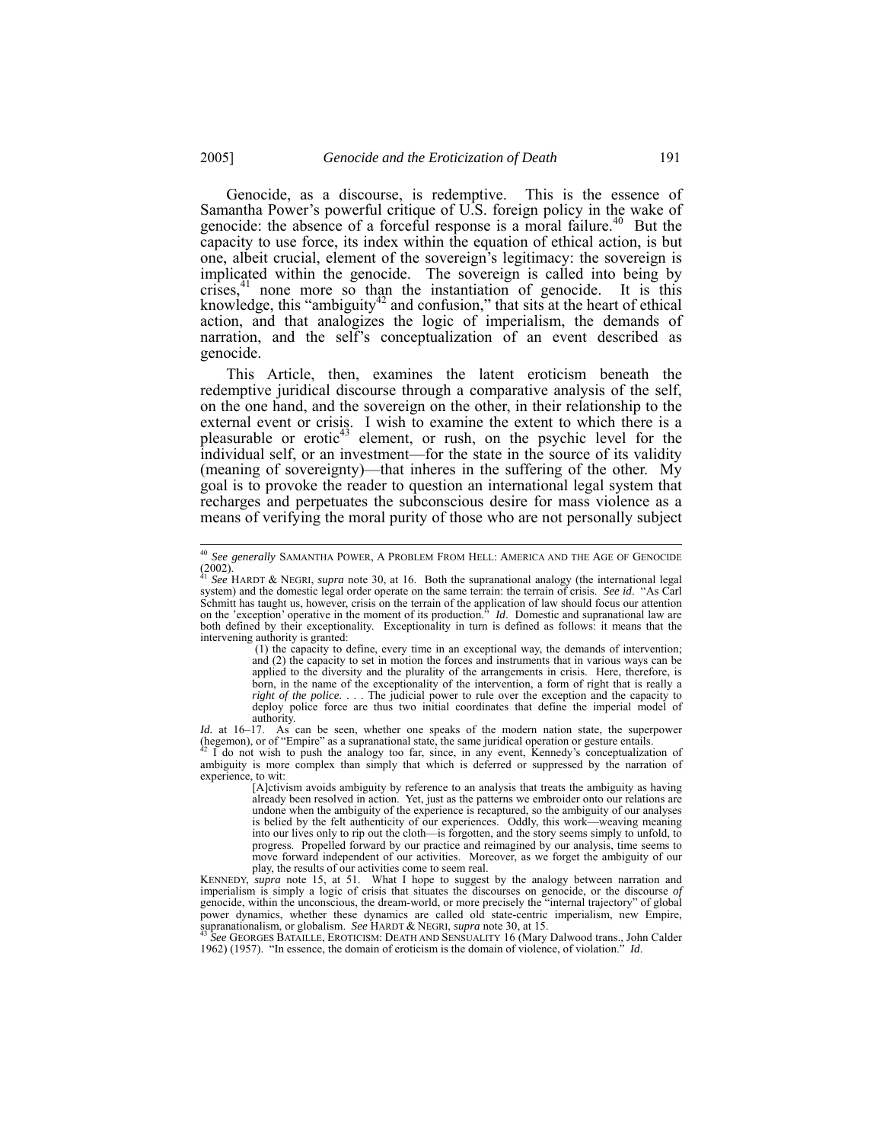Genocide, as a discourse, is redemptive. This is the essence of Samantha Power's powerful critique of U.S. foreign policy in the wake of genocide: the absence of a forceful response is a moral failure.<sup>40</sup> But the capacity to use force, its index within the equation of ethical action, is but one, albeit crucial, element of the sovereign's legitimacy: the sovereign is implicated within the genocide. The sovereign is called into being by crises,<sup>41</sup> none more so than the instantiation of genocide. It is this knowledge, this "ambiguity<sup>42</sup> and confusion," that sits at the heart of ethical action, and that analogizes the logic of imperialism, the demands of narration, and the self's conceptualization of an event described as genocide.

This Article, then, examines the latent eroticism beneath the redemptive juridical discourse through a comparative analysis of the self, on the one hand, and the sovereign on the other, in their relationship to the external event or crisis. I wish to examine the extent to which there is a pleasurable or erotic<sup>43</sup> element, or rush, on the psychic level for the individual self, or an investment—for the state in the source of its validity (meaning of sovereignty)—that inheres in the suffering of the other. My goal is to provoke the reader to question an international legal system that recharges and perpetuates the subconscious desire for mass violence as a means of verifying the moral purity of those who are not personally subject

 (1) the capacity to define, every time in an exceptional way, the demands of intervention; and (2) the capacity to set in motion the forces and instruments that in various ways can be applied to the diversity and the plurality of the arrangements in crisis. Here, therefore, is born, in the name of the exceptionality of the intervention, a form of right that is really a *right of the police*. . . . The judicial power to rule over the exception and the capacity to deploy police force are thus two initial coordinates that define the imperial model of authority.

*Id.* at 16–17. As can be seen, whether one speaks of the modern nation state, the superpower

(hegemon), or of "Empire" as a supranational state, the same juridical operation or gesture entails.<br><sup>42</sup> I do not wish to push the analogy too far, since, in any event, Kennedy's conceptualization of ambiguity is more com experience, to wit:

[A]ctivism avoids ambiguity by reference to an analysis that treats the ambiguity as having already been resolved in action. Yet, just as the patterns we embroider onto our relations are undone when the ambiguity of the experience is recaptured, so the ambiguity of our analyses is belied by the felt authenticity of our experiences. Oddly, this work—weaving meaning into our lives only to rip out the cloth—is forgotten, and the story seems simply to unfold, to progress. Propelled forward by our practice and reimagined by our analysis, time seems to move forward independent of our activities. Moreover, as we forget the ambiguity of our play, the results of our activities come to seem real.

KENNEDY, *supra* note 15, at 51. What I hope to suggest by the analogy between narration and imperialism is simply a logic of crisis that situates the discourses on genocide, or the discourse *of* genocide, within the unconscious, the dream-world, or more precisely the "internal trajectory" of global power dynamics, whether these dynamics are called old state-centric imperialism, new Empire, supranationalism, or globalism. See HARDT & NEGRI, supra note 30, at 15. supranationalism, or globalism. *See* HARDT & NEGRI, *supra* note 30, at 15. 43 *See* GEORGES BATAILLE, EROTICISM: DEATH AND SENSUALITY 16 (Mary Dalwood trans., John Calder

1962) (1957). "In essence, the domain of eroticism is the domain of violence, of violation." *Id*.

 <sup>40</sup> *See generally* SAMANTHA POWER, <sup>A</sup> PROBLEM FROM HELL: AMERICA AND THE AGE OF GENOCIDE  $(2002)$ .

<sup>&</sup>lt;sup>41</sup> See HARDT & NEGRI, *supra* note 30, at 16. Both the supranational analogy (the international legal system) and the domestic legal order operate on the same terrain: the terrain of crisis. See id. "As Carl Schmitt has taught us, however, crisis on the terrain of the application of law should focus our attention on the 'exception' operative in the moment of its production." *Id*. Domestic and supranational law are both defined by their exceptionality. Exceptionality in turn is defined as follows: it means that the intervening authority is granted: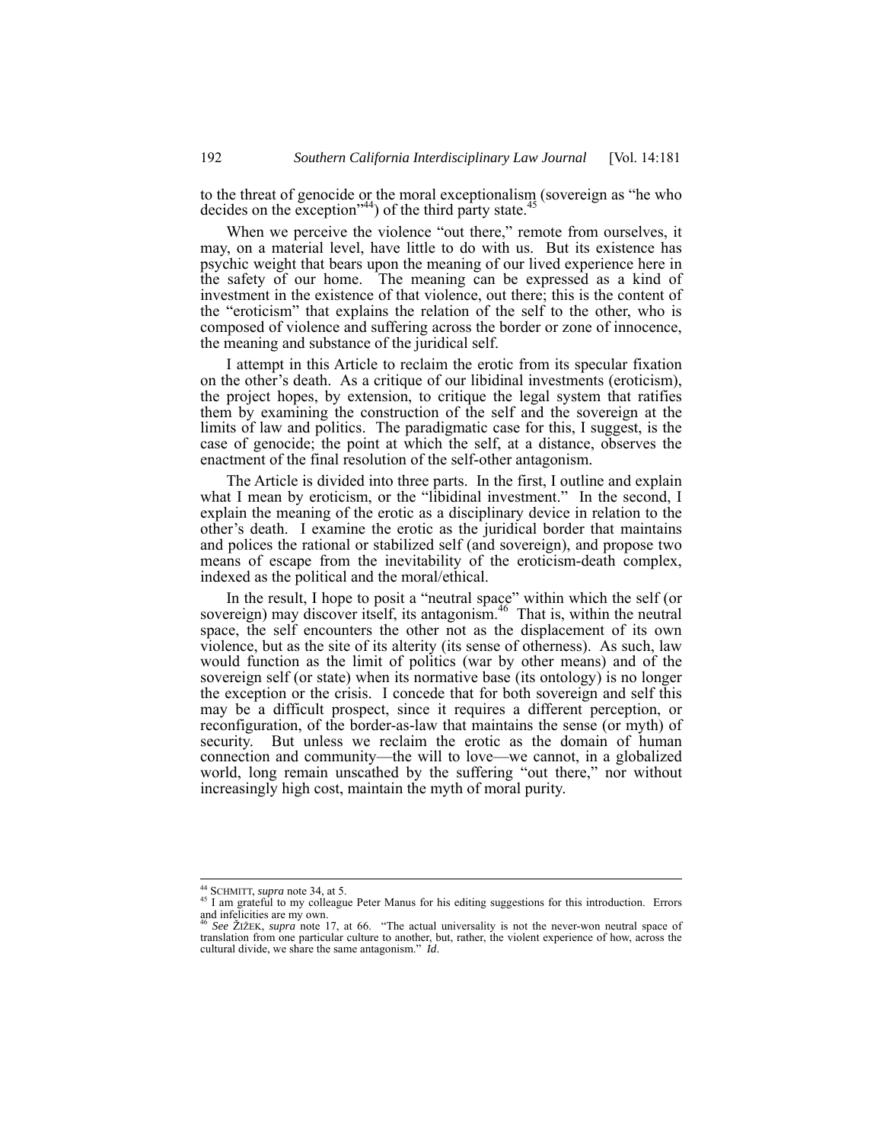to the threat of genocide or the moral exceptionalism (sovereign as "he who decides on the exception<sup> $(44)$ </sup> of the third party state.<sup>4</sup>

When we perceive the violence "out there," remote from ourselves, it may, on a material level, have little to do with us. But its existence has psychic weight that bears upon the meaning of our lived experience here in the safety of our home. The meaning can be expressed as a kind of investment in the existence of that violence, out there; this is the content of the "eroticism" that explains the relation of the self to the other, who is composed of violence and suffering across the border or zone of innocence, the meaning and substance of the juridical self.

I attempt in this Article to reclaim the erotic from its specular fixation on the other's death. As a critique of our libidinal investments (eroticism), the project hopes, by extension, to critique the legal system that ratifies them by examining the construction of the self and the sovereign at the limits of law and politics. The paradigmatic case for this, I suggest, is the case of genocide; the point at which the self, at a distance, observes the enactment of the final resolution of the self-other antagonism.

The Article is divided into three parts. In the first, I outline and explain what I mean by eroticism, or the "libidinal investment." In the second, I explain the meaning of the erotic as a disciplinary device in relation to the other's death. I examine the erotic as the juridical border that maintains and polices the rational or stabilized self (and sovereign), and propose two means of escape from the inevitability of the eroticism-death complex, indexed as the political and the moral/ethical.

In the result, I hope to posit a "neutral space" within which the self (or sovereign) may discover itself, its antagonism.<sup>46</sup> That is, within the neutral space, the self encounters the other not as the displacement of its own violence, but as the site of its alterity (its sense of otherness). As such, law would function as the limit of politics (war by other means) and of the sovereign self (or state) when its normative base (its ontology) is no longer the exception or the crisis. I concede that for both sovereign and self this may be a difficult prospect, since it requires a different perception, or reconfiguration, of the border-as-law that maintains the sense (or myth) of security. But unless we reclaim the erotic as the domain of human connection and community—the will to love—we cannot, in a globalized world, long remain unscathed by the suffering "out there," nor without increasingly high cost, maintain the myth of moral purity.

<sup>&</sup>lt;sup>44</sup> SCHMITT, *supra* note 34, at 5.<br><sup>45</sup> I am grateful to my colleague Peter Manus for his editing suggestions for this introduction. Errors and infelicities are my own.

<sup>46</sup> *See* ŽIŽEK, *supra* note 17, at 66. "The actual universality is not the never-won neutral space of translation from one particular culture to another, but, rather, the violent experience of how, across the cultural divide, we share the same antagonism." *Id*.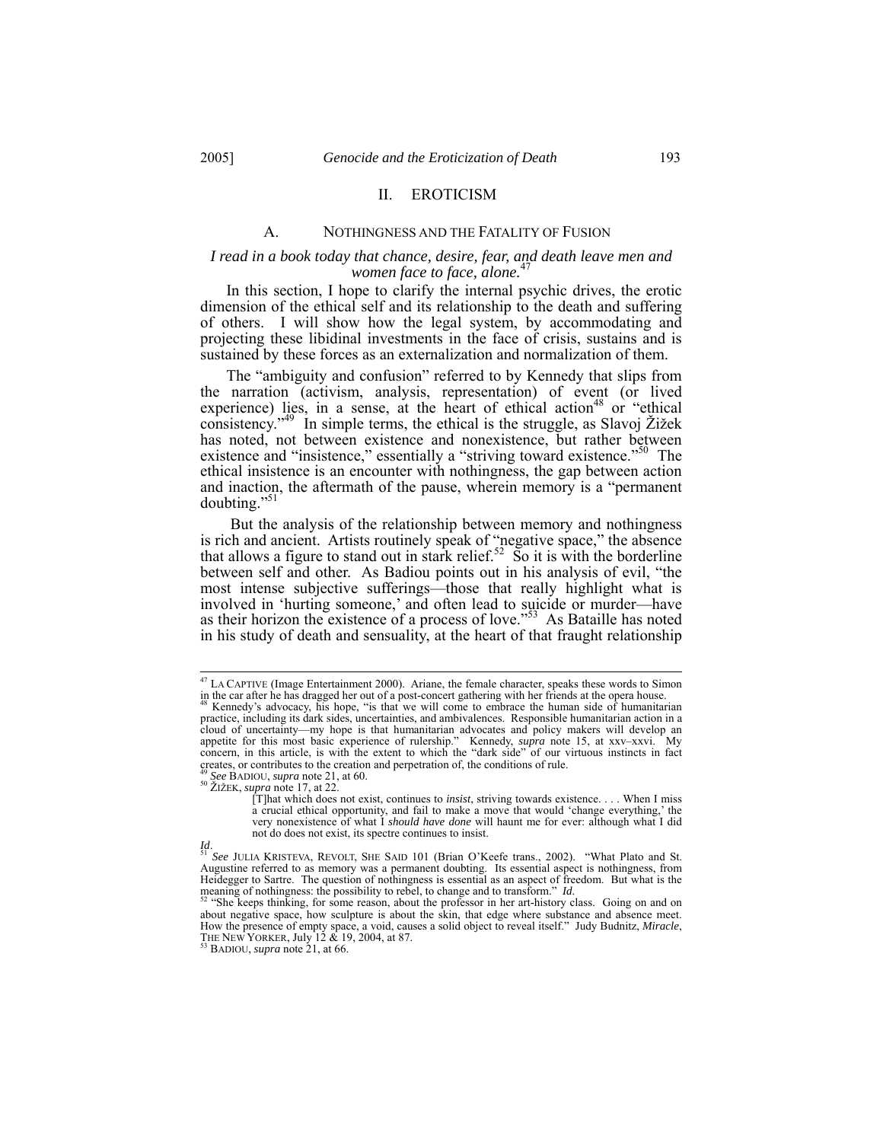#### II. EROTICISM

#### A. NOTHINGNESS AND THE FATALITY OF FUSION

### *I read in a book today that chance, desire, fear, and death leave men and women face to face, alone.*<sup>4</sup>

In this section, I hope to clarify the internal psychic drives, the erotic dimension of the ethical self and its relationship to the death and suffering of others. I will show how the legal system, by accommodating and projecting these libidinal investments in the face of crisis, sustains and is sustained by these forces as an externalization and normalization of them.

The "ambiguity and confusion" referred to by Kennedy that slips from the narration (activism, analysis, representation) of event (or lived experience) lies, in a sense, at the heart of ethical action<sup>48</sup> or "ethical consistency.<sup>349</sup> In simple terms, the ethical is the struggle, as Slavoj Žižek has noted, not between existence and nonexistence, but rather between existence and "insistence," essentially a "striving toward existence."<sup>50</sup> The ethical insistence is an encounter with nothingness, the gap between action and inaction, the aftermath of the pause, wherein memory is a "permanent doubting."

 But the analysis of the relationship between memory and nothingness is rich and ancient. Artists routinely speak of "negative space," the absence that allows a figure to stand out in stark relief.<sup>52</sup> So it is with the borderline between self and other. As Badiou points out in his analysis of evil, "the most intense subjective sufferings—those that really highlight what is involved in 'hurting someone,' and often lead to suicide or murder—have as their horizon the existence of a process of love."<sup>53</sup> As Bataille has noted in his study of death and sensuality, at the heart of that fraught relationship

 <sup>47</sup> LA CAPTIVE (Image Entertainment 2000). Ariane, the female character, speaks these words to Simon in the car after he has dragged her out of a post-concert gathering with her friends at the opera house. 48 Kennedy's advocacy, his hope, "is that we will come to embrace the human side of humanitarian

practice, including its dark sides, uncertainties, and ambivalences. Responsible humanitarian action in a cloud of uncertainty—my hope is that humanitarian advocates and policy makers will develop an appetite for this most basic experience of rulership." Kennedy, *supra* note 15, at xxv–xxvi. My concern, in this article, is with the extent to which the "dark side" of our virtuous instincts in fact creates, or contributes to the creation and perpetration of, the conditions of rule.<br><sup>49</sup> See BADIOU, *supra* note 21, at 60.

<sup>49</sup> *See* BADIOU, *supra* note 21, at 60. 50 ŽIŽEK, *supra* note 17, at 22.

<sup>[</sup>T]hat which does not exist, continues to *insist*, striving towards existence. . . . When I miss a crucial ethical opportunity, and fail to make a move that would 'change everything,' the very nonexistence of what I *should have done* will haunt me for ever: although what I did not do does not exist, its spectre continues to insist.

Id.<br><sup>51</sup> See JULIA KRISTEVA, REVOLT, SHE SAID 101 (Brian O'Keefe trans., 2002). "What Plato and St.<br>Augustine referred to as memory was a permanent doubting. Its essential aspect is nothingness, from Heidegger to Sartre. The question of nothingness is essential as an aspect of freedom. But what is the meaning of nothingness: the possibility to rebel, to change and to transform." *Id*.<br><sup>52</sup> "She keeps thinking, for some reason, about the professor in her art-history class. Going on and on

about negative space, how sculpture is about the skin, that edge where substance and absence meet.<br>How the presence of empty space, a void, causes a solid object to reveal itself." Judy Budnitz, *Miracle*, THE NEW YORKER,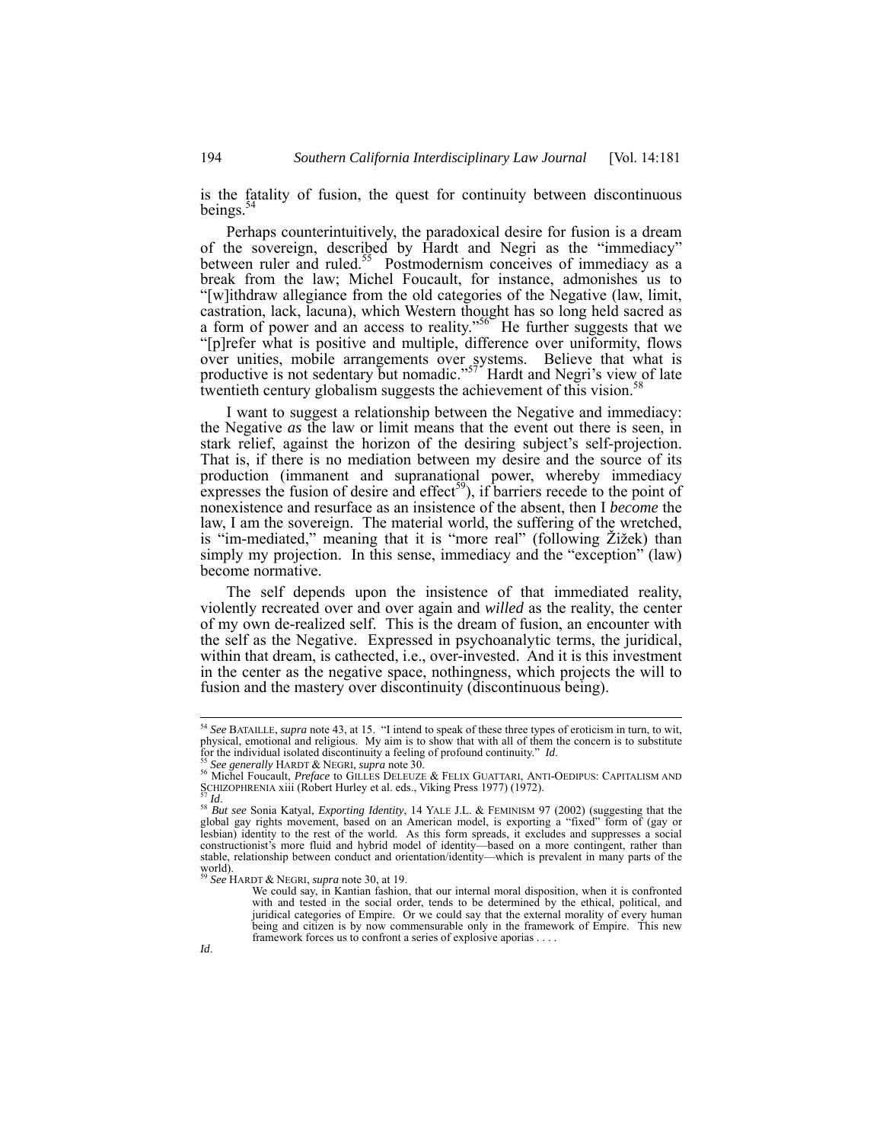is the fatality of fusion, the quest for continuity between discontinuous beings. $54$ 

Perhaps counterintuitively, the paradoxical desire for fusion is a dream of the sovereign, described by Hardt and Negri as the "immediacy" between ruler and ruled.<sup>55</sup> Postmodernism conceives of immediacy as a break from the law; Michel Foucault, for instance, admonishes us to "[w]ithdraw allegiance from the old categories of the Negative (law, limit, castration, lack, lacuna), which Western thought has so long held sacred as a form of power and an access to reality."<sup>56</sup> He further suggests that we "[p]refer what is positive and multiple, difference over uniformity, flows over unities, mobile arrangements over systems. Believe that what is productive is not sedentary but nomadic."<sup>57</sup> Hardt and Negri's view of late twentieth century globalism suggests the achievement of this vision.<sup>5</sup>

I want to suggest a relationship between the Negative and immediacy: the Negative *as* the law or limit means that the event out there is seen, in stark relief, against the horizon of the desiring subject's self-projection. That is, if there is no mediation between my desire and the source of its production (immanent and supranational power, whereby immediacy expresses the fusion of desire and effect<sup>59</sup>), if barriers recede to the point of nonexistence and resurface as an insistence of the absent, then I *become* the law, I am the sovereign. The material world, the suffering of the wretched, is "im-mediated," meaning that it is "more real" (following Žižek) than simply my projection. In this sense, immediacy and the "exception" (law) become normative.

The self depends upon the insistence of that immediated reality, violently recreated over and over again and *willed* as the reality, the center of my own de-realized self. This is the dream of fusion, an encounter with the self as the Negative. Expressed in psychoanalytic terms, the juridical, within that dream, is cathected, i.e., over-invested. And it is this investment in the center as the negative space, nothingness, which projects the will to fusion and the mastery over discontinuity (discontinuous being).

 <sup>54</sup> *See* BATAILLE, *supra* note 43, at 15. "I intend to speak of these three types of eroticism in turn, to wit, physical, emotional and religious. My aim is to show that with all of them the concern is to substitute for the individual isolated discontinuity a feeling of profound continuity." *Id*.

<sup>&</sup>lt;sup>55</sup> See generally HARDT & NEGRI, supra note 30.<br><sup>56</sup> Michel Foucault, *Preface* to GILLES DELEUZE & FELIX GUATTARI, ANTI-OEDIPUS: CAPITALISM AND<br>SCHIZOPHRENIA xiii (Robert Hurley et al. eds., Viking Press 1977) (1972).

ST Id.<br><sup>58</sup> *But see* Sonia Katyal, *Exporting Identity*, 14 YALE J.L. & FEMINISM 97 (2002) (suggesting that the global gay rights movement, based on an American model, is exporting a "fixed" form of (gay or lesbian) identity to the rest of the world. As this form spreads, it excludes and suppresses a social constructionist's more fluid and hybrid model of identity—based on a more contingent, rather than stable, relationship between conduct and orientation/identity—which is prevalent in many parts of the  $\frac{1}{59}$  world).

<sup>59</sup> *See* HARDT & NEGRI, *supra* note 30, at 19.

We could say, in Kantian fashion, that our internal moral disposition, when it is confronted with and tested in the social order, tends to be determined by the ethical, political, and juridical categories of Empire. Or we could say that the external morality of every human being and citizen is by now commensurable only in the framework of Empire. This new framework forces us to confront a series of explosive aporias . . . .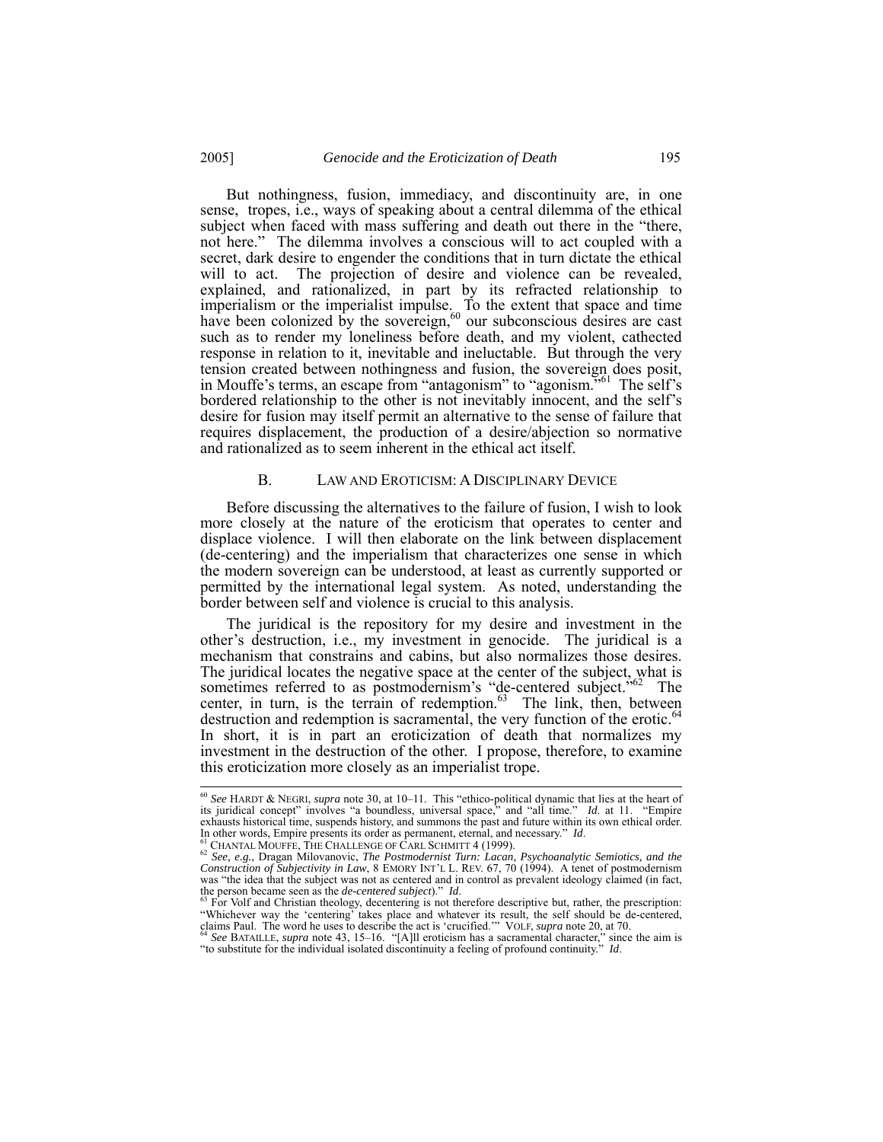But nothingness, fusion, immediacy, and discontinuity are, in one sense, tropes, i.e., ways of speaking about a central dilemma of the ethical subject when faced with mass suffering and death out there in the "there, not here." The dilemma involves a conscious will to act coupled with a secret, dark desire to engender the conditions that in turn dictate the ethical will to act. The projection of desire and violence can be revealed, explained, and rationalized, in part by its refracted relationship to imperialism or the imperialist impulse. To the extent that space and time have been colonized by the sovereign, $60$  our subconscious desires are cast such as to render my loneliness before death, and my violent, cathected response in relation to it, inevitable and ineluctable. But through the very tension created between nothingness and fusion, the sovereign does posit, in Mouffe's terms, an escape from "antagonism" to "agonism.<sup>761</sup> The self's bordered relationship to the other is not inevitably innocent, and the self's desire for fusion may itself permit an alternative to the sense of failure that requires displacement, the production of a desire/abjection so normative and rationalized as to seem inherent in the ethical act itself.

#### B. LAW AND EROTICISM: A DISCIPLINARY DEVICE

Before discussing the alternatives to the failure of fusion, I wish to look more closely at the nature of the eroticism that operates to center and displace violence. I will then elaborate on the link between displacement (de-centering) and the imperialism that characterizes one sense in which the modern sovereign can be understood, at least as currently supported or permitted by the international legal system. As noted, understanding the border between self and violence is crucial to this analysis.

The juridical is the repository for my desire and investment in the other's destruction, i.e., my investment in genocide. The juridical is a mechanism that constrains and cabins, but also normalizes those desires. The juridical locates the negative space at the center of the subject, what is sometimes referred to as postmodernism's "de-centered subject."<sup>62</sup> The center, in turn, is the terrain of redemption. $63$  The link, then, between destruction and redemption is sacramental, the very function of the erotic.<sup>64</sup> In short, it is in part an eroticization of death that normalizes my investment in the destruction of the other. I propose, therefore, to examine this eroticization more closely as an imperialist trope.

 <sup>60</sup> *See* HARDT & NEGRI, *supra* note 30, at 10–11. This "ethico-political dynamic that lies at the heart of its juridical concept" involves "a boundless, universal space," and "all time." *Id*. at 11. "Empire exhausts historical time, suspends history, and summons the past and future within its own ethical order.<br>In other words, Empire presents its order as permanent, eternal, and necessary."  $Id$ .

In other words, Empire presents its order as permanent, eternal, and necessary." *Id.*<br><sup>61</sup> CHANTAL MOUFFE, THE CHALLENGE OF CARL SCHMITT 4 (1999).<br><sup>62</sup> See, e.g., Dragan Milovanovic, *The Postmodernist Turn: Lacan, Psych* was "the idea that the subject was not as centered and in control as prevalent ideology claimed (in fact, the person became seen as the *de-centered subject*)." *Id*. 63 For Volf and Christian theology, decentering is not therefore descriptive but, rather, the prescription:

<sup>&</sup>quot;Whichever way the 'centering' takes place and whatever its result, the self should be de-centered, claims Paul. The word he uses to describe the act is 'crucified.'" VOLF, *supra* note 20, at 70.<br><sup>64</sup> See BATAILLE, *supra* 

<sup>&</sup>quot;to substitute for the individual isolated discontinuity a feeling of profound continuity." *Id*.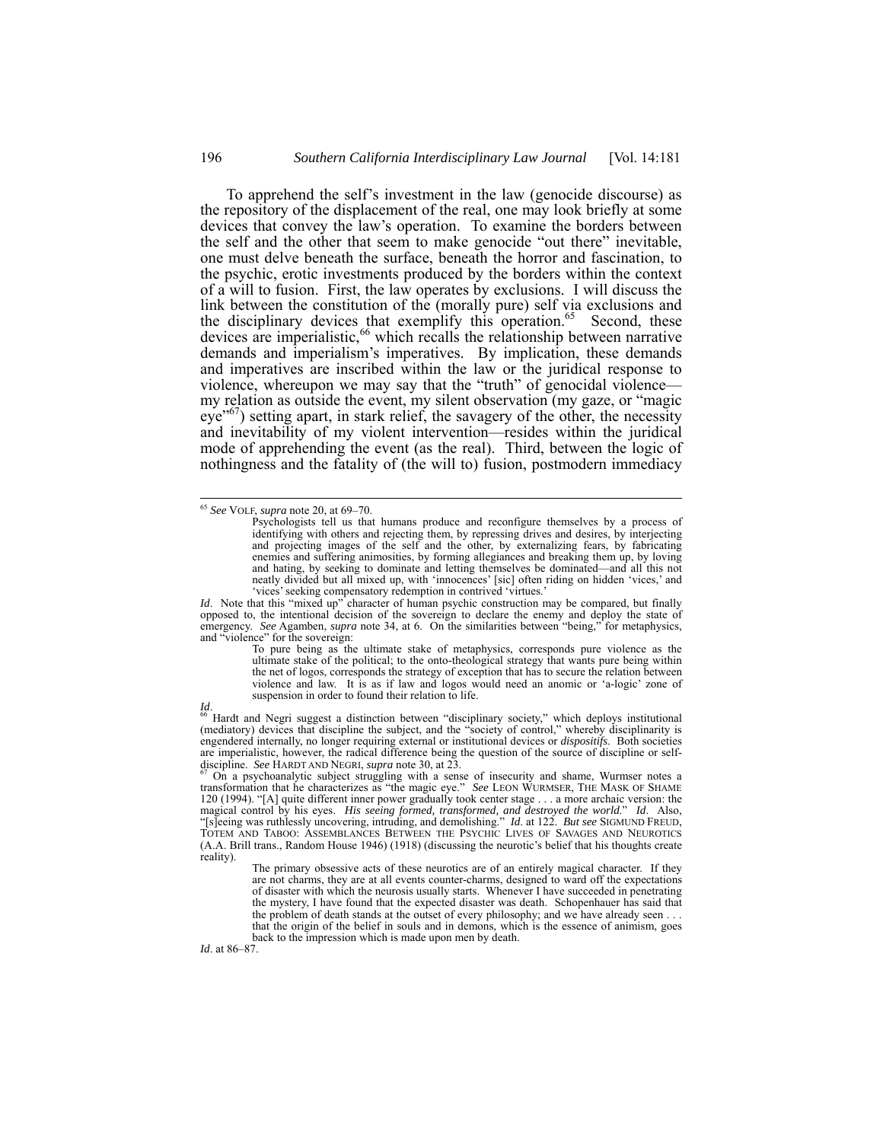To apprehend the self's investment in the law (genocide discourse) as the repository of the displacement of the real, one may look briefly at some devices that convey the law's operation. To examine the borders between the self and the other that seem to make genocide "out there" inevitable, one must delve beneath the surface, beneath the horror and fascination, to the psychic, erotic investments produced by the borders within the context of a will to fusion. First, the law operates by exclusions. I will discuss the link between the constitution of the (morally pure) self via exclusions and the disciplinary devices that exemplify this operation.<sup>65</sup> Second, these devices are imperialistic,<sup>66</sup> which recalls the relationship between narrative demands and imperialism's imperatives. By implication, these demands and imperatives are inscribed within the law or the juridical response to violence, whereupon we may say that the "truth" of genocidal violence my relation as outside the event, my silent observation (my gaze, or "magic  $eye<sup>67</sup>$ ) setting apart, in stark relief, the savagery of the other, the necessity and inevitability of my violent intervention—resides within the juridical mode of apprehending the event (as the real). Third, between the logic of nothingness and the fatality of (the will to) fusion, postmodern immediacy

*Id.* Note that this "mixed up" character of human psychic construction may be compared, but finally opposed to, the intentional decision of the sovereign to declare the enemy and deploy the state of emergency. *See* Agamben, *supra* note 34, at 6. On the similarities between "being," for metaphysics, and "violence" for the sovereign:

To pure being as the ultimate stake of metaphysics, corresponds pure violence as the ultimate stake of the political; to the onto-theological strategy that wants pure being within the net of logos, corresponds the strategy of exception that has to secure the relation between violence and law. It is as if law and logos would need an anomic or 'a-logic' zone of suspension in order to found their relation to life.

Id.<br><sup>66</sup> Hardt and Negri suggest a distinction between "disciplinary society," which deploys institutional<br>(mediatory) devices that discipline the subject, and the "society of control," whereby disciplinarity is engendered internally, no longer requiring external or institutional devices or *dispositifs*. Both societies are imperialistic, however, the radical difference being the question of the source of discipline or self-<br>discipline. See HARDT AND NEGRI, supra note 30, at 23.

*Id*. at 86–87.

 <sup>65</sup> *See* VOLF, *supra* note 20, at 69–70.

Psychologists tell us that humans produce and reconfigure themselves by a process of identifying with others and rejecting them, by repressing drives and desires, by interjecting and projecting images of the self and the other, by externalizing fears, by fabricating enemies and suffering animosities, by forming allegiances and breaking them up, by loving and hating, by seeking to dominate and letting themselves be dominated—and all this not neatly divided but all mixed up, with 'innocences' [sic] often riding on hidden 'vices,' and 'vices' seeking compensatory redemption in contrived 'virtues.'

On a psychoanalytic subject struggling with a sense of insecurity and shame, Wurmser notes a transformation that he characterizes as "the magic eye." *See* LEON WURMSER, THE MASK OF SHAME 120 (1994). "[A] quite different inner power gradually took center stage . . . a more archaic version: the magical control by his eyes. *His seeing formed, transformed, and destroyed the world*." *Id*. Also, "[s]eeing was ruthlessly uncovering, intruding, and demolishing." *Id*. at 122. *But see* SIGMUND FREUD, TOTEM AND TABOO: ASSEMBLANCES BETWEEN THE PSYCHIC LIVES OF SAVAGES AND NEUROTICS (A.A. Brill trans., Random House 1946) (1918) (discussing the neurotic's belief that his thoughts create reality).

The primary obsessive acts of these neurotics are of an entirely magical character. If they are not charms, they are at all events counter-charms, designed to ward off the expectations of disaster with which the neurosis usually starts. Whenever I have succeeded in penetrating the mystery, I have found that the expected disaster was death. Schopenhauer has said that the problem of death stands at the outset of every philosophy; and we have already seen . . . that the origin of the belief in souls and in demons, which is the essence of animism, goes back to the impression which is made upon men by death.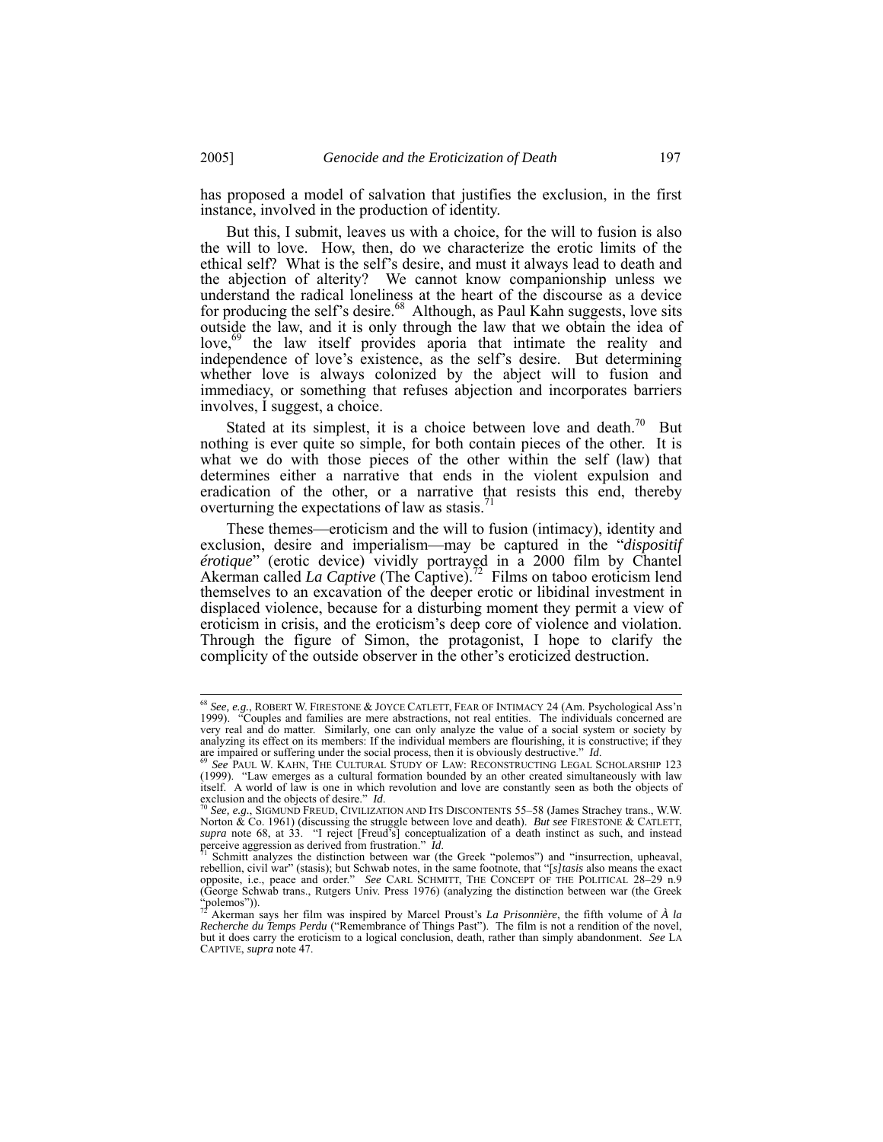has proposed a model of salvation that justifies the exclusion, in the first instance, involved in the production of identity.

But this, I submit, leaves us with a choice, for the will to fusion is also the will to love. How, then, do we characterize the erotic limits of the ethical self? What is the self's desire, and must it always lead to death and the abjection of alterity? We cannot know companionship unless we understand the radical loneliness at the heart of the discourse as a device for producing the self's desire. $68$  Although, as Paul Kahn suggests, love sits outside the law, and it is only through the law that we obtain the idea of love,<sup>69</sup> the law itself provides aporia that intimate the reality and independence of love's existence, as the self's desire. But determining whether love is always colonized by the abject will to fusion and immediacy, or something that refuses abjection and incorporates barriers involves, I suggest, a choice.

Stated at its simplest, it is a choice between love and death.<sup>70</sup> But nothing is ever quite so simple, for both contain pieces of the other. It is what we do with those pieces of the other within the self (law) that determines either a narrative that ends in the violent expulsion and eradication of the other, or a narrative that resists this end, thereby overturning the expectations of law as stasis.<sup>71</sup>

These themes—eroticism and the will to fusion (intimacy), identity and exclusion, desire and imperialism—may be captured in the "*dispositif érotique*" (erotic device) vividly portrayed in a 2000 film by Chantel Akerman called *La Captive* (The Captive).<sup>72</sup> Films on taboo eroticism lend themselves to an excavation of the deeper erotic or libidinal investment in displaced violence, because for a disturbing moment they permit a view of eroticism in crisis, and the eroticism's deep core of violence and violation. Through the figure of Simon, the protagonist, I hope to clarify the complicity of the outside observer in the other's eroticized destruction.

 <sup>68</sup> *See, e.g.*, ROBERT W. FIRESTONE & JOYCE CATLETT, FEAR OF INTIMACY 24 (Am. Psychological Ass'n 1999). "Couples and families are mere abstractions, not real entities. The individuals concerned are very real and do matter. Similarly, one can only analyze the value of a social system or society by analyzing its effect on its members: If the individual members are flourishing, it is constructive; if they are impaired or suffering under the social process, then it is obviously destructive." *Id.* 69 *See PAUL W. KAHN, THE CULTURAL STUDY OF LAW: RECONSTRUCTING LEGAL SCHOLARSHIP 123* 

<sup>(1999). &</sup>quot;Law emerges as a cultural formation bounded by an other created simultaneously with law itself. A world of law is one in which revolution and love are constantly seen as both the objects of exclusion and the objects of desire." *Id.*<br><sup>70</sup> See, e.g., SIGMUND FREUD, CIVILIZATION AND ITS DISCONTENTS 55–58 (Jame

Norton & Co. 1961) (discussing the struggle between love and death). *But see* FIRESTONE & CATLETT, *supra* note 68, at 33. "I reject [Freud's] conceptualization of a death instinct as such, and instead perceive aggression as derived from frustration." *Id*.

perceive aggression as derived from frustration."  $\overline{Id}$ .<br><sup>71</sup> Schmitt analyzes the distinction between war (the Greek "polemos") and "insurrection, upheaval, rebellion, civil war" (stasis); but Schwab notes, in the sam opposite, i.e., peace and order." *See* CARL SCHMITT, THE CONCEPT OF THE POLITICAL 28–29 n.9 (George Schwab trans., Rutgers Univ. Press 1976) (analyzing the distinction between war (the Greek "polemos")).

<sup>72</sup> Akerman says her film was inspired by Marcel Proust's *La Prisonnière*, the fifth volume of *À la Recherche du Temps Perdu* ("Remembrance of Things Past"). The film is not a rendition of the novel, but it does carry the eroticism to a logical conclusion, death, rather than simply abandonment. *See* LA CAPTIVE, *supra* note 47.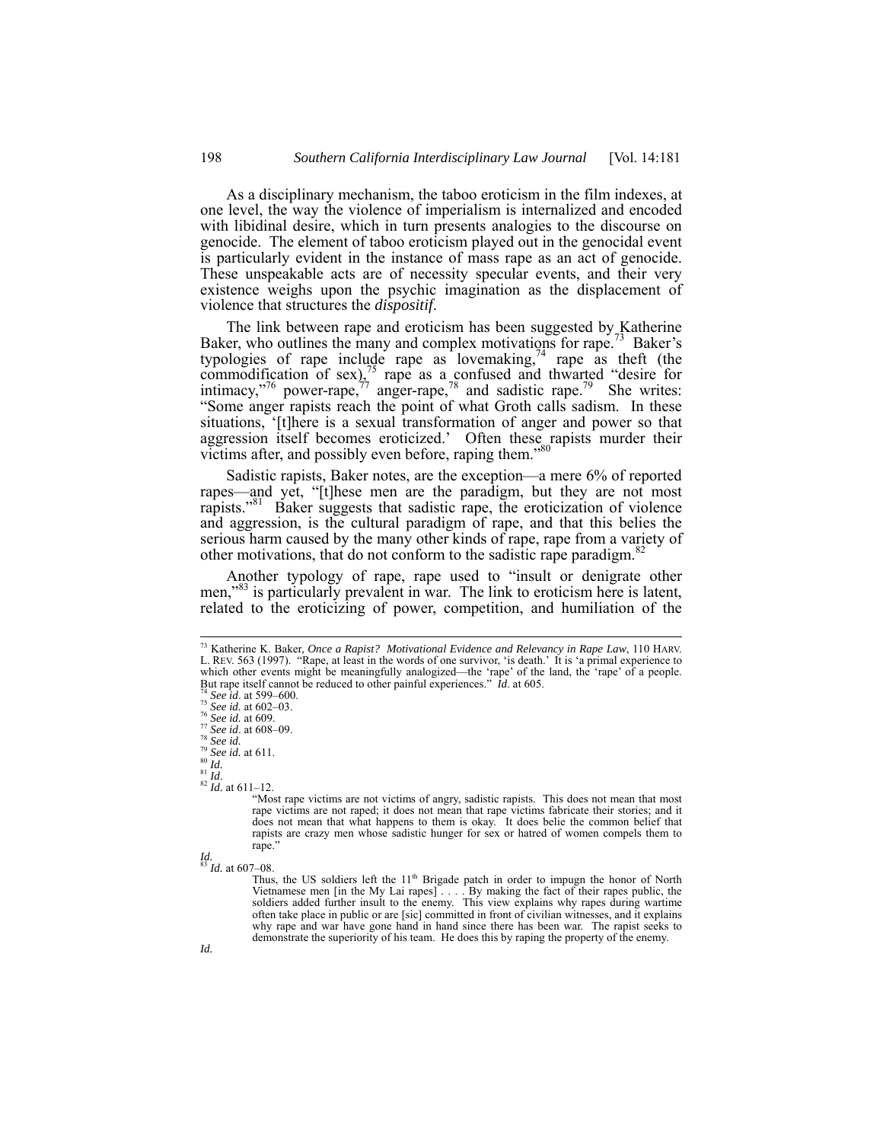As a disciplinary mechanism, the taboo eroticism in the film indexes, at one level, the way the violence of imperialism is internalized and encoded with libidinal desire, which in turn presents analogies to the discourse on genocide. The element of taboo eroticism played out in the genocidal event is particularly evident in the instance of mass rape as an act of genocide. These unspeakable acts are of necessity specular events, and their very existence weighs upon the psychic imagination as the displacement of violence that structures the *dispositif*.

The link between rape and eroticism has been suggested by Katherine Baker, who outlines the many and complex motivations for rape.<sup>73</sup> Baker's typologies of rape include rape as lovemaking,  $74$  rape as theft (the commodification of  $sex\frac{1}{2}$  rape as a confused and thwarted "desire for intimacy,"<sup>76</sup> power-rape,<sup> $77$ </sup> anger-rape,<sup>78</sup> and sadistic rape.<sup>79</sup> She writes: "Some anger rapists reach the point of what Groth calls sadism. In these situations, '[t]here is a sexual transformation of anger and power so that aggression itself becomes eroticized.' Often these rapists murder their victims after, and possibly even before, raping them."80

Sadistic rapists, Baker notes, are the exception—a mere 6% of reported rapes—and yet, "[t]hese men are the paradigm, but they are not most rapists."81 Baker suggests that sadistic rape, the eroticization of violence and aggression, is the cultural paradigm of rape, and that this belies the serious harm caused by the many other kinds of rape, rape from a variety of other motivations, that do not conform to the sadistic rape paradigm.<sup>82</sup>

Another typology of rape, rape used to "insult or denigrate other men,"<sup>83</sup> is particularly prevalent in war. The link to eroticism here is latent, related to the eroticizing of power, competition, and humiliation of the

*Id.* <sup>83</sup> *Id.* at 607–08.

Thus, the US soldiers left the 11<sup>th</sup> Brigade patch in order to impugn the honor of North Vietnamese men [in the My Lai rapes] . . . . By making the fact of their rapes public, the soldiers added further insult to the enemy. This view explains why rapes during wartime often take place in public or are [sic] committed in front of civilian witnesses, and it explains why rape and war have gone hand in hand since there has been war. The rapist seeks to demonstrate the superiority of his team. He does this by raping the property of the enemy.

 <sup>73</sup> Katherine K. Baker, *Once a Rapist? Motivational Evidence and Relevancy in Rape Law*, 110 HARV. L. REV. 563 (1997). "Rape, at least in the words of one survivor, 'is death.' It is 'a primal experience to which other events might be meaningfully analogized—the 'rape' of the land, the 'rape' of a people.<br>But rape itself cannot be reduced to other painful experiences." Id. at 605.<br><sup>74</sup> See id. at 599-600.<br><sup>75</sup> See id. at 602

 $^{82}$  *M*. at 611–12.<br>
"Most rape victims are not victims of angry, sadistic rapists. This does not mean that most rape victims are not raped; it does not mean that rape victims fabricate their stories; and it does not mean that what happens to them is okay. It does belie the common belief that rapists are crazy men whose sadistic hunger for sex or hatred of women compels them to rape."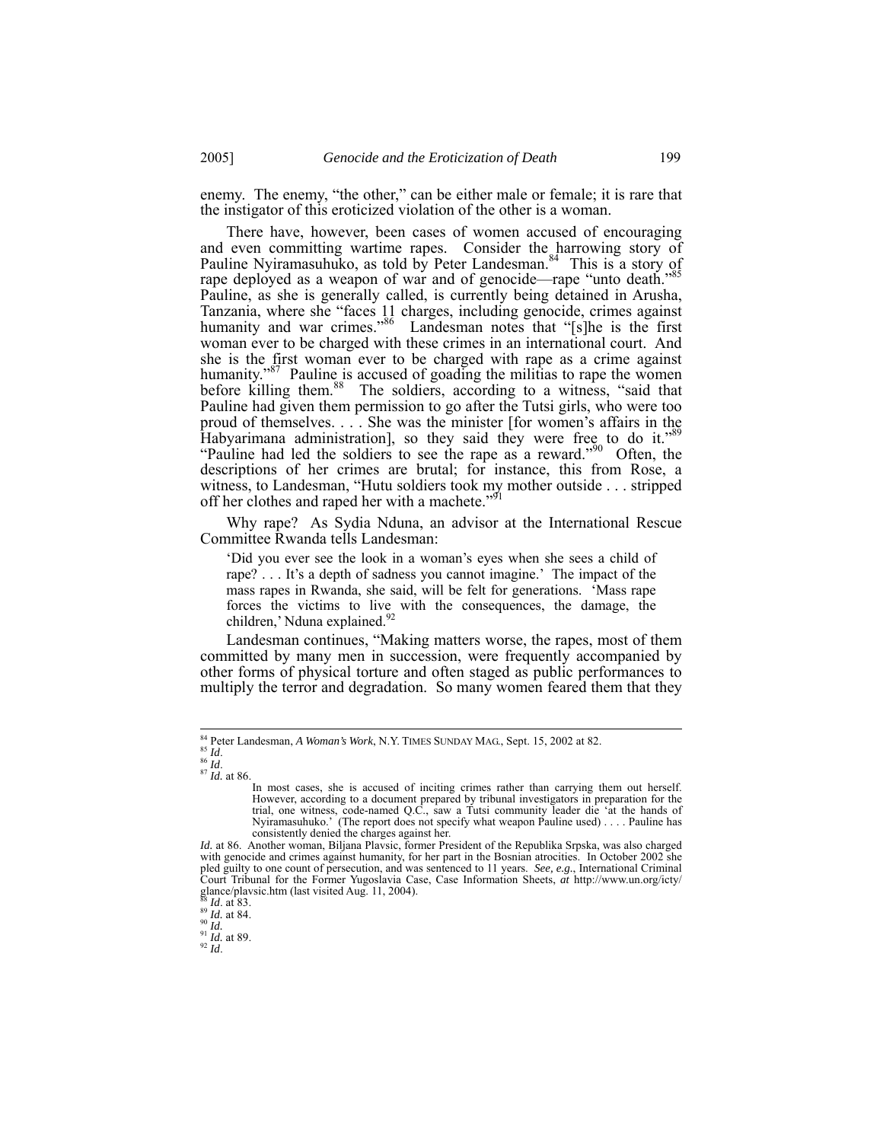enemy. The enemy, "the other," can be either male or female; it is rare that the instigator of this eroticized violation of the other is a woman.

There have, however, been cases of women accused of encouraging and even committing wartime rapes. Consider the harrowing story of Pauline Nyiramasuhuko, as told by Peter Landesman.<sup>84</sup> This is a story of rape deployed as a weapon of war and of genocide—rape "unto death."<sup>85</sup> Pauline, as she is generally called, is currently being detained in Arusha, Tanzania, where she "faces 11 charges, including genocide, crimes against humanity and war crimes."<sup>86</sup> Landesman notes that "[s]he is the first woman ever to be charged with these crimes in an international court. And she is the first woman ever to be charged with rape as a crime against humanity.<sup> $37$ </sup> Pauline is accused of goading the militias to rape the women before killing them.<sup>88</sup> The soldiers, according to a witness, "said that Pauline had given them permission to go after the Tutsi girls, who were too proud of themselves. . . . She was the minister [for women's affairs in the Habyarimana administration], so they said they were free to do it."89 "Pauline had led the soldiers to see the rape as a reward."<sup>90</sup> Often, the descriptions of her crimes are brutal; for instance, this from Rose, a witness, to Landesman, "Hutu soldiers took my mother outside . . . stripped off her clothes and raped her with a machete."<sup>91</sup>

Why rape? As Sydia Nduna, an advisor at the International Rescue Committee Rwanda tells Landesman:

'Did you ever see the look in a woman's eyes when she sees a child of rape? . . . It's a depth of sadness you cannot imagine.' The impact of the mass rapes in Rwanda, she said, will be felt for generations. 'Mass rape forces the victims to live with the consequences, the damage, the children,' Nduna explained.<sup>92</sup>

Landesman continues, "Making matters worse, the rapes, most of them committed by many men in succession, were frequently accompanied by other forms of physical torture and often staged as public performances to multiply the terror and degradation. So many women feared them that they

<sup>84</sup> Peter Landesman, *A Woman's Work*, N.Y. TIMES SUNDAY MAG., Sept. 15, 2002 at 82. 85 *Id.* 87 *Id.* at 86.

In most cases, she is accused of inciting crimes rather than carrying them out herself. However, according to a document prepared by tribunal investigators in preparation for the trial, one witness, code-named Q.C., saw a Tutsi community leader die 'at the hands of Nyiramasuhuko.' (The report does not specify what weapon Pauline used) . . . . Pauline has consistently denied the charges against her.

*Id.* at 86. Another woman, Biljana Plavsic, former President of the Republika Srpska, was also charged with genocide and crimes against humanity, for her part in the Bosnian atrocities. In October 2002 she pled guilty to one count of persecution, and was sentenced to 11 years. *See, e.g.*, International Criminal Court Tribunal for the Former Yugoslavia Case, Case Information Sheets, *at* http://www.un.org/icty/ glance/playsic.htm (last visited Aug. 11, 2004).

<sup>88&</sup>lt;br>88 *Id.* at 83.<br>89 *Id.* at 84.<br>91 *Id.* at 89.<br>92 *Id.*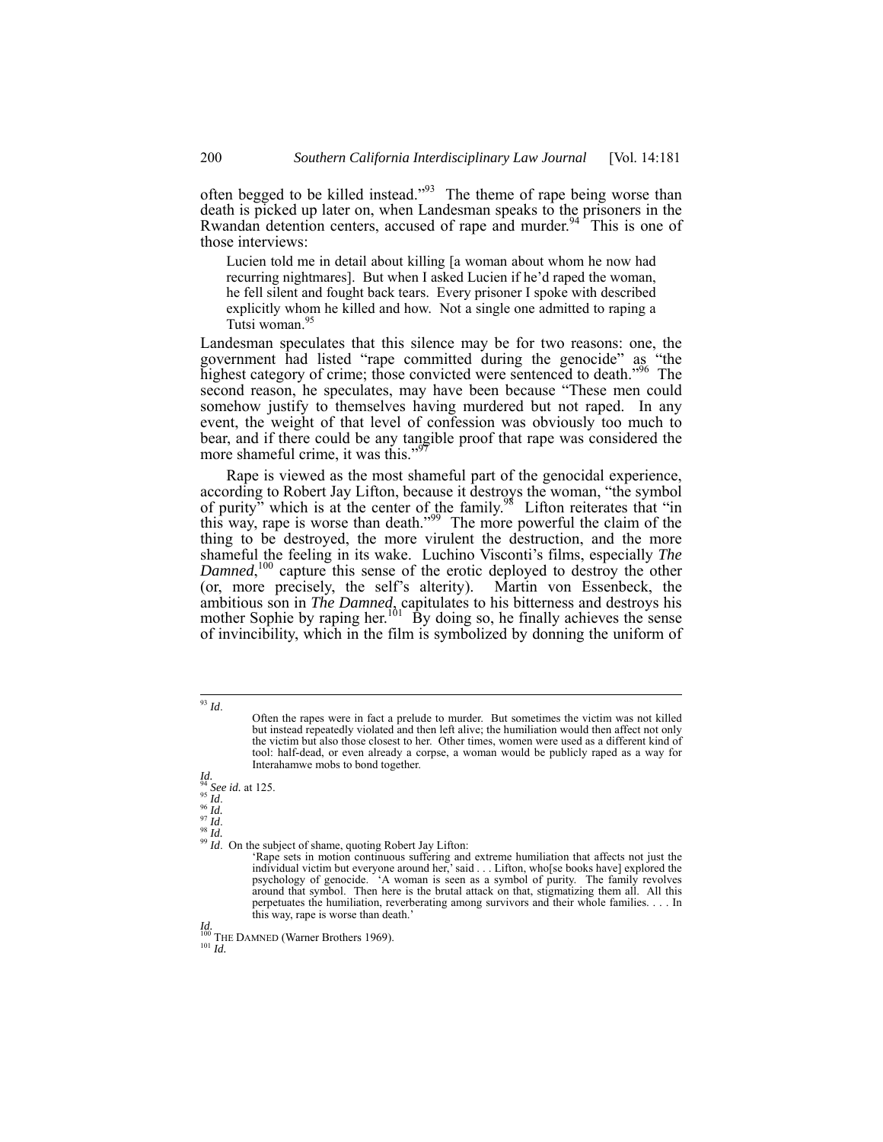often begged to be killed instead."<sup>93</sup> The theme of rape being worse than death is picked up later on, when Landesman speaks to the prisoners in the Rwandan detention centers, accused of rape and murder.<sup>94</sup> This is one of those interviews:

Lucien told me in detail about killing [a woman about whom he now had recurring nightmares]. But when I asked Lucien if he'd raped the woman, he fell silent and fought back tears. Every prisoner I spoke with described explicitly whom he killed and how. Not a single one admitted to raping a Tutsi woman.<sup>95</sup>

Landesman speculates that this silence may be for two reasons: one, the government had listed "rape committed during the genocide" as "the highest category of crime; those convicted were sentenced to death."<sup>96</sup> The second reason, he speculates, may have been because "These men could somehow justify to themselves having murdered but not raped. In any event, the weight of that level of confession was obviously too much to bear, and if there could be any tangible proof that rape was considered the more shameful crime, it was this."<sup>9</sup>

Rape is viewed as the most shameful part of the genocidal experience, according to Robert Jay Lifton, because it destroys the woman, "the symbol of purity" which is at the center of the family.<sup>98</sup> Lifton reiterates that "in this way, rape is worse than death."<sup>99</sup> The more powerful the claim of the thing to be destroyed, the more virulent the destruction, and the more shameful the feeling in its wake. Luchino Visconti's films, especially *The*  Damned,<sup>100</sup> capture this sense of the erotic deployed to destroy the other (or, more precisely, the self's alterity). Martin von Essenbeck, the ambitious son in *The Damned*, capitulates to his bitterness and destroys his mother Sophie by raping her.<sup>101</sup> By doing so, he finally achieves the sense of invincibility, which in the film is symbolized by donning the uniform of

# *Id.*<br><sup>94</sup> *See id.* at 125.<br><sup>95</sup> *Id.*<br>as  $\frac{1}{2}$

96 *Id.*<br>97 *Id.*<br><sup>98</sup> *Id.* 99 *Id.* On the subject of shame, quoting Robert Jay Lifton:

'Rape sets in motion continuous suffering and extreme humiliation that affects not just the individual victim but everyone around her,' said . . . Lifton, who[se books have] explored the psychology of genocide. 'A woman is seen as a symbol of purity. The family revolves around that symbol. Then here is the brutal attack on that, stigmatizing them all. All this perpetuates the humiliation, reverberating among survivors and their whole families. . . . In this way, rape is worse than death.'

*Id.* The DAMNED (Warner Brothers 1969). <sup>101</sup> *Id.* 

 <sup>93</sup> *Id*.

Often the rapes were in fact a prelude to murder. But sometimes the victim was not killed but instead repeatedly violated and then left alive; the humiliation would then affect not only the victim but also those closest to her. Other times, women were used as a different kind of tool: half-dead, or even already a corpse, a woman would be publicly raped as a way for Interahamwe mobs to bond together.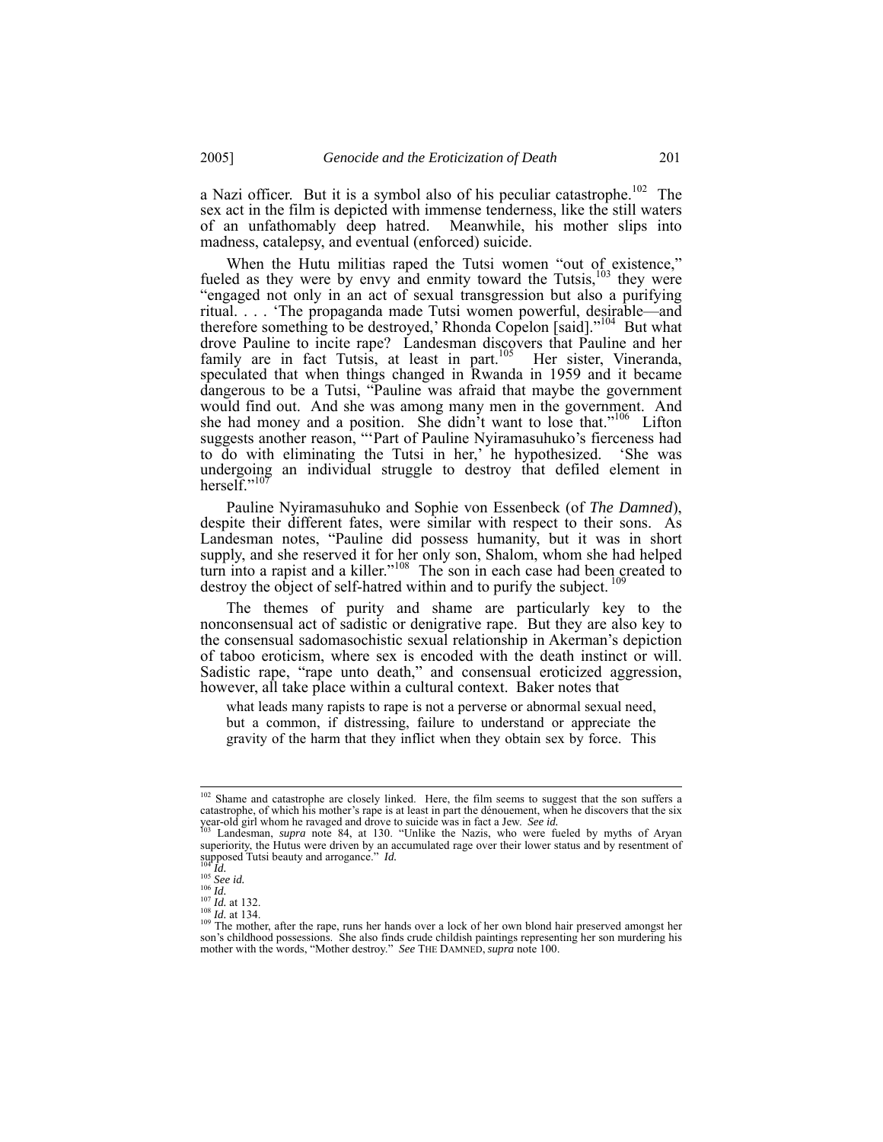a Nazi officer. But it is a symbol also of his peculiar catastrophe.<sup>102</sup> The sex act in the film is depicted with immense tenderness, like the still waters of an unfathomably deep hatred. Meanwhile, his mother slips into madness, catalepsy, and eventual (enforced) suicide.

When the Hutu militias raped the Tutsi women "out of existence," fueled as they were by envy and enmity toward the Tutsis,<sup>103</sup> they were "engaged not only in an act of sexual transgression but also a purifying ritual. . . . 'The propaganda made Tutsi women powerful, desirable—and therefore something to be destroyed,' Rhonda Copelon [said]."<sup>104</sup> But what drove Pauline to incite rape? Landesman discovers that Pauline and her family are in fact Tutsis, at least in part.<sup>105</sup> Her sister, Vineranda, speculated that when things changed in Rwanda in 1959 and it became dangerous to be a Tutsi, "Pauline was afraid that maybe the government would find out. And she was among many men in the government. And she had money and a position. She didn't want to lose that."<sup>106</sup> Lifton suggests another reason, "'Part of Pauline Nyiramasuhuko's fierceness had to do with eliminating the Tutsi in her,' he hypothesized. 'She was undergoing an individual struggle to destroy that defiled element in herself." $10$ 

Pauline Nyiramasuhuko and Sophie von Essenbeck (of *The Damned*), despite their different fates, were similar with respect to their sons. As Landesman notes, "Pauline did possess humanity, but it was in short supply, and she reserved it for her only son, Shalom, whom she had helped turn into a rapist and a killer."<sup>108</sup> The son in each case had been created to destroy the object of self-hatred within and to purify the subject.

The themes of purity and shame are particularly key to the nonconsensual act of sadistic or denigrative rape. But they are also key to the consensual sadomasochistic sexual relationship in Akerman's depiction of taboo eroticism, where sex is encoded with the death instinct or will. Sadistic rape, "rape unto death," and consensual eroticized aggression, however, all take place within a cultural context. Baker notes that

what leads many rapists to rape is not a perverse or abnormal sexual need, but a common, if distressing, failure to understand or appreciate the gravity of the harm that they inflict when they obtain sex by force. This

<sup>102</sup> Shame and catastrophe are closely linked. Here, the film seems to suggest that the son suffers a catastrophe, of which his mother's rape is at least in part the dénouement, when he discovers that the six year-old girl whom he ravaged and drove to suicide was in fact a Jew. *See id.*<br>
year-old girl whom he ravaged and drove to suicide was in fact a Jew. *See id.*<br>
<sup>103</sup> Landesman, *supra* note 84, at 130. "Unlike the Nazis,

superiority, the Hutus were driven by an accumulated rage over their lower status and by resentment of superiority, the rituals were arriven by an according to the field of the site of the site of the site of the field  $H$ .<br>
105 See id.<br>
105 See id.<br>
107 Id. at 132.<br>
108 Id. at 134.

 $\frac{109}{109}$  The mother, after the rape, runs her hands over a lock of her own blond hair preserved amongst her son's childhood possessions. She also finds crude childish paintings representing her son murdering his mother with the words, "Mother destroy." *See* THE DAMNED, *supra* note 100.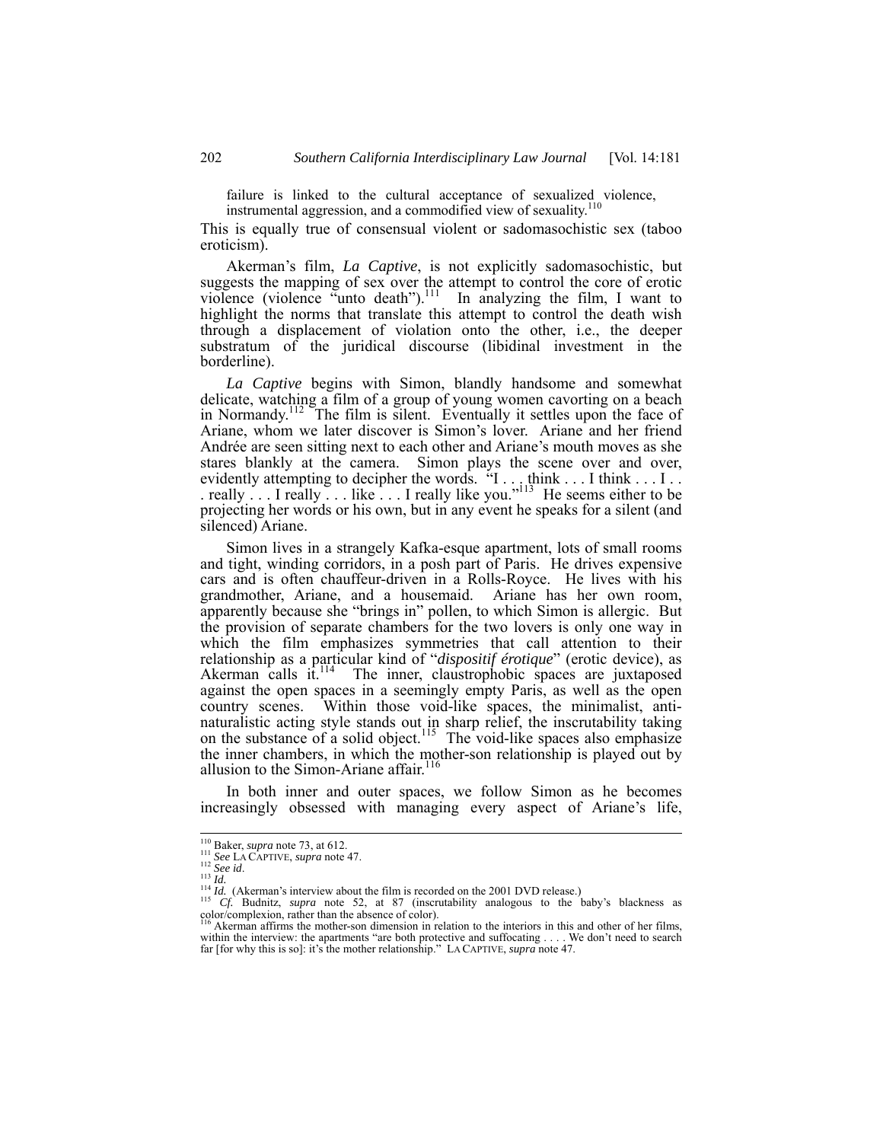failure is linked to the cultural acceptance of sexualized violence, instrumental aggression, and a commodified view of sexuality.<sup>110</sup>

This is equally true of consensual violent or sadomasochistic sex (taboo eroticism).

Akerman's film, *La Captive*, is not explicitly sadomasochistic, but suggests the mapping of sex over the attempt to control the core of erotic violence (violence "unto death").<sup>111</sup> In analyzing the film, I want to highlight the norms that translate this attempt to control the death wish through a displacement of violation onto the other, i.e., the deeper substratum of the juridical discourse (libidinal investment in the borderline).

*La Captive* begins with Simon, blandly handsome and somewhat delicate, watching a film of a group of young women cavorting on a beach in Normandy.<sup>112</sup> The film is silent. Eventually it settles upon the face of Ariane, whom we later discover is Simon's lover. Ariane and her friend Andrée are seen sitting next to each other and Ariane's mouth moves as she stares blankly at the camera. Simon plays the scene over and over, evidently attempting to decipher the words. "I . . . think . . . I think . . . I . . . really  $\ldots$  I really  $\ldots$  like  $\ldots$  I really like you."<sup>113</sup> He seems either to be projecting her words or his own, but in any event he speaks for a silent (and silenced) Ariane.

Simon lives in a strangely Kafka-esque apartment, lots of small rooms and tight, winding corridors, in a posh part of Paris. He drives expensive cars and is often chauffeur-driven in a Rolls-Royce. He lives with his grandmother, Ariane, and a housemaid. Ariane has her own room, apparently because she "brings in" pollen, to which Simon is allergic. But the provision of separate chambers for the two lovers is only one way in which the film emphasizes symmetries that call attention to their relationship as a particular kind of "*dispositif érotique*" (erotic device), as Akerman calls it.<sup>114</sup> The inner, claustrophobic spaces are juxtaposed against the open spaces in a seemingly empty Paris, as well as the open country scenes. Within those void-like spaces, the minimalist, antinaturalistic acting style stands out in sharp relief, the inscrutability taking on the substance of a solid object.<sup>115</sup> The void-like spaces also emphasize the inner chambers, in which the mother-son relationship is played out by allusion to the Simon-Ariane affair. $116$ 

In both inner and outer spaces, we follow Simon as he becomes increasingly obsessed with managing every aspect of Ariane's life,

<sup>&</sup>lt;sup>110</sup> Baker, *supra* note 73, at 612.<br>
<sup>111</sup> See LA CAPTIVE, *supra* note 47.<br>
<sup>112</sup> See id.<br>
<sup>114</sup> Id. (Akerman's interview about the film is recorded on the 2001 DVD release.)<br>
<sup>114</sup> Id. (Akerman's interview about the f color/complexion, rather than the absence of color).<br><sup>116</sup> Akerman affirms the mother-son dimension in relation to the interiors in this and other of her films,

within the interview: the apartments "are both protective and suffocating . . . . We don't need to search far [for why this is so]: it's the mother relationship." LA CAPTIVE, *supra* note 47.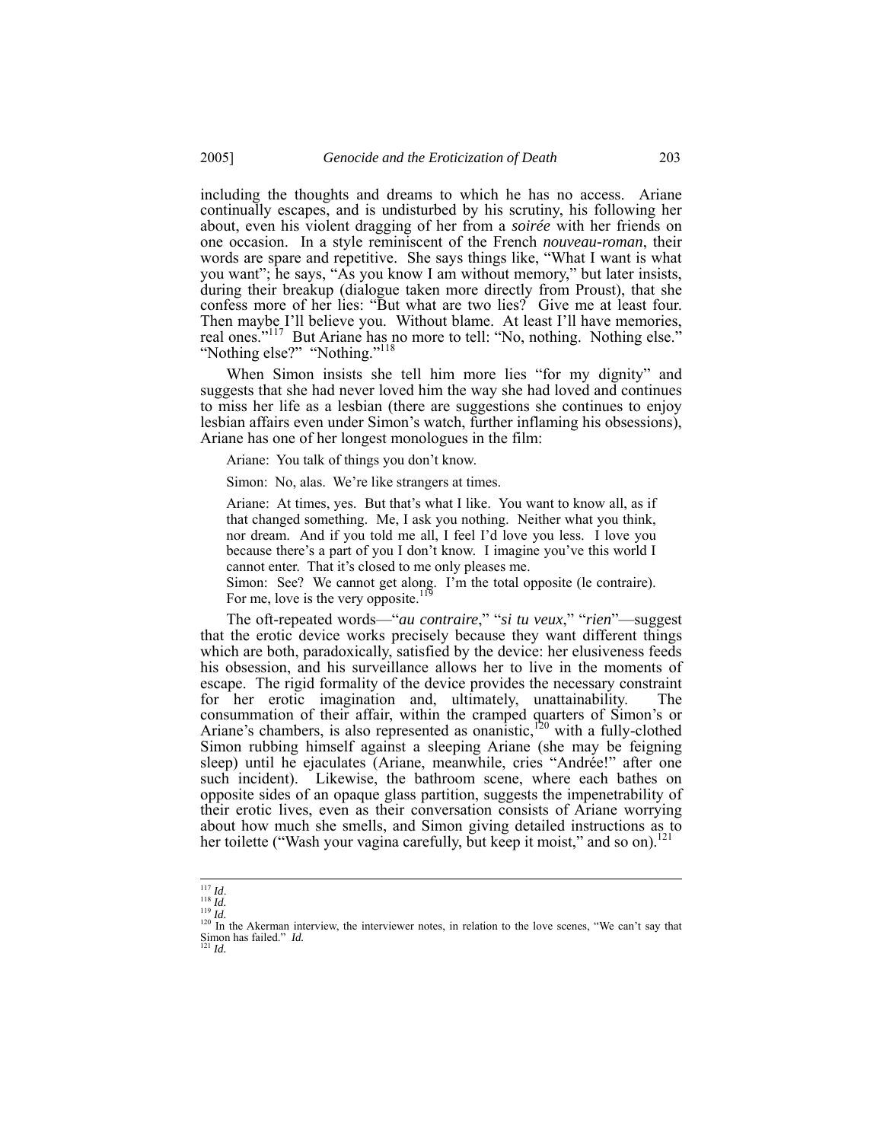including the thoughts and dreams to which he has no access. Ariane continually escapes, and is undisturbed by his scrutiny, his following her about, even his violent dragging of her from a *soirée* with her friends on one occasion. In a style reminiscent of the French *nouveau-roman*, their words are spare and repetitive. She says things like, "What I want is what you want"; he says, "As you know I am without memory," but later insists, during their breakup (dialogue taken more directly from Proust), that she confess more of her lies: "But what are two lies? Give me at least four. Then maybe I'll believe you. Without blame. At least I'll have memories, real ones.<sup>"117</sup> But Ariane has no more to tell: "No, nothing. Nothing else." "Nothing else?" "Nothing."118

When Simon insists she tell him more lies "for my dignity" and suggests that she had never loved him the way she had loved and continues to miss her life as a lesbian (there are suggestions she continues to enjoy lesbian affairs even under Simon's watch, further inflaming his obsessions), Ariane has one of her longest monologues in the film:

Ariane: You talk of things you don't know.

Simon: No, alas. We're like strangers at times.

Ariane: At times, yes. But that's what I like. You want to know all, as if that changed something. Me, I ask you nothing. Neither what you think, nor dream. And if you told me all, I feel I'd love you less. I love you because there's a part of you I don't know. I imagine you've this world I cannot enter. That it's closed to me only pleases me.

Simon: See? We cannot get along. I'm the total opposite (le contraire). For me, love is the very opposite.<sup>119</sup>

The oft-repeated words—"*au contraire*," "*si tu veux*," "*rien*"—suggest that the erotic device works precisely because they want different things which are both, paradoxically, satisfied by the device: her elusiveness feeds his obsession, and his surveillance allows her to live in the moments of escape. The rigid formality of the device provides the necessary constraint for her erotic imagination and, ultimately, unattainability. The consummation of their affair, within the cramped quarters of Simon's or Ariane's chambers, is also represented as onanistic,<sup>120</sup> with a fully-clothed Simon rubbing himself against a sleeping Ariane (she may be feigning sleep) until he ejaculates (Ariane, meanwhile, cries "Andrée!" after one such incident). Likewise, the bathroom scene, where each bathes on opposite sides of an opaque glass partition, suggests the impenetrability of their erotic lives, even as their conversation consists of Ariane worrying about how much she smells, and Simon giving detailed instructions as to her toilette ("Wash your vagina carefully, but keep it moist," and so on).<sup>121</sup>

<sup>&</sup>lt;sup>117</sup> *Id.* <sup>118</sup> *Id.* <sup>118</sup> *Id.* <sup>119</sup> *Id.* <sup>119</sup> *Id.* <sup>119</sup> *Id.* <sup>119</sup> *Id.* <sup>120</sup> In the Akerman interview, the interviewer notes, in relation to the love scenes, "We can't say that Simon has failed." *Id.* <sup>121</sup> *Id.*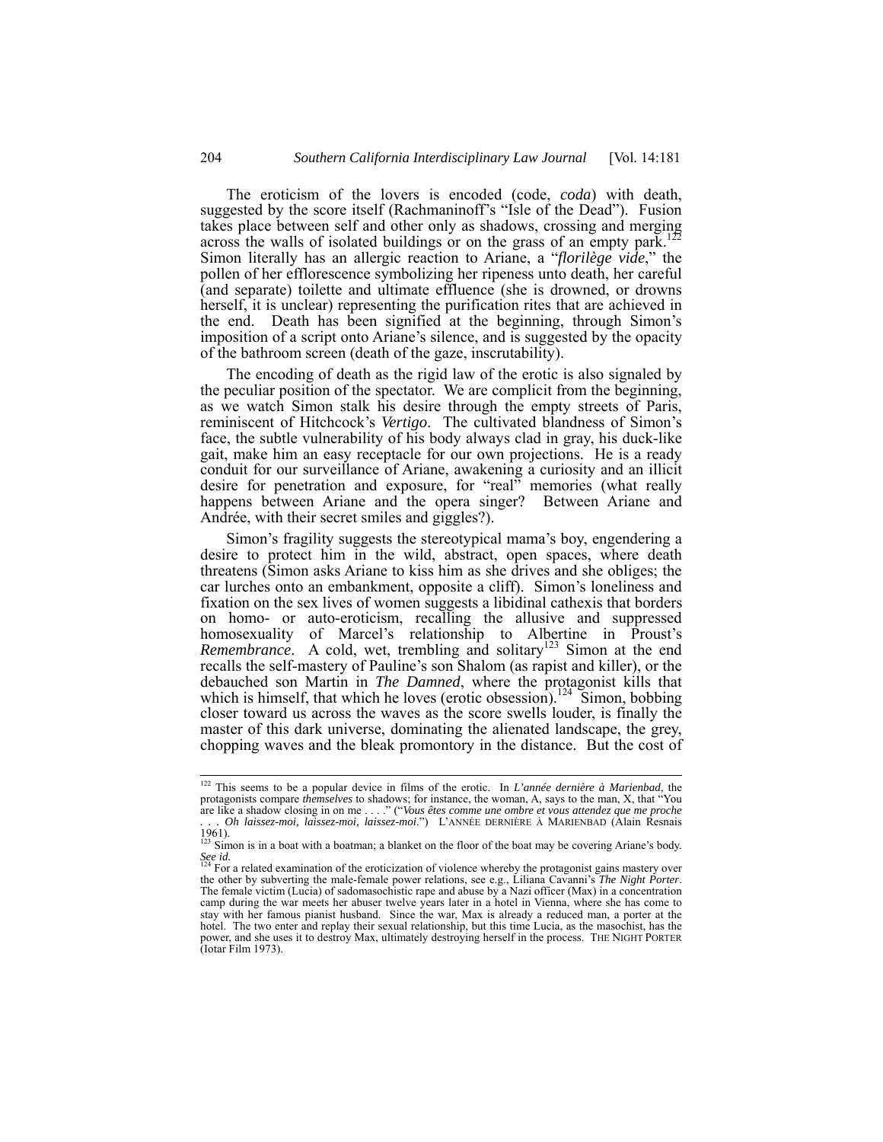The eroticism of the lovers is encoded (code, *coda*) with death, suggested by the score itself (Rachmaninoff's "Isle of the Dead"). Fusion takes place between self and other only as shadows, crossing and merging across the walls of isolated buildings or on the grass of an empty park.122 Simon literally has an allergic reaction to Ariane, a "*florilège vide*," the pollen of her efflorescence symbolizing her ripeness unto death, her careful (and separate) toilette and ultimate effluence (she is drowned, or drowns herself, it is unclear) representing the purification rites that are achieved in the end. Death has been signified at the beginning, through Simon's imposition of a script onto Ariane's silence, and is suggested by the opacity of the bathroom screen (death of the gaze, inscrutability).

The encoding of death as the rigid law of the erotic is also signaled by the peculiar position of the spectator. We are complicit from the beginning, as we watch Simon stalk his desire through the empty streets of Paris, reminiscent of Hitchcock's *Vertigo*. The cultivated blandness of Simon's face, the subtle vulnerability of his body always clad in gray, his duck-like gait, make him an easy receptacle for our own projections. He is a ready conduit for our surveillance of Ariane, awakening a curiosity and an illicit desire for penetration and exposure, for "real" memories (what really happens between Ariane and the opera singer? Between Ariane and Andrée, with their secret smiles and giggles?).

Simon's fragility suggests the stereotypical mama's boy, engendering a desire to protect him in the wild, abstract, open spaces, where death threatens (Simon asks Ariane to kiss him as she drives and she obliges; the car lurches onto an embankment, opposite a cliff). Simon's loneliness and fixation on the sex lives of women suggests a libidinal cathexis that borders on homo- or auto-eroticism, recalling the allusive and suppressed homosexuality of Marcel's relationship to Albertine in Proust's *Remembrance.* A cold, wet, trembling and solitary<sup>123</sup> Simon at the end recalls the self-mastery of Pauline's son Shalom (as rapist and killer), or the debauched son Martin in *The Damned*, where the protagonist kills that which is himself, that which he loves (erotic obsession).<sup>124</sup> Simon, bobbing closer toward us across the waves as the score swells louder, is finally the master of this dark universe, dominating the alienated landscape, the grey, chopping waves and the bleak promontory in the distance. But the cost of

 <sup>122</sup> This seems to be a popular device in films of the erotic. In *L'année dernière à Marienbad*, the protagonists compare *themselves* to shadows; for instance, the woman, A, says to the man, X, that "You are like a shadow closing in on me . . . ." ("*Vous êtes comme une ombre et vous attendez que me proche . . . Oh laissez-moi, laissez-moi, laissez-moi*.") L'ANNÉE DERNIÈRE À MARIENBAD (Alain Resnais

<sup>1961).</sup>  123 Simon is in a boat with a boatman; a blanket on the floor of the boat may be covering Ariane's body.

*See id.*  124 For a related examination of the eroticization of violence whereby the protagonist gains mastery over the other by subverting the male-female power relations, see e.g., Liliana Cavanni's *The Night Porter*. The female victim (Lucia) of sadomasochistic rape and abuse by a Nazi officer (Max) in a concentration camp during the war meets her abuser twelve years later in a hotel in Vienna, where she has come to stay with her famous pianist husband. Since the war, Max is already a reduced man, a porter at the hotel. The two enter and replay their sexual relationship, but this time Lucia, as the masochist, has the power, and she uses it to destroy Max, ultimately destroying herself in the process. THE NIGHT PORTER (Iotar Film 1973).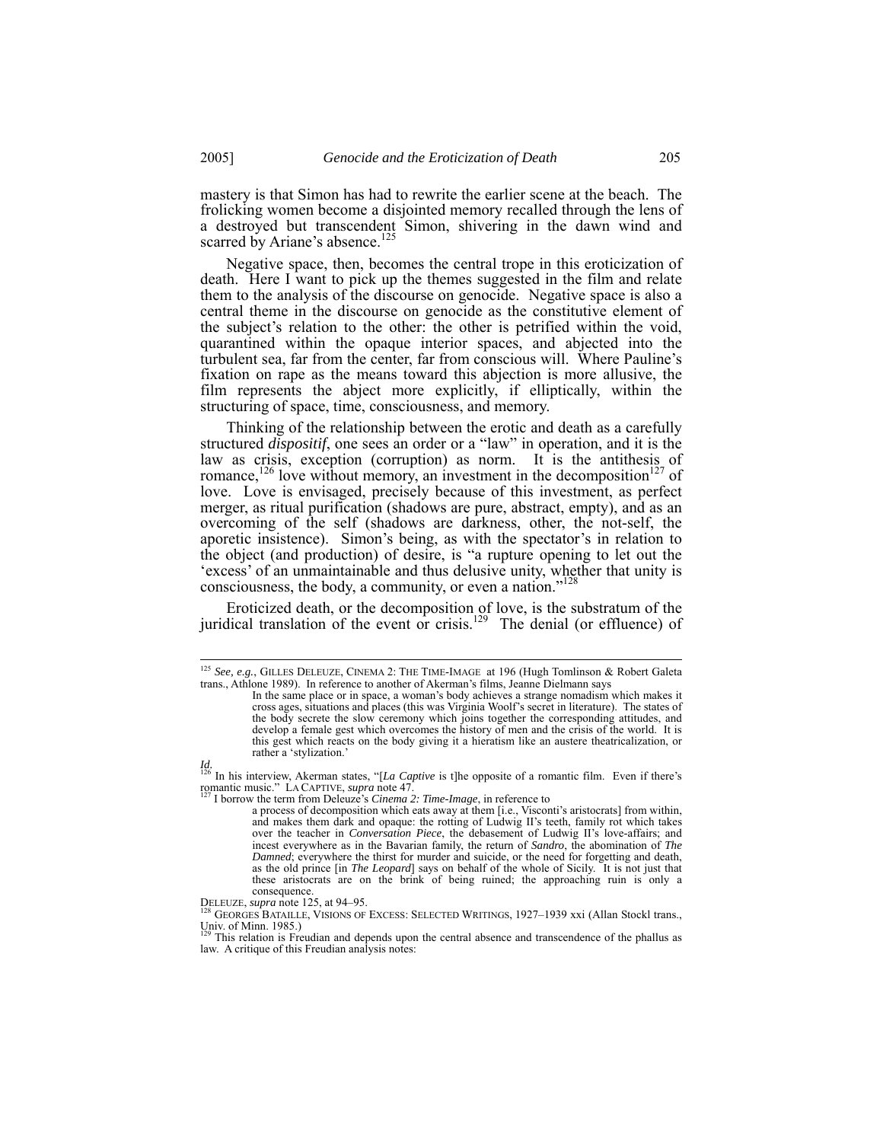mastery is that Simon has had to rewrite the earlier scene at the beach. The frolicking women become a disjointed memory recalled through the lens of a destroyed but transcendent Simon, shivering in the dawn wind and scarred by Ariane's absence.<sup>125</sup>

Negative space, then, becomes the central trope in this eroticization of death. Here I want to pick up the themes suggested in the film and relate them to the analysis of the discourse on genocide. Negative space is also a central theme in the discourse on genocide as the constitutive element of the subject's relation to the other: the other is petrified within the void, quarantined within the opaque interior spaces, and abjected into the turbulent sea, far from the center, far from conscious will. Where Pauline's fixation on rape as the means toward this abjection is more allusive, the film represents the abject more explicitly, if elliptically, within the structuring of space, time, consciousness, and memory.

Thinking of the relationship between the erotic and death as a carefully structured *dispositif*, one sees an order or a "law" in operation, and it is the law as crisis, exception (corruption) as norm. It is the antithesis of romance,<sup>126</sup> love without memory, an investment in the decomposition<sup>127</sup> of love. Love is envisaged, precisely because of this investment, as perfect merger, as ritual purification (shadows are pure, abstract, empty), and as an overcoming of the self (shadows are darkness, other, the not-self, the aporetic insistence). Simon's being, as with the spectator's in relation to the object (and production) of desire, is "a rupture opening to let out the 'excess' of an unmaintainable and thus delusive unity, whether that unity is consciousness, the body, a community, or even a nation."<sup>128</sup>

Eroticized death, or the decomposition of love, is the substratum of the juridical translation of the event or crisis.<sup>129</sup> The denial (or effluence) of

 <sup>125</sup> *See, e.g.*, GILLES DELEUZE, CINEMA 2: THE TIME-IMAGE at 196 (Hugh Tomlinson & Robert Galeta trans., Athlone 1989). In reference to another of Akerman's films, Jeanne Dielmann says

In the same place or in space, a woman's body achieves a strange nomadism which makes it cross ages, situations and places (this was Virginia Woolf's secret in literature). The states of the body secrete the slow ceremony which joins together the corresponding attitudes, and develop a female gest which overcomes the history of men and the crisis of the world. It is this gest which reacts on the body giving it a hieratism like an austere theatricalization, or rather a 'stylization.'

*Id.*  126 In his interview, Akerman states, "[*La Captive* is t]he opposite of a romantic film. Even if there's romantic music." LA CAPTIVE, *supra* note 47.<br><sup>127</sup> I borrow the term from Deleuze's *Cinema 2: Time-Image*, in reference to

a process of decomposition which eats away at them [i.e., Visconti's aristocrats] from within, and makes them dark and opaque: the rotting of Ludwig II's teeth, family rot which takes over the teacher in *Conversation Piece*, the debasement of Ludwig II's love-affairs; and incest everywhere as in the Bavarian family, the return of *Sandro*, the abomination of *The Damned*; everywhere the thirst for murder and suicide, or the need for forgetting and death, as the old prince [in *The Leopard*] says on behalf of the whole of Sicily. It is not just that these aristocrats are on the brink of being ruined; the approaching ruin is only a

consequence.<br>DELEUZE, *supra* note 125, at 94–95.

GEORGES BATAILLE, VISIONS OF EXCESS: SELECTED WRITINGS, 1927–1939 xxi (Allan Stockl trans., Univ. of Minn. 1985.)

This relation is Freudian and depends upon the central absence and transcendence of the phallus as law. A critique of this Freudian analysis notes: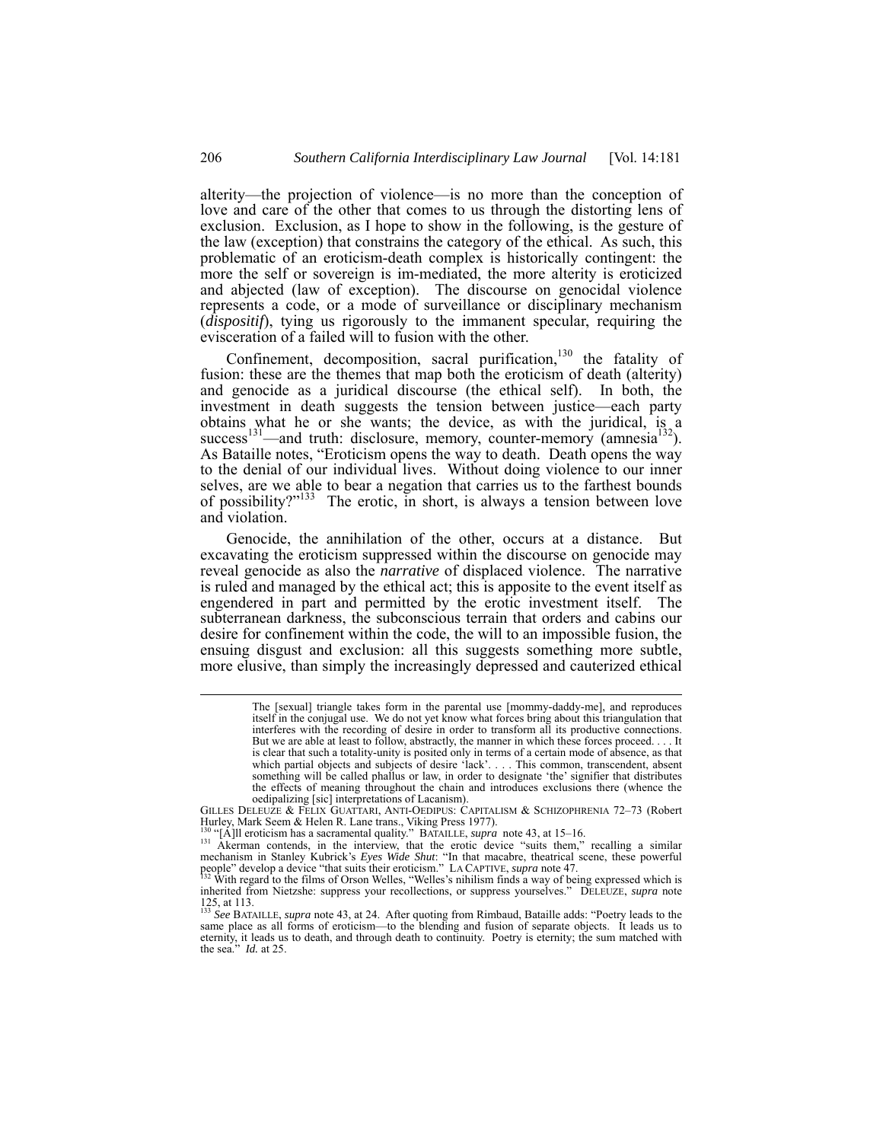alterity—the projection of violence—is no more than the conception of love and care of the other that comes to us through the distorting lens of exclusion. Exclusion, as I hope to show in the following, is the gesture of the law (exception) that constrains the category of the ethical. As such, this problematic of an eroticism-death complex is historically contingent: the more the self or sovereign is im-mediated, the more alterity is eroticized and abjected (law of exception). The discourse on genocidal violence represents a code, or a mode of surveillance or disciplinary mechanism (*dispositif*), tying us rigorously to the immanent specular, requiring the evisceration of a failed will to fusion with the other.

Confinement, decomposition, sacral purification,<sup>130</sup> the fatality of fusion: these are the themes that map both the eroticism of death (alterity) and genocide as a juridical discourse (the ethical self). In both, the investment in death suggests the tension between justice—each party obtains what he or she wants; the device, as with the juridical, is a success<sup>131</sup>—and truth: disclosure, memory, counter-memory (amnesia<sup>132</sup>). As Bataille notes, "Eroticism opens the way to death. Death opens the way to the denial of our individual lives. Without doing violence to our inner selves, are we able to bear a negation that carries us to the farthest bounds of possibility? $133$  The erotic, in short, is always a tension between love and violation.

Genocide, the annihilation of the other, occurs at a distance. But excavating the eroticism suppressed within the discourse on genocide may reveal genocide as also the *narrative* of displaced violence. The narrative is ruled and managed by the ethical act; this is apposite to the event itself as engendered in part and permitted by the erotic investment itself. The subterranean darkness, the subconscious terrain that orders and cabins our desire for confinement within the code, the will to an impossible fusion, the ensuing disgust and exclusion: all this suggests something more subtle, more elusive, than simply the increasingly depressed and cauterized ethical

GILLES DELEUZE & FELIX GUATTARI, ANTI-OEDIPUS: CAPITALISM & SCHIZOPHRENIA 72–73 (Robert Hurley, Mark Seem & Helen R. Lane trans., Viking Press 1977).<br><sup>130</sup> "[A]ll eroticism has a sacramental quality." BATAILLE, *supra* note 43, at 15–16.<br><sup>131</sup> Akerman contends, in the interview, that the erotic device "suits

mechanism in Stanley Kubrick's *Eyes Wide Shut*: "In that macabre, theatrical scene, these powerful people" develop a device "that suits their eroticism." LA CAPTIVE, *supra* note 47.<br><sup>132</sup> With regard to the films of Orso

The [sexual] triangle takes form in the parental use [mommy-daddy-me], and reproduces itself in the conjugal use. We do not yet know what forces bring about this triangulation that interferes with the recording of desire in order to transform all its productive connections. But we are able at least to follow, abstractly, the manner in which these forces proceed. . . . It is clear that such a totality-unity is posited only in terms of a certain mode of absence, as that which partial objects and subjects of desire 'lack'. . . . This common, transcendent, absent something will be called phallus or law, in order to designate 'the' signifier that distributes the effects of meaning throughout the chain and introduces exclusions there (whence the oedipalizing [sic] interpretations of Lacanism).

inherited from Nietzshe: suppress your recollections, or suppress yourselves." DELEUZE, *supra* note 125, at 113. <sup>133</sup> *See* BATAILLE, *supra* note 43, at 24. After quoting from Rimbaud, Bataille adds: "Poetry leads to the

same place as all forms of eroticism—to the blending and fusion of separate objects. It leads us to eternity, it leads us to death, and through death to continuity. Poetry is eternity; the sum matched with the sea." *Id.* at 25.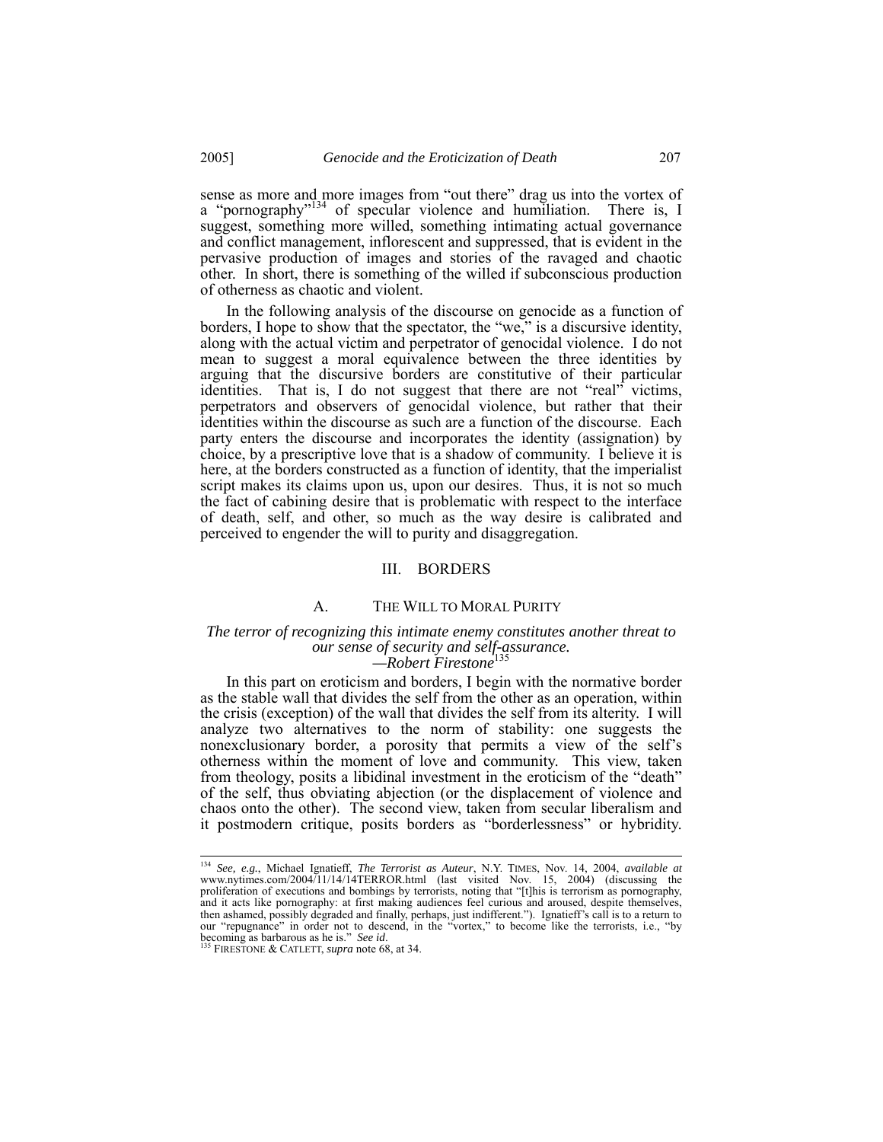sense as more and more images from "out there" drag us into the vortex of a "pornography"<sup>134</sup> of specular violence and humiliation. There is, I suggest, something more willed, something intimating actual governance and conflict management, inflorescent and suppressed, that is evident in the pervasive production of images and stories of the ravaged and chaotic other. In short, there is something of the willed if subconscious production of otherness as chaotic and violent.

In the following analysis of the discourse on genocide as a function of borders, I hope to show that the spectator, the "we," is a discursive identity, along with the actual victim and perpetrator of genocidal violence. I do not mean to suggest a moral equivalence between the three identities by arguing that the discursive borders are constitutive of their particular identities. That is, I do not suggest that there are not "real" victims, perpetrators and observers of genocidal violence, but rather that their identities within the discourse as such are a function of the discourse. Each party enters the discourse and incorporates the identity (assignation) by choice, by a prescriptive love that is a shadow of community. I believe it is here, at the borders constructed as a function of identity, that the imperialist script makes its claims upon us, upon our desires. Thus, it is not so much the fact of cabining desire that is problematic with respect to the interface of death, self, and other, so much as the way desire is calibrated and perceived to engender the will to purity and disaggregation.

#### III. BORDERS

#### A. THE WILL TO MORAL PURITY

#### *The terror of recognizing this intimate enemy constitutes another threat to our sense of security and self-assurance.*   $-Robert$  Firestone<sup>1</sup>

In this part on eroticism and borders, I begin with the normative border as the stable wall that divides the self from the other as an operation, within the crisis (exception) of the wall that divides the self from its alterity. I will analyze two alternatives to the norm of stability: one suggests the nonexclusionary border, a porosity that permits a view of the self's otherness within the moment of love and community. This view, taken from theology, posits a libidinal investment in the eroticism of the "death" of the self, thus obviating abjection (or the displacement of violence and chaos onto the other). The second view, taken from secular liberalism and it postmodern critique, posits borders as "borderlessness" or hybridity.

 <sup>134</sup> *See, e.g.*, Michael Ignatieff, *The Terrorist as Auteur*, N.Y. TIMES, Nov. 14, 2004, *available at* www.nytimes.com/2004/11/14/14TERROR.html (last visited Nov. 15, 2004) (discussing the proliferation of executions and bombings by terrorists, noting that "[t]his is terrorism as pornography, and it acts like pornography: at first making audiences feel curious and aroused, despite themselves, then ashamed, possibly degraded and finally, perhaps, just indifferent."). Ignatieff's call is to a return to our "repugnance" in order not to descend, in the "vortex," to become like the terrorists, i.e., "by becoming as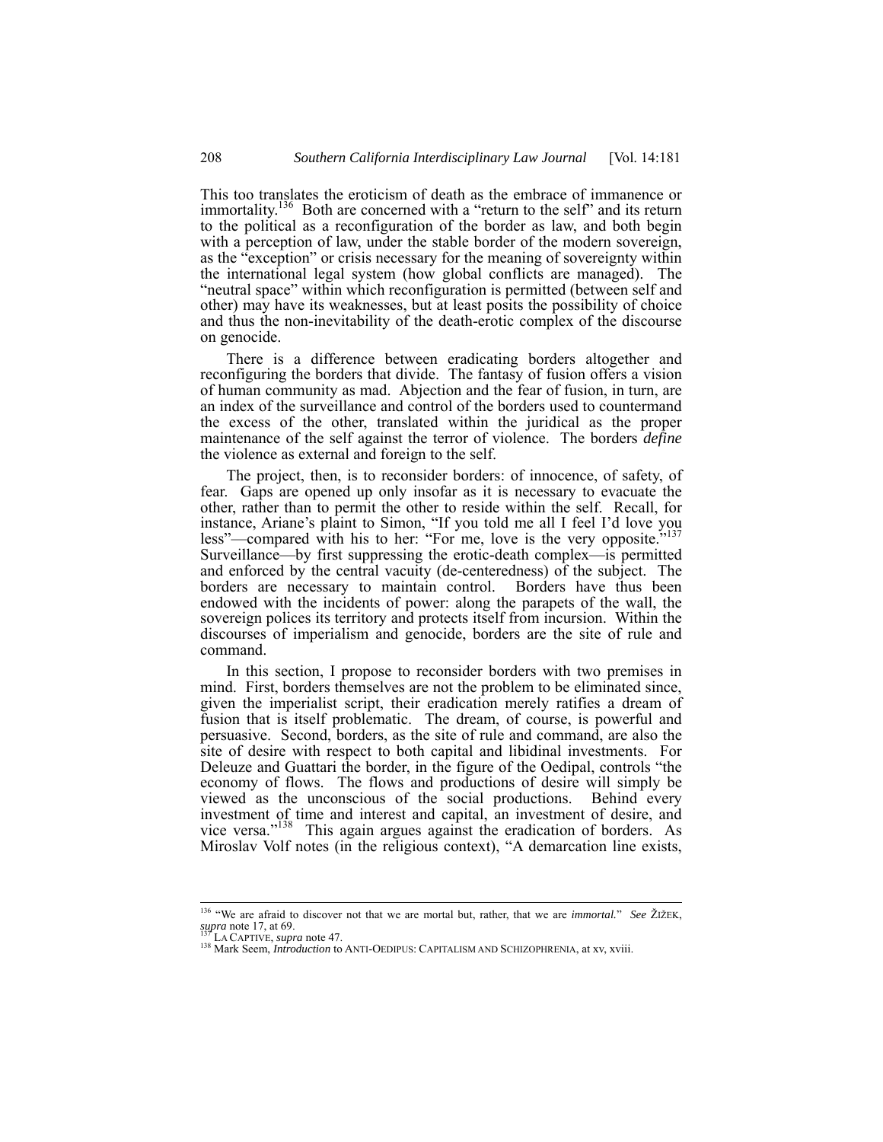This too translates the eroticism of death as the embrace of immanence or immortality.<sup>136</sup> Both are concerned with a "return to the self" and its return to the political as a reconfiguration of the border as law, and both begin with a perception of law, under the stable border of the modern sovereign, as the "exception" or crisis necessary for the meaning of sovereignty within the international legal system (how global conflicts are managed). The "neutral space" within which reconfiguration is permitted (between self and other) may have its weaknesses, but at least posits the possibility of choice and thus the non-inevitability of the death-erotic complex of the discourse on genocide.

There is a difference between eradicating borders altogether and reconfiguring the borders that divide. The fantasy of fusion offers a vision of human community as mad. Abjection and the fear of fusion, in turn, are an index of the surveillance and control of the borders used to countermand the excess of the other, translated within the juridical as the proper maintenance of the self against the terror of violence. The borders *define* the violence as external and foreign to the self.

The project, then, is to reconsider borders: of innocence, of safety, of fear. Gaps are opened up only insofar as it is necessary to evacuate the other, rather than to permit the other to reside within the self. Recall, for instance, Ariane's plaint to Simon, "If you told me all I feel I'd love you less"—compared with his to her: "For me, love is the very opposite."<sup>137</sup> Surveillance—by first suppressing the erotic-death complex—is permitted and enforced by the central vacuity (de-centeredness) of the subject. The borders are necessary to maintain control. Borders have thus been endowed with the incidents of power: along the parapets of the wall, the sovereign polices its territory and protects itself from incursion. Within the discourses of imperialism and genocide, borders are the site of rule and command.

In this section, I propose to reconsider borders with two premises in mind. First, borders themselves are not the problem to be eliminated since, given the imperialist script, their eradication merely ratifies a dream of fusion that is itself problematic. The dream, of course, is powerful and persuasive. Second, borders, as the site of rule and command, are also the site of desire with respect to both capital and libidinal investments. For Deleuze and Guattari the border, in the figure of the Oedipal, controls "the economy of flows. The flows and productions of desire will simply be viewed as the unconscious of the social productions. Behind every investment of time and interest and capital, an investment of desire, and vice versa."138 This again argues against the eradication of borders. As Miroslav Volf notes (in the religious context), "A demarcation line exists,

<sup>&</sup>lt;sup>136</sup> "We are afraid to discover not that we are mortal but, rather, that we are *immortal.*" *See* ŽIŽEK,  $\frac{137}{137}$  note 17, at 69.

<sup>&</sup>lt;sup>137</sup> LA CAPTIVE, *supra* note 47.<br><sup>138</sup> Mark Seem, *Introduction* to ANTI-OEDIPUS: CAPITALISM AND SCHIZOPHRENIA, at xv, xviii.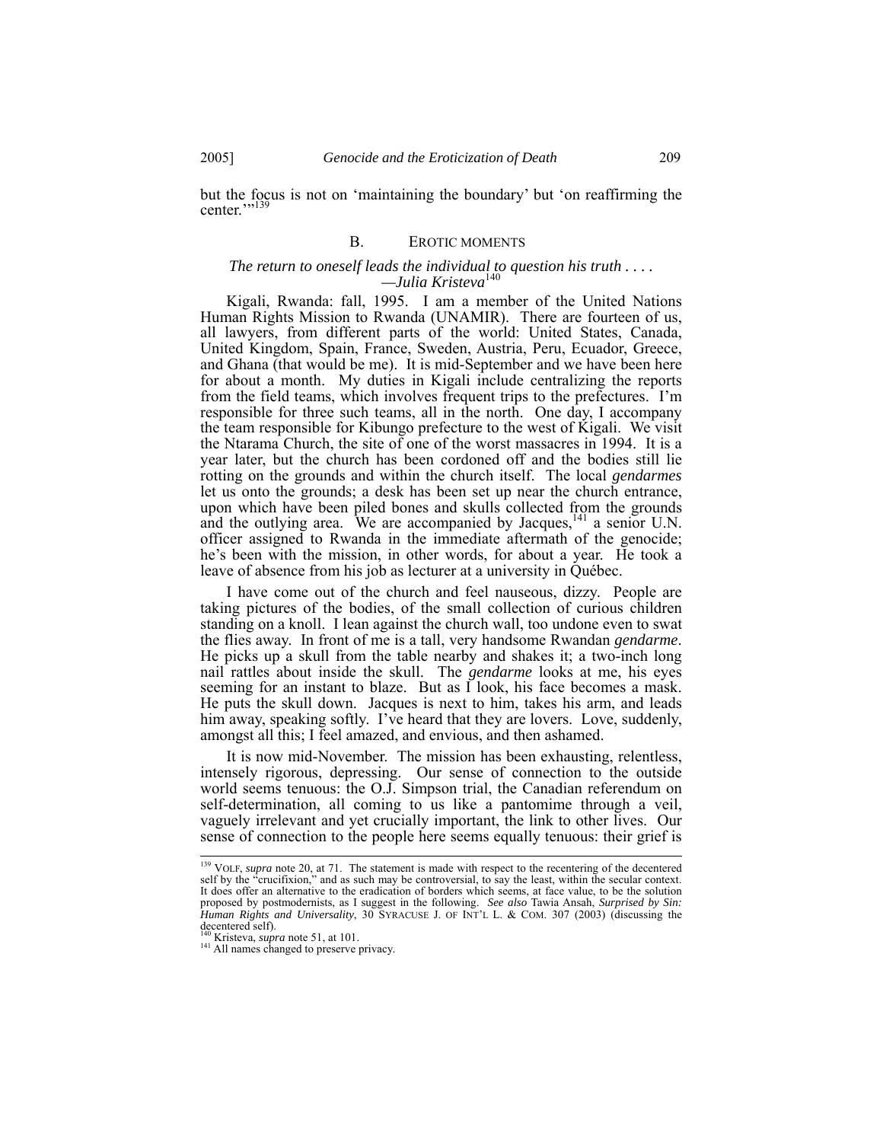but the focus is not on 'maintaining the boundary' but 'on reaffirming the center."<sup>139</sup>

#### B. EROTIC MOMENTS

#### *The return to oneself leads the individual to question his truth . . . . —Julia Kristeva*<sup>140</sup>

Kigali, Rwanda: fall, 1995. I am a member of the United Nations Human Rights Mission to Rwanda (UNAMIR). There are fourteen of us, all lawyers, from different parts of the world: United States, Canada, United Kingdom, Spain, France, Sweden, Austria, Peru, Ecuador, Greece, and Ghana (that would be me). It is mid-September and we have been here for about a month. My duties in Kigali include centralizing the reports from the field teams, which involves frequent trips to the prefectures. I'm responsible for three such teams, all in the north. One day, I accompany the team responsible for Kibungo prefecture to the west of Kigali. We visit the Ntarama Church, the site of one of the worst massacres in 1994. It is a year later, but the church has been cordoned off and the bodies still lie rotting on the grounds and within the church itself. The local *gendarmes* let us onto the grounds; a desk has been set up near the church entrance, upon which have been piled bones and skulls collected from the grounds and the outlying area. We are accompanied by Jacques, $^{141}$  a senior U.N. officer assigned to Rwanda in the immediate aftermath of the genocide; he's been with the mission, in other words, for about a year. He took a leave of absence from his job as lecturer at a university in Québec.

I have come out of the church and feel nauseous, dizzy. People are taking pictures of the bodies, of the small collection of curious children standing on a knoll. I lean against the church wall, too undone even to swat the flies away. In front of me is a tall, very handsome Rwandan *gendarme*. He picks up a skull from the table nearby and shakes it; a two-inch long nail rattles about inside the skull. The *gendarme* looks at me, his eyes seeming for an instant to blaze. But as I look, his face becomes a mask. He puts the skull down. Jacques is next to him, takes his arm, and leads him away, speaking softly. I've heard that they are lovers. Love, suddenly, amongst all this; I feel amazed, and envious, and then ashamed.

It is now mid-November. The mission has been exhausting, relentless, intensely rigorous, depressing. Our sense of connection to the outside world seems tenuous: the O.J. Simpson trial, the Canadian referendum on self-determination, all coming to us like a pantomime through a veil, vaguely irrelevant and yet crucially important, the link to other lives. Our sense of connection to the people here seems equally tenuous: their grief is

<sup>&</sup>lt;sup>139</sup> VOLF, *supra* note 20, at 71. The statement is made with respect to the recentering of the decentered self by the "crucifixion," and as such may be controversial, to say the least, within the secular context. It does offer an alternative to the eradication of borders which seems, at face value, to be the solution proposed by postmodernists, as I suggest in the following. *See also* Tawia Ansah, *Surprised by Sin: Human Rights and Universality*, 30 SYRACUSE J. OF INT'L L. & COM. 307 (2003) (discussing the decentered self).<br><sup>140</sup> Kristeva, *supra* note 51, at 101.

<sup>&</sup>lt;sup>141</sup> All names changed to preserve privacy.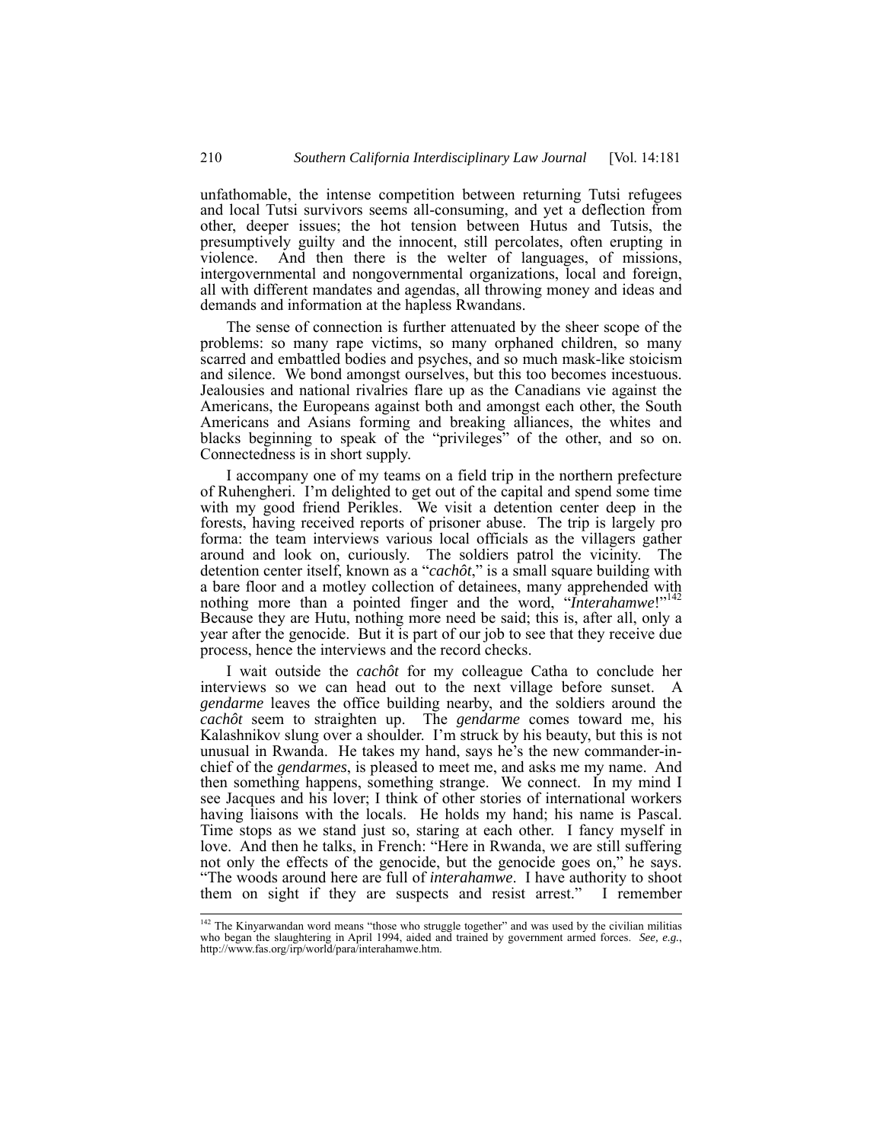unfathomable, the intense competition between returning Tutsi refugees and local Tutsi survivors seems all-consuming, and yet a deflection from other, deeper issues; the hot tension between Hutus and Tutsis, the presumptively guilty and the innocent, still percolates, often erupting in violence. And then there is the welter of languages, of missions, intergovernmental and nongovernmental organizations, local and foreign, all with different mandates and agendas, all throwing money and ideas and demands and information at the hapless Rwandans.

The sense of connection is further attenuated by the sheer scope of the problems: so many rape victims, so many orphaned children, so many scarred and embattled bodies and psyches, and so much mask-like stoicism and silence. We bond amongst ourselves, but this too becomes incestuous. Jealousies and national rivalries flare up as the Canadians vie against the Americans, the Europeans against both and amongst each other, the South Americans and Asians forming and breaking alliances, the whites and blacks beginning to speak of the "privileges" of the other, and so on. Connectedness is in short supply.

I accompany one of my teams on a field trip in the northern prefecture of Ruhengheri. I'm delighted to get out of the capital and spend some time with my good friend Perikles. We visit a detention center deep in the forests, having received reports of prisoner abuse. The trip is largely pro forma: the team interviews various local officials as the villagers gather around and look on, curiously. The soldiers patrol the vicinity. The detention center itself, known as a "*cachôt*," is a small square building with a bare floor and a motley collection of detainees, many apprehended with nothing more than a pointed finger and the word, "*Interahamwe*!"<sup>142</sup> Because they are Hutu, nothing more need be said; this is, after all, only a year after the genocide. But it is part of our job to see that they receive due process, hence the interviews and the record checks.

I wait outside the *cachôt* for my colleague Catha to conclude her interviews so we can head out to the next village before sunset. A *gendarme* leaves the office building nearby, and the soldiers around the *cachôt* seem to straighten up. The *gendarme* comes toward me, his Kalashnikov slung over a shoulder. I'm struck by his beauty, but this is not unusual in Rwanda. He takes my hand, says he's the new commander-inchief of the *gendarmes*, is pleased to meet me, and asks me my name. And then something happens, something strange. We connect. In my mind I see Jacques and his lover; I think of other stories of international workers having liaisons with the locals. He holds my hand; his name is Pascal. Time stops as we stand just so, staring at each other. I fancy myself in love. And then he talks, in French: "Here in Rwanda, we are still suffering not only the effects of the genocide, but the genocide goes on," he says. "The woods around here are full of *interahamwe*. I have authority to shoot them on sight if they are suspects and resist arrest." I remember

 <sup>142</sup> The Kinyarwandan word means "those who struggle together" and was used by the civilian militias who began the slaughtering in April 1994, aided and trained by government armed forces. *See, e.g.*, http://www.fas.org/irp/world/para/interahamwe.htm.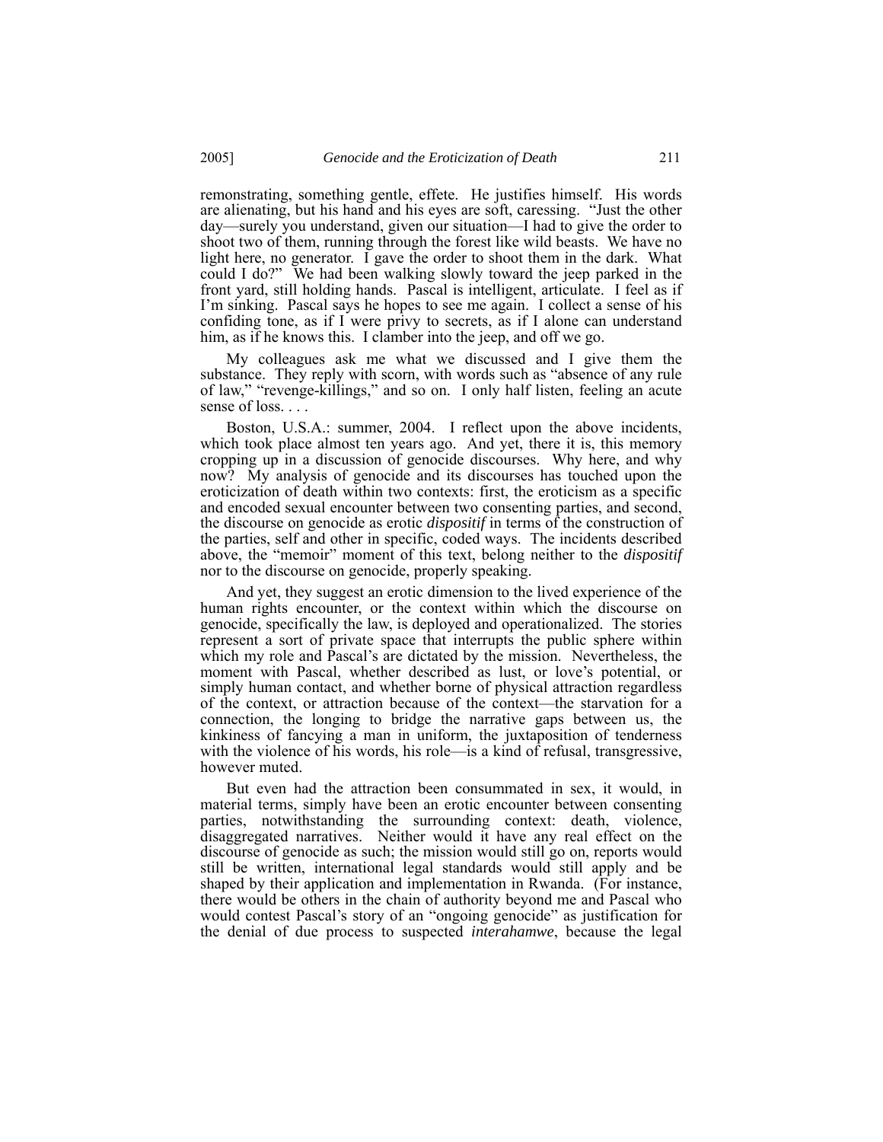remonstrating, something gentle, effete. He justifies himself. His words are alienating, but his hand and his eyes are soft, caressing. "Just the other day—surely you understand, given our situation—I had to give the order to shoot two of them, running through the forest like wild beasts. We have no light here, no generator. I gave the order to shoot them in the dark. What could I do?" We had been walking slowly toward the jeep parked in the front yard, still holding hands. Pascal is intelligent, articulate. I feel as if I'm sinking. Pascal says he hopes to see me again. I collect a sense of his confiding tone, as if I were privy to secrets, as if I alone can understand him, as if he knows this. I clamber into the jeep, and off we go.

My colleagues ask me what we discussed and I give them the substance. They reply with scorn, with words such as "absence of any rule of law," "revenge-killings," and so on. I only half listen, feeling an acute sense of loss. . . .

Boston, U.S.A.: summer, 2004. I reflect upon the above incidents, which took place almost ten years ago. And yet, there it is, this memory cropping up in a discussion of genocide discourses. Why here, and why now? My analysis of genocide and its discourses has touched upon the eroticization of death within two contexts: first, the eroticism as a specific and encoded sexual encounter between two consenting parties, and second, the discourse on genocide as erotic *dispositif* in terms of the construction of the parties, self and other in specific, coded ways. The incidents described above, the "memoir" moment of this text, belong neither to the *dispositif* nor to the discourse on genocide, properly speaking.

And yet, they suggest an erotic dimension to the lived experience of the human rights encounter, or the context within which the discourse on genocide, specifically the law, is deployed and operationalized. The stories represent a sort of private space that interrupts the public sphere within which my role and Pascal's are dictated by the mission. Nevertheless, the moment with Pascal, whether described as lust, or love's potential, or simply human contact, and whether borne of physical attraction regardless of the context, or attraction because of the context—the starvation for a connection, the longing to bridge the narrative gaps between us, the kinkiness of fancying a man in uniform, the juxtaposition of tenderness with the violence of his words, his role—is a kind of refusal, transgressive, however muted.

But even had the attraction been consummated in sex, it would, in material terms, simply have been an erotic encounter between consenting parties, notwithstanding the surrounding context: death, violence, disaggregated narratives. Neither would it have any real effect on the discourse of genocide as such; the mission would still go on, reports would still be written, international legal standards would still apply and be shaped by their application and implementation in Rwanda. (For instance, there would be others in the chain of authority beyond me and Pascal who would contest Pascal's story of an "ongoing genocide" as justification for the denial of due process to suspected *interahamwe*, because the legal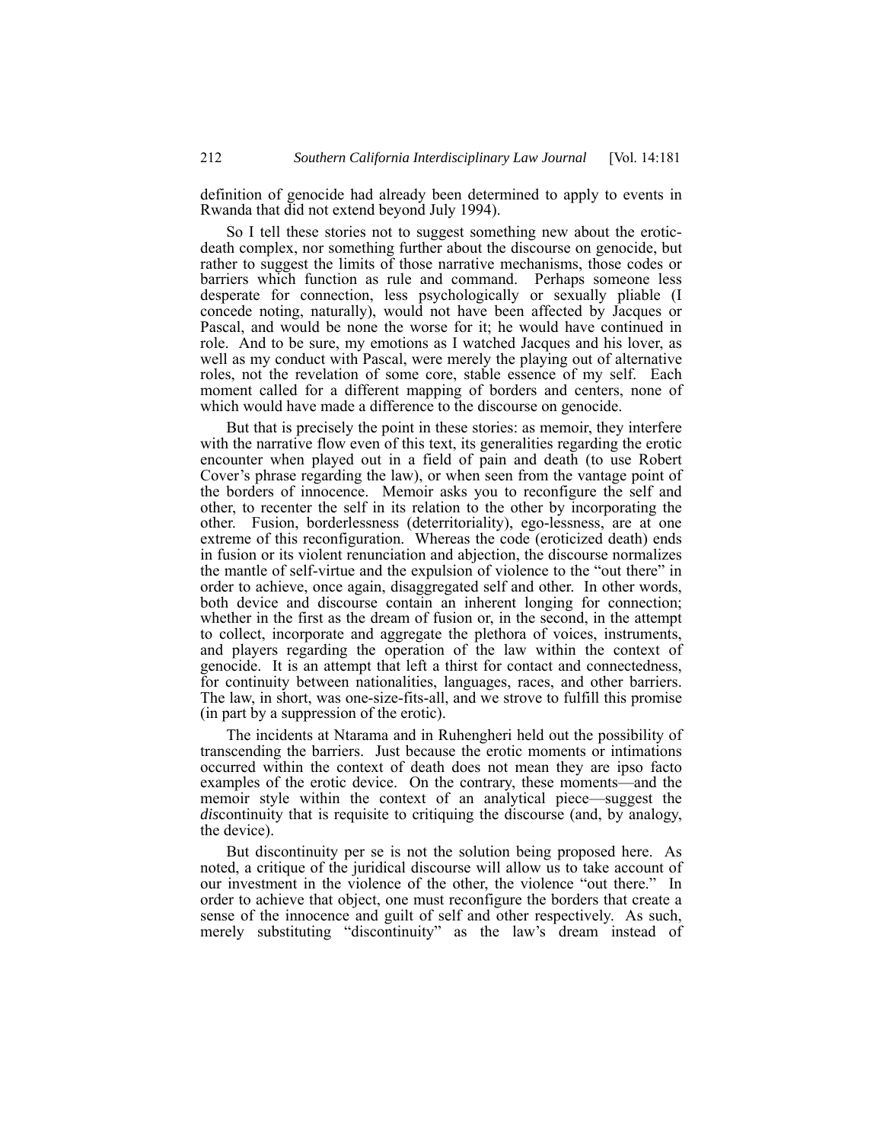definition of genocide had already been determined to apply to events in Rwanda that did not extend beyond July 1994).

So I tell these stories not to suggest something new about the eroticdeath complex, nor something further about the discourse on genocide, but rather to suggest the limits of those narrative mechanisms, those codes or barriers which function as rule and command. Perhaps someone less desperate for connection, less psychologically or sexually pliable (I concede noting, naturally), would not have been affected by Jacques or Pascal, and would be none the worse for it; he would have continued in role. And to be sure, my emotions as I watched Jacques and his lover, as well as my conduct with Pascal, were merely the playing out of alternative roles, not the revelation of some core, stable essence of my self. Each moment called for a different mapping of borders and centers, none of which would have made a difference to the discourse on genocide.

But that is precisely the point in these stories: as memoir, they interfere with the narrative flow even of this text, its generalities regarding the erotic encounter when played out in a field of pain and death (to use Robert Cover's phrase regarding the law), or when seen from the vantage point of the borders of innocence. Memoir asks you to reconfigure the self and other, to recenter the self in its relation to the other by incorporating the other. Fusion, borderlessness (deterritoriality), ego-lessness, are at one extreme of this reconfiguration. Whereas the code (eroticized death) ends in fusion or its violent renunciation and abjection, the discourse normalizes the mantle of self-virtue and the expulsion of violence to the "out there" in order to achieve, once again, disaggregated self and other. In other words, both device and discourse contain an inherent longing for connection; whether in the first as the dream of fusion or, in the second, in the attempt to collect, incorporate and aggregate the plethora of voices, instruments, and players regarding the operation of the law within the context of genocide. It is an attempt that left a thirst for contact and connectedness, for continuity between nationalities, languages, races, and other barriers. The law, in short, was one-size-fits-all, and we strove to fulfill this promise (in part by a suppression of the erotic).

The incidents at Ntarama and in Ruhengheri held out the possibility of transcending the barriers. Just because the erotic moments or intimations occurred within the context of death does not mean they are ipso facto examples of the erotic device. On the contrary, these moments—and the memoir style within the context of an analytical piece—suggest the *dis*continuity that is requisite to critiquing the discourse (and, by analogy, the device).

But discontinuity per se is not the solution being proposed here. As noted, a critique of the juridical discourse will allow us to take account of our investment in the violence of the other, the violence "out there." In order to achieve that object, one must reconfigure the borders that create a sense of the innocence and guilt of self and other respectively. As such, merely substituting "discontinuity" as the law's dream instead of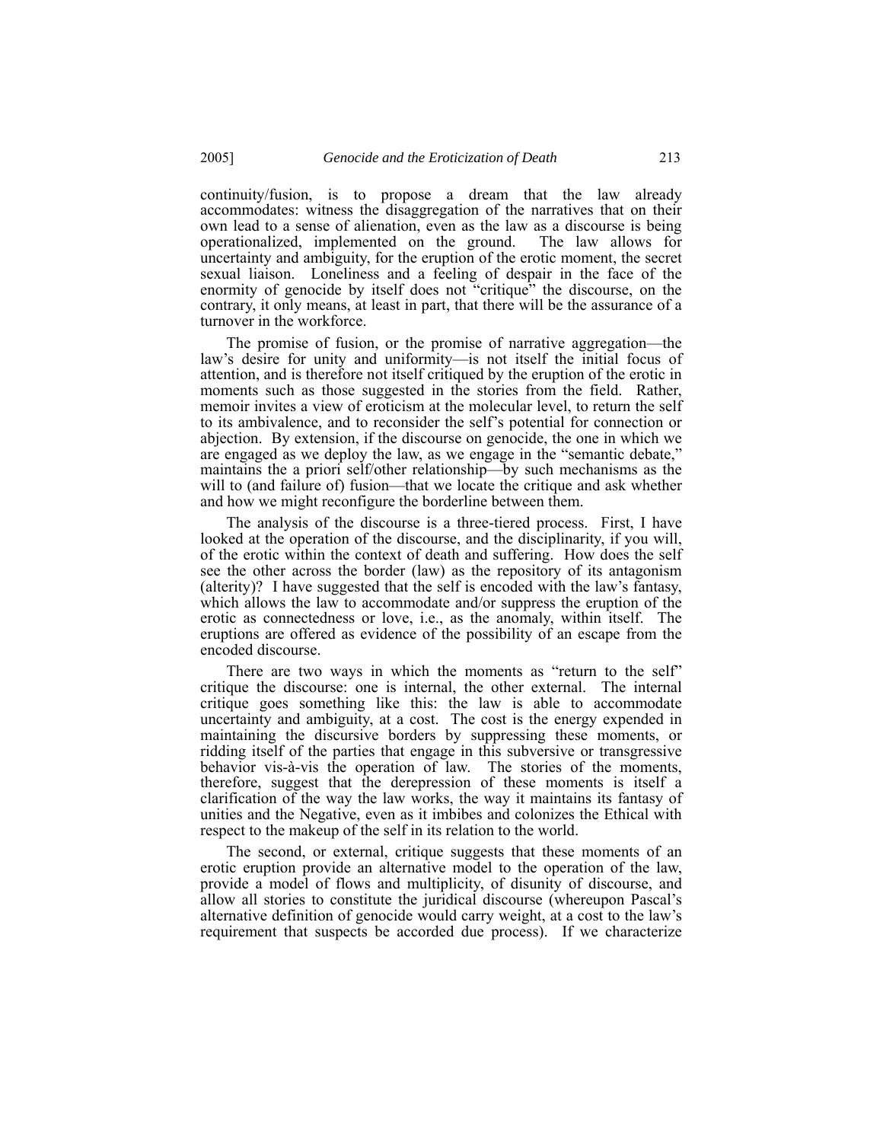continuity/fusion, is to propose a dream that the law already accommodates: witness the disaggregation of the narratives that on their own lead to a sense of alienation, even as the law as a discourse is being operationalized, implemented on the ground. The law allows for uncertainty and ambiguity, for the eruption of the erotic moment, the secret sexual liaison. Loneliness and a feeling of despair in the face of the enormity of genocide by itself does not "critique" the discourse, on the contrary, it only means, at least in part, that there will be the assurance of a turnover in the workforce.

The promise of fusion, or the promise of narrative aggregation—the law's desire for unity and uniformity—is not itself the initial focus of attention, and is therefore not itself critiqued by the eruption of the erotic in moments such as those suggested in the stories from the field. Rather, memoir invites a view of eroticism at the molecular level, to return the self to its ambivalence, and to reconsider the self's potential for connection or abjection. By extension, if the discourse on genocide, the one in which we are engaged as we deploy the law, as we engage in the "semantic debate," maintains the a priori self/other relationship—by such mechanisms as the will to (and failure of) fusion—that we locate the critique and ask whether and how we might reconfigure the borderline between them.

The analysis of the discourse is a three-tiered process. First, I have looked at the operation of the discourse, and the disciplinarity, if you will, of the erotic within the context of death and suffering. How does the self see the other across the border (law) as the repository of its antagonism (alterity)? I have suggested that the self is encoded with the law's fantasy, which allows the law to accommodate and/or suppress the eruption of the erotic as connectedness or love, i.e., as the anomaly, within itself. The eruptions are offered as evidence of the possibility of an escape from the encoded discourse.

There are two ways in which the moments as "return to the self" critique the discourse: one is internal, the other external. The internal critique goes something like this: the law is able to accommodate uncertainty and ambiguity, at a cost. The cost is the energy expended in maintaining the discursive borders by suppressing these moments, or ridding itself of the parties that engage in this subversive or transgressive behavior vis-à-vis the operation of law. The stories of the moments, therefore, suggest that the derepression of these moments is itself a clarification of the way the law works, the way it maintains its fantasy of unities and the Negative, even as it imbibes and colonizes the Ethical with respect to the makeup of the self in its relation to the world.

The second, or external, critique suggests that these moments of an erotic eruption provide an alternative model to the operation of the law, provide a model of flows and multiplicity, of disunity of discourse, and allow all stories to constitute the juridical discourse (whereupon Pascal's alternative definition of genocide would carry weight, at a cost to the law's requirement that suspects be accorded due process). If we characterize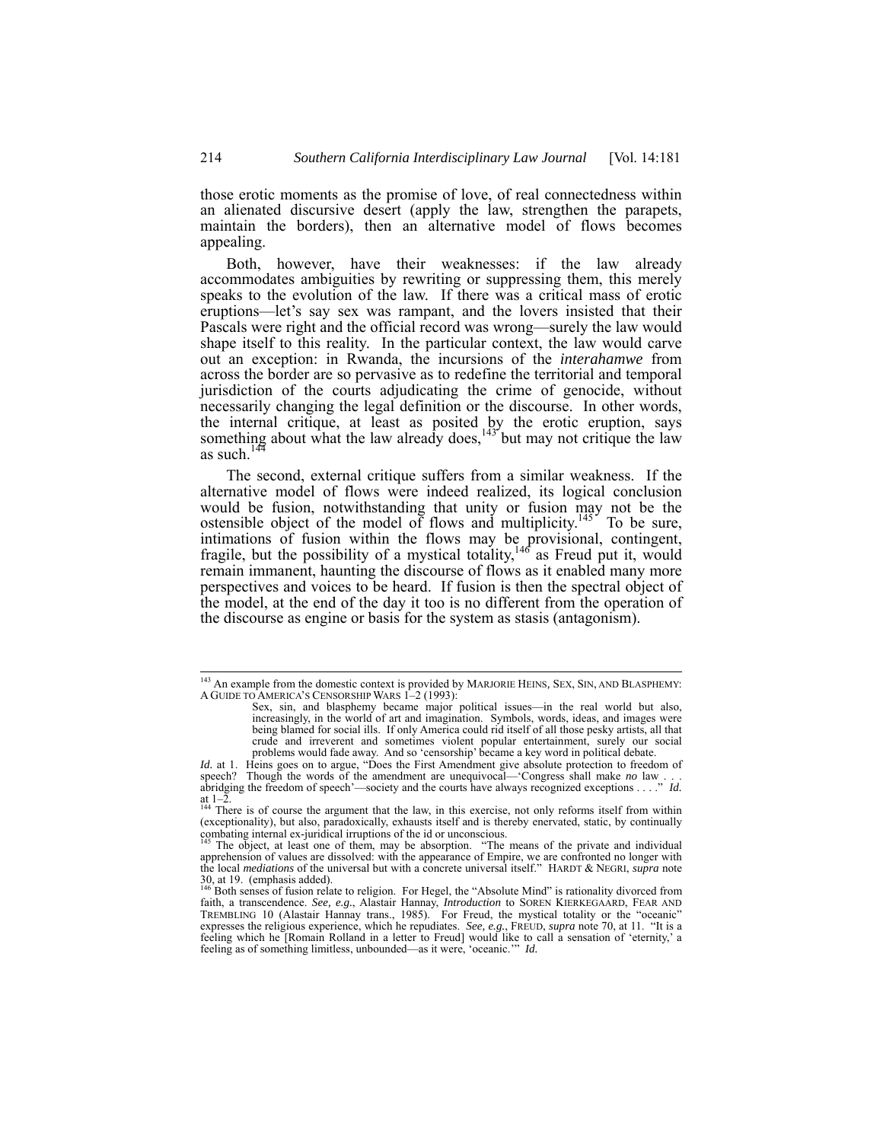those erotic moments as the promise of love, of real connectedness within an alienated discursive desert (apply the law, strengthen the parapets, maintain the borders), then an alternative model of flows becomes appealing.

Both, however, have their weaknesses: if the law already accommodates ambiguities by rewriting or suppressing them, this merely speaks to the evolution of the law. If there was a critical mass of erotic eruptions—let's say sex was rampant, and the lovers insisted that their Pascals were right and the official record was wrong—surely the law would shape itself to this reality. In the particular context, the law would carve out an exception: in Rwanda, the incursions of the *interahamwe* from across the border are so pervasive as to redefine the territorial and temporal jurisdiction of the courts adjudicating the crime of genocide, without necessarily changing the legal definition or the discourse. In other words, the internal critique, at least as posited by the erotic eruption, says something about what the law already does,  $143^{\circ}$  but may not critique the law as such. $14$ 

The second, external critique suffers from a similar weakness. If the alternative model of flows were indeed realized, its logical conclusion would be fusion, notwithstanding that unity or fusion may not be the ostensible object of the model of flows and multiplicity.<sup>145</sup> To be sure, intimations of fusion within the flows may be provisional, contingent, fragile, but the possibility of a mystical totality,<sup>146</sup> as Freud put it, would remain immanent, haunting the discourse of flows as it enabled many more perspectives and voices to be heard. If fusion is then the spectral object of the model, at the end of the day it too is no different from the operation of the discourse as engine or basis for the system as stasis (antagonism).

<sup>&</sup>lt;sup>143</sup> An example from the domestic context is provided by MARJORIE HEINS, SEX, SIN, AND BLASPHEMY: A GUIDE TO AMERICA'S CENSORSHIP WARS 1–2 (1993):

Sex, sin, and blasphemy became major political issues—in the real world but also, increasingly, in the world of art and imagination. Symbols, words, ideas, and images were being blamed for social ills. If only America could rid itself of all those pesky artists, all that crude and irreverent and sometimes violent popular entertainment, surely our social problems would fade away. And so 'censorship' became a key word in political debate.

*Id.* at 1. Heins goes on to argue, "Does the First Amendment give absolute protection to freedom of speech? Though the words of the amendment are unequivocal—'Congress shall make *no* law . . . . abridging the freedom of speech'—society and the courts have always recognized exceptions . . . ." *Id.* at 1–2. 144 There is of course the argument that the law, in this exercise, not only reforms itself from within

<sup>(</sup>exceptionality), but also, paradoxically, exhausts itself and is thereby enervated, static, by continually combating internal ex-juridical irruptions of the id or unconscious.<br><sup>145</sup> The object, at least one of them, may b

apprehension of values are dissolved: with the appearance of Empire, we are confronted no longer with the local *mediations* of the universal but with a concrete universal itself." HARDT & NEGRI, *supra* note  $30$ , at 19. (emphasis added).

<sup>146</sup> Both senses of fusion relate to religion. For Hegel, the "Absolute Mind" is rationality divorced from faith, a transcendence. *See, e.g.*, Alastair Hannay, *Introduction* to SOREN KIERKEGAARD, FEAR AND TREMBLING 10 (Alastair Hannay trans., 1985). For Freud, the mystical totality or the "oceanic" expresses the religious experience, which he repudiates. *See, e.g.*, FREUD, *supra* note 70, at 11. "It is a feeling which he feeling as of something limitless, unbounded—as it were, 'oceanic.'" *Id.*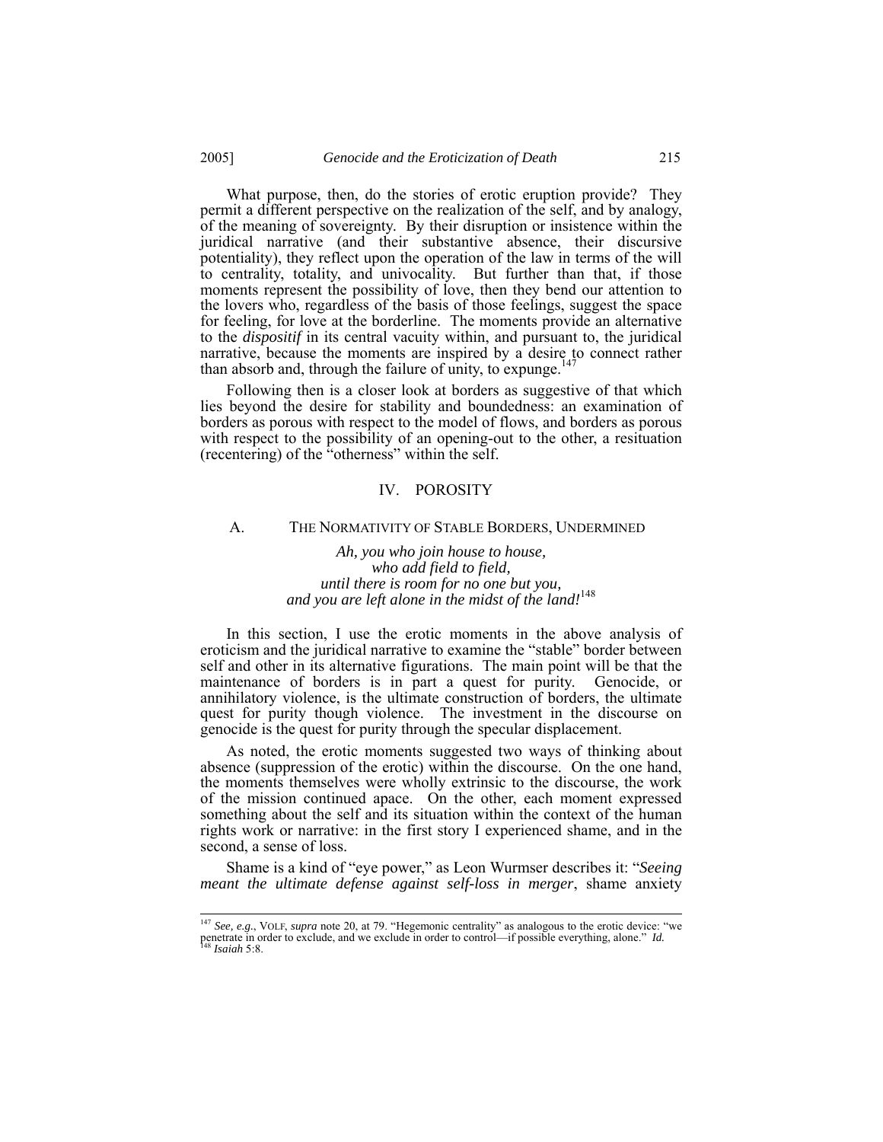What purpose, then, do the stories of erotic eruption provide? They permit a different perspective on the realization of the self, and by analogy, of the meaning of sovereignty. By their disruption or insistence within the juridical narrative (and their substantive absence, their discursive potentiality), they reflect upon the operation of the law in terms of the will to centrality, totality, and univocality. But further than that, if those moments represent the possibility of love, then they bend our attention to the lovers who, regardless of the basis of those feelings, suggest the space for feeling, for love at the borderline. The moments provide an alternative to the *dispositif* in its central vacuity within, and pursuant to, the juridical narrative, because the moments are inspired by a desire to connect rather than absorb and, through the failure of unity, to expunge.<sup>14</sup>

Following then is a closer look at borders as suggestive of that which lies beyond the desire for stability and boundedness: an examination of borders as porous with respect to the model of flows, and borders as porous with respect to the possibility of an opening-out to the other, a resituation (recentering) of the "otherness" within the self.

#### IV. POROSITY

#### A. THE NORMATIVITY OF STABLE BORDERS, UNDERMINED

*Ah, you who join house to house, who add field to field, until there is room for no one but you, and you are left alone in the midst of the land!*<sup>148</sup>

In this section, I use the erotic moments in the above analysis of eroticism and the juridical narrative to examine the "stable" border between self and other in its alternative figurations. The main point will be that the maintenance of borders is in part a quest for purity. Genocide, or annihilatory violence, is the ultimate construction of borders, the ultimate quest for purity though violence. The investment in the discourse on genocide is the quest for purity through the specular displacement.

As noted, the erotic moments suggested two ways of thinking about absence (suppression of the erotic) within the discourse. On the one hand, the moments themselves were wholly extrinsic to the discourse, the work of the mission continued apace. On the other, each moment expressed something about the self and its situation within the context of the human rights work or narrative: in the first story I experienced shame, and in the second, a sense of loss.

Shame is a kind of "eye power," as Leon Wurmser describes it: "*Seeing meant the ultimate defense against self-loss in merger*, shame anxiety

 <sup>147</sup> *See, e.g.*, VOLF, *supra* note 20, at 79. "Hegemonic centrality" as analogous to the erotic device: "we penetrate in order to exclude, and we exclude in order to control—if possible everything, alone." *Id.* <sup>148</sup> *Isaiah* 5:8.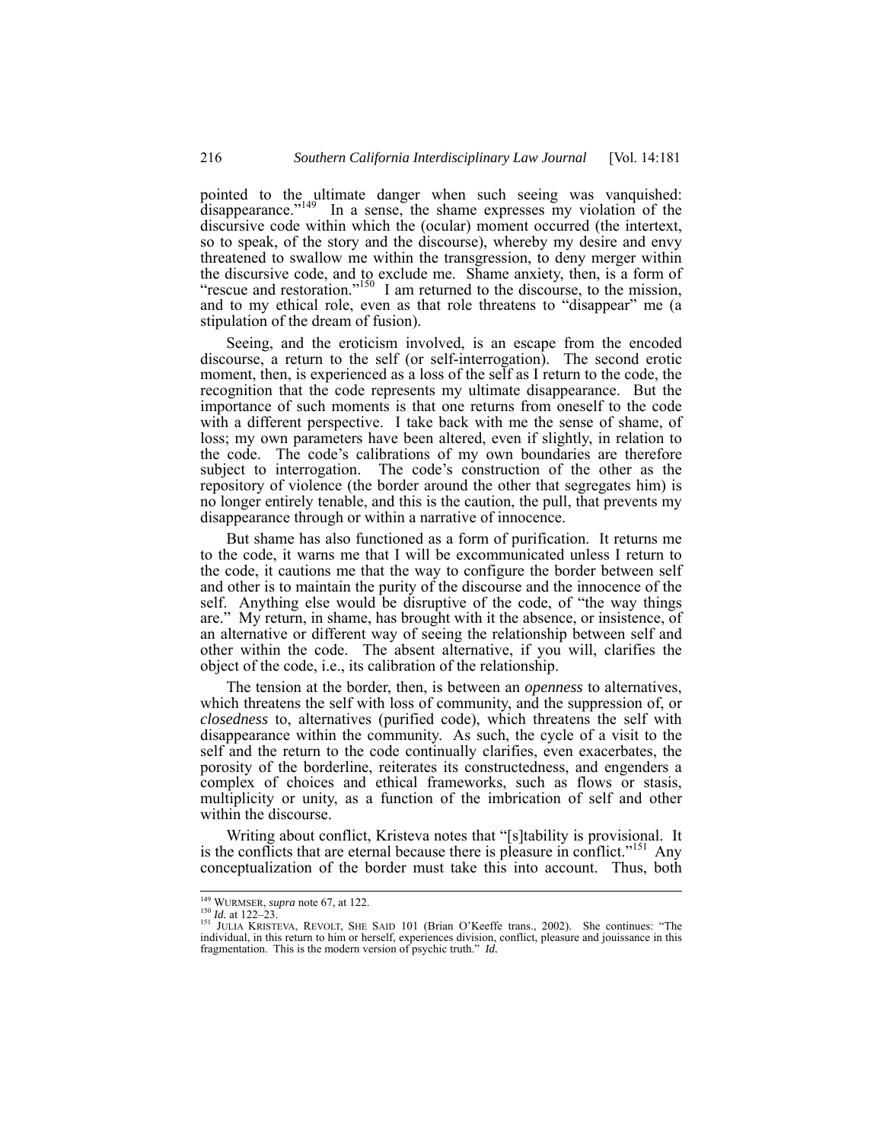pointed to the ultimate danger when such seeing was vanquished: disappearance."<sup>149</sup> In a sense, the shame expresses my violation of the discursive code within which the (ocular) moment occurred (the intertext, so to speak, of the story and the discourse), whereby my desire and envy threatened to swallow me within the transgression, to deny merger within the discursive code, and to exclude me. Shame anxiety, then, is a form of "rescue and restoration."<sup>150</sup> I am returned to the discourse, to the mission, and to my ethical role, even as that role threatens to "disappear" me (a stipulation of the dream of fusion).

Seeing, and the eroticism involved, is an escape from the encoded discourse, a return to the self (or self-interrogation). The second erotic moment, then, is experienced as a loss of the self as I return to the code, the recognition that the code represents my ultimate disappearance. But the importance of such moments is that one returns from oneself to the code with a different perspective. I take back with me the sense of shame, of loss; my own parameters have been altered, even if slightly, in relation to the code. The code's calibrations of my own boundaries are therefore subject to interrogation. The code's construction of the other as the repository of violence (the border around the other that segregates him) is no longer entirely tenable, and this is the caution, the pull, that prevents my disappearance through or within a narrative of innocence.

But shame has also functioned as a form of purification. It returns me to the code, it warns me that I will be excommunicated unless I return to the code, it cautions me that the way to configure the border between self and other is to maintain the purity of the discourse and the innocence of the self. Anything else would be disruptive of the code, of "the way things are." My return, in shame, has brought with it the absence, or insistence, of an alternative or different way of seeing the relationship between self and other within the code. The absent alternative, if you will, clarifies the object of the code, i.e., its calibration of the relationship.

The tension at the border, then, is between an *openness* to alternatives, which threatens the self with loss of community, and the suppression of, or *closedness* to, alternatives (purified code), which threatens the self with disappearance within the community. As such, the cycle of a visit to the self and the return to the code continually clarifies, even exacerbates, the porosity of the borderline, reiterates its constructedness, and engenders a complex of choices and ethical frameworks, such as flows or stasis, multiplicity or unity, as a function of the imbrication of self and other within the discourse.

Writing about conflict, Kristeva notes that "[s]tability is provisional. It is the conflicts that are eternal because there is pleasure in conflict."<sup>151</sup> Any conceptualization of the border must take this into account. Thus, both

<sup>&</sup>lt;sup>149</sup> WURMSER, *supra* note 67, at 122.<br><sup>150</sup> *Id.* at 122–23.<br><sup>151</sup> JULIA KRISTEVA, REVOLT, SHE SAID 101 (Brian O'Keeffe trans., 2002). She continues: "The individual, in this return to him or herself, experiences divisi fragmentation. This is the modern version of psychic truth." *Id.*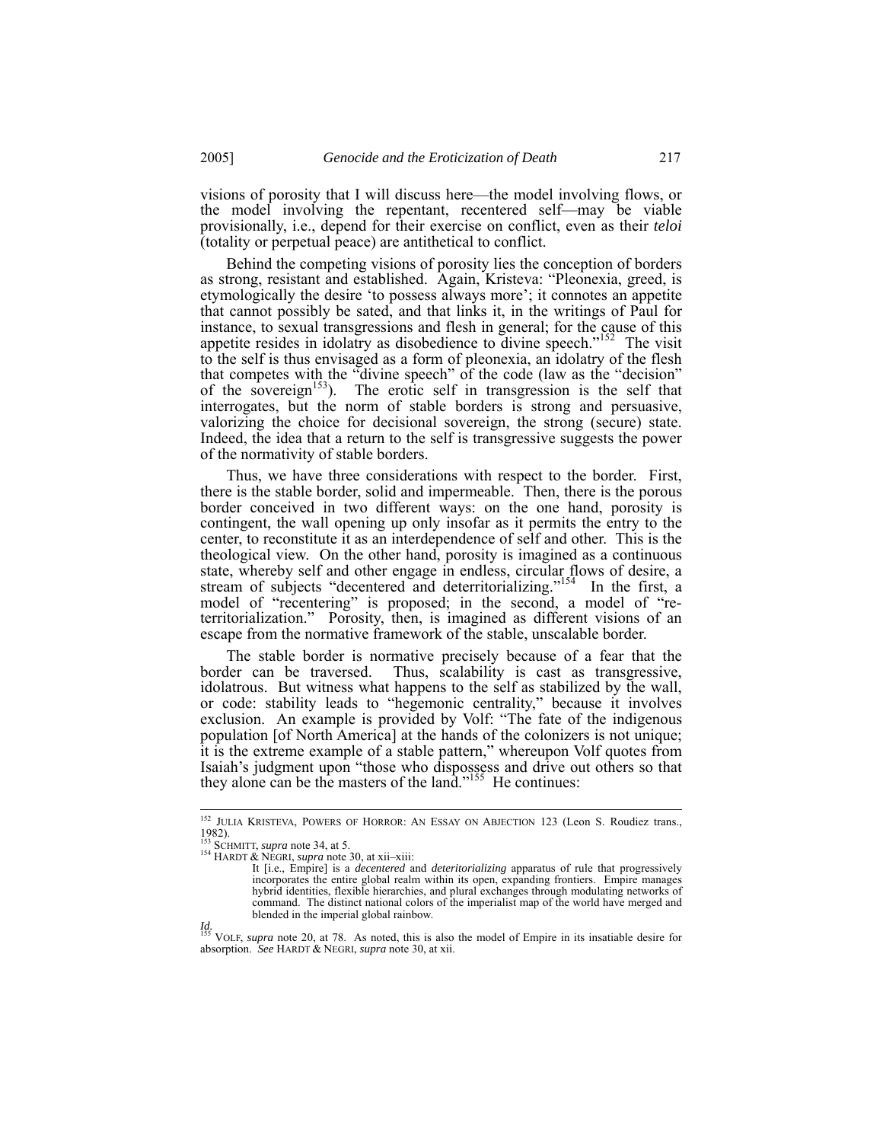visions of porosity that I will discuss here—the model involving flows, or the model involving the repentant, recentered self—may be viable provisionally, i.e., depend for their exercise on conflict, even as their *teloi* (totality or perpetual peace) are antithetical to conflict.

Behind the competing visions of porosity lies the conception of borders as strong, resistant and established. Again, Kristeva: "Pleonexia, greed, is etymologically the desire 'to possess always more'; it connotes an appetite that cannot possibly be sated, and that links it, in the writings of Paul for instance, to sexual transgressions and flesh in general; for the cause of this appetite resides in idolatry as disobedience to divine speech."<sup>152</sup> The visit to the self is thus envisaged as a form of pleonexia, an idolatry of the flesh that competes with the "divine speech" of the code (law as the "decision" of the sovereign<sup>153</sup>). The erotic self in transgression is the self that interrogates, but the norm of stable borders is strong and persuasive, valorizing the choice for decisional sovereign, the strong (secure) state. Indeed, the idea that a return to the self is transgressive suggests the power of the normativity of stable borders.

Thus, we have three considerations with respect to the border. First, there is the stable border, solid and impermeable. Then, there is the porous border conceived in two different ways: on the one hand, porosity is contingent, the wall opening up only insofar as it permits the entry to the center, to reconstitute it as an interdependence of self and other. This is the theological view. On the other hand, porosity is imagined as a continuous state, whereby self and other engage in endless, circular flows of desire, a stream of subjects "decentered and deterritorializing."<sup>154</sup> In the first, a model of "recentering" is proposed; in the second, a model of "reterritorialization." Porosity, then, is imagined as different visions of an escape from the normative framework of the stable, unscalable border.

The stable border is normative precisely because of a fear that the border can be traversed. Thus, scalability is cast as transgressive, Thus, scalability is cast as transgressive, idolatrous. But witness what happens to the self as stabilized by the wall, or code: stability leads to "hegemonic centrality," because it involves exclusion. An example is provided by Volf: "The fate of the indigenous population [of North America] at the hands of the colonizers is not unique; it is the extreme example of a stable pattern," whereupon Volf quotes from Isaiah's judgment upon "those who dispossess and drive out others so that they alone can be the masters of the land."<sup>155</sup> He continues:

<sup>&</sup>lt;sup>152</sup> JULIA KRISTEVA, POWERS OF HORROR: AN ESSAY ON ABJECTION 123 (Leon S. Roudiez trans., 1982).<br>
<sup>153</sup> SCHMITT, *supra* note 34, at 5.

<sup>154</sup> HARDT & NEGRI, *supra* note 30, at xii–xiii:

It [i.e., Empire] is a *decentered* and *deteritorializing* apparatus of rule that progressively incorporates the entire global realm within its open, expanding frontiers. Empire manages hybrid identities, flexible hierarchies, and plural exchanges through modulating networks of command. The distinct national colors of the imperialist map of the world have merged and blended in the imperial global rainbow.

*Id.*  155 VOLF, *supra* note 20, at 78. As noted, this is also the model of Empire in its insatiable desire for absorption. *See* HARDT & NEGRI, *supra* note 30, at xii.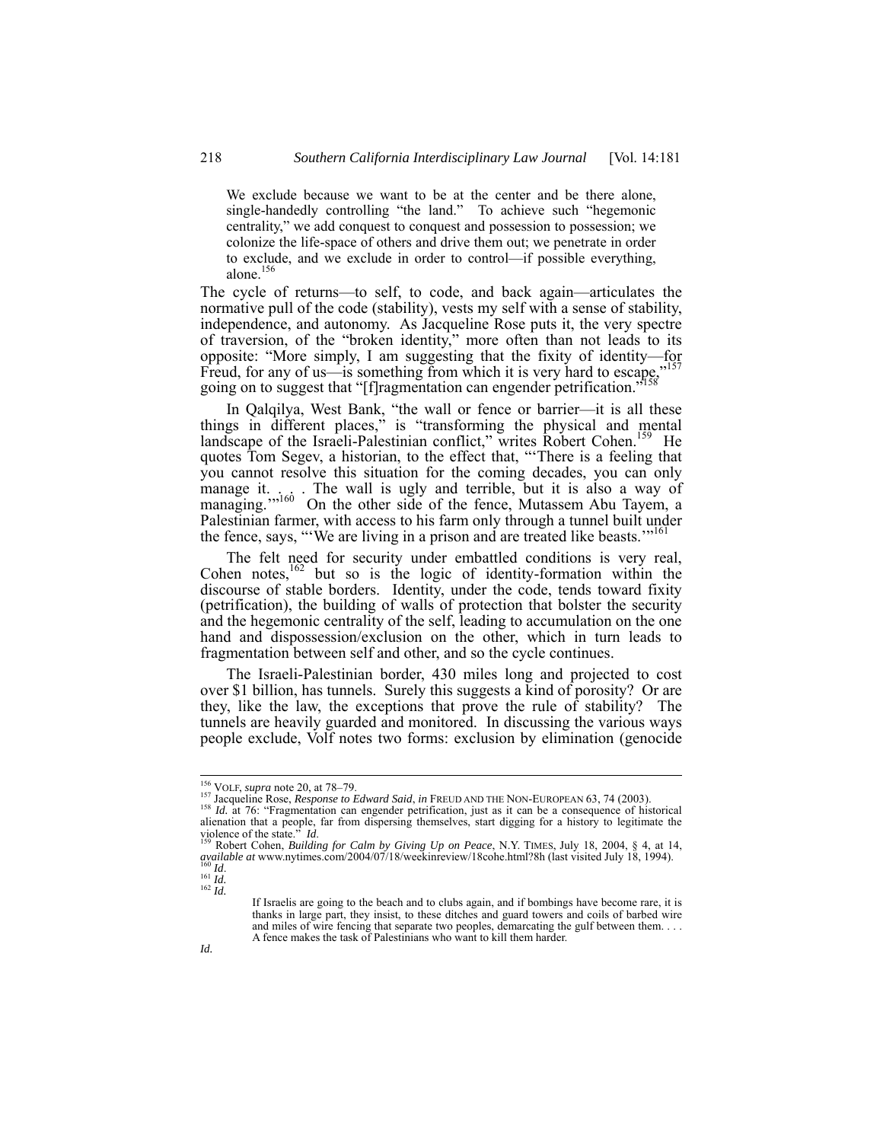We exclude because we want to be at the center and be there alone, single-handedly controlling "the land." To achieve such "hegemonic centrality," we add conquest to conquest and possession to possession; we colonize the life-space of others and drive them out; we penetrate in order to exclude, and we exclude in order to control—if possible everything, alone.156

The cycle of returns—to self, to code, and back again—articulates the normative pull of the code (stability), vests my self with a sense of stability, independence, and autonomy. As Jacqueline Rose puts it, the very spectre of traversion, of the "broken identity," more often than not leads to its opposite: "More simply, I am suggesting that the fixity of identity—for Freud, for any of us—is something from which it is very hard to escape, going on to suggest that "[f]ragmentation can engender petrification."<sup>158</sup>

In Qalqilya, West Bank, "the wall or fence or barrier—it is all these things in different places," is "transforming the physical and mental landscape of the Israeli-Palestinian conflict," writes Robert Cohen.<sup>159</sup> He quotes Tom Segev, a historian, to the effect that, "'There is a feeling that you cannot resolve this situation for the coming decades, you can only manage it. . . The wall is ugly and terrible, but it is also a way of managing."<sup>160</sup> On the other side of the fence, Mutassem Abu Tayem, a Palestinian farmer, with access to his farm only through a tunnel built under the fence, says, "We are living in a prison and are treated like beasts."<sup>16</sup>

The felt need for security under embattled conditions is very real, Cohen notes,<sup>162</sup> but so is the logic of identity-formation within the discourse of stable borders. Identity, under the code, tends toward fixity (petrification), the building of walls of protection that bolster the security and the hegemonic centrality of the self, leading to accumulation on the one hand and dispossession/exclusion on the other, which in turn leads to fragmentation between self and other, and so the cycle continues.

The Israeli-Palestinian border, 430 miles long and projected to cost over \$1 billion, has tunnels. Surely this suggests a kind of porosity? Or are they, like the law, the exceptions that prove the rule of stability? The tunnels are heavily guarded and monitored. In discussing the various ways people exclude, Volf notes two forms: exclusion by elimination (genocide

<sup>&</sup>lt;sup>156</sup> VOLF, *supra* note 20, at 78–79.<br><sup>157</sup> Jacqueline Rose, *Response to Edward Said*, *in* FREUD AND THE NON-EUROPEAN 63, 74 (2003).<br><sup>158</sup> *Id.* at 76: "Fragmentation can engender petrification, just as it can be a con alienation that a people, far from dispersing themselves, start digging for a history to legitimate the violence of the state." *Id.*<br><sup>159</sup> Robert Cohen, *Building for Calm by Giving Up on Peace*, N.Y. TIMES, July 18, 2004

*available at* www.nytimes.com/2004/07/18/weekinreview/18cohe.html?8h (last visited July 18, 1994).<br><sup>160</sup> *Id.* 161 *Id. Id. Id. Id. Id. Id. Id. Id.* 

If Israelis are going to the beach and to clubs again, and if bombings have become rare, it is thanks in large part, they insist, to these ditches and guard towers and coils of barbed wire and miles of wire fencing that separate two peoples, demarcating the gulf between them. . . . A fence makes the task of Palestinians who want to kill them harder.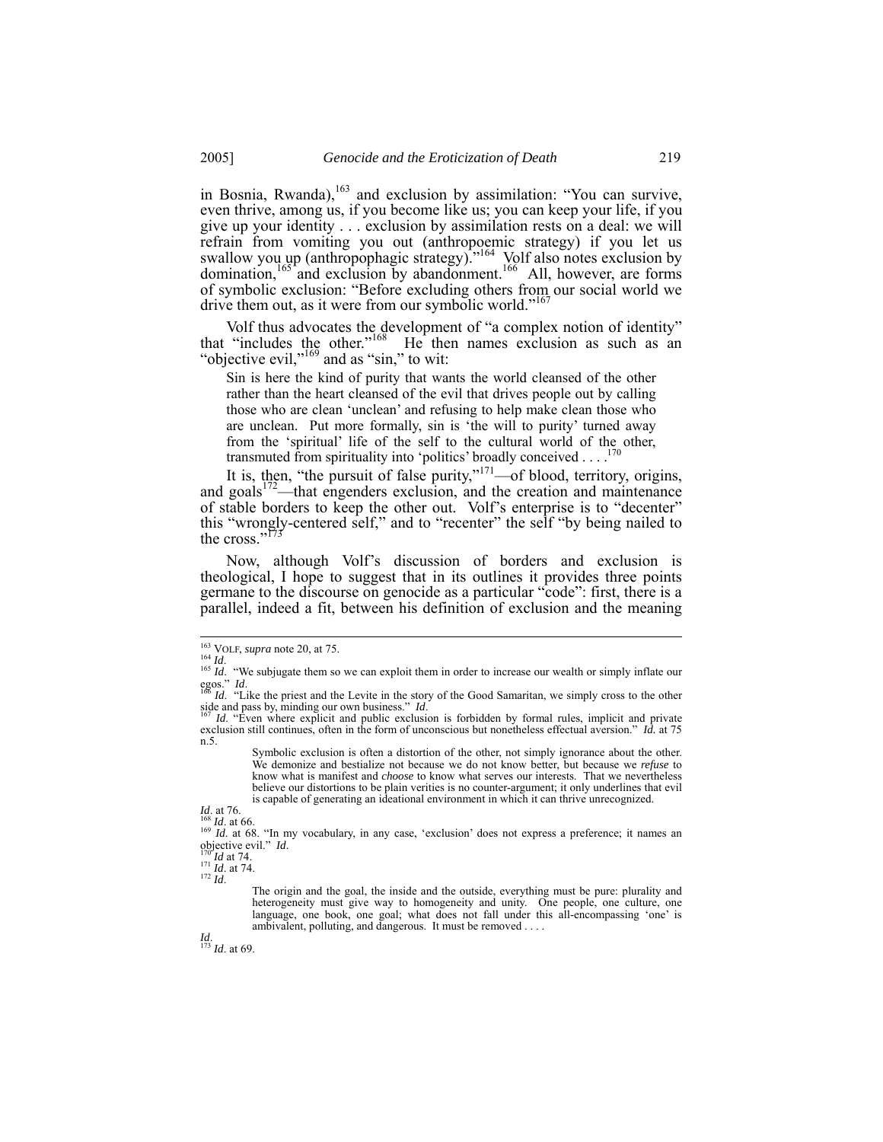in Bosnia, Rwanda),<sup>163</sup> and exclusion by assimilation: "You can survive, even thrive, among us, if you become like us; you can keep your life, if you give up your identity . . . exclusion by assimilation rests on a deal: we will refrain from vomiting you out (anthropoemic strategy) if you let us swallow you up (anthropophagic strategy).<sup>"164</sup> Volf also notes exclusion by domination,  $165'$  and exclusion by abandonment.<sup>166</sup> All, however, are forms of symbolic exclusion: "Before excluding others from our social world we drive them out, as it were from our symbolic world."<sup>16</sup>

Volf thus advocates the development of "a complex notion of identity" that "includes the other."<sup>168</sup> He then names exclusion as such as an "objective evil,"<sup>169</sup> and as "sin," to wit:

Sin is here the kind of purity that wants the world cleansed of the other rather than the heart cleansed of the evil that drives people out by calling those who are clean 'unclean' and refusing to help make clean those who are unclean. Put more formally, sin is 'the will to purity' turned away from the 'spiritual' life of the self to the cultural world of the other, transmuted from spirituality into 'politics' broadly conceived . . . .

It is, then, "the pursuit of false purity," $171$ —of blood, territory, origins, and goals $172$ —that engenders exclusion, and the creation and maintenance of stable borders to keep the other out. Volf's enterprise is to "decenter" this "wrongly-centered self," and to "recenter" the self "by being nailed to the cross."<sup>173</sup>

Now, although Volf's discussion of borders and exclusion is theological, I hope to suggest that in its outlines it provides three points germane to the discourse on genocide as a particular "code": first, there is a parallel, indeed a fit, between his definition of exclusion and the meaning

*Id*. 173 *Id*. at 69.

<sup>&</sup>lt;sup>163</sup> VOLF, *supra* note 20, at 75.<br><sup>164</sup> *Id.* <sup>165</sup> *Id.* "We subjugate them so we can exploit them in order to increase our wealth or simply inflate our egos." *Id.*  $I_{\text{tot}}$  *Id.* "Like the priest and the Levite in the story of the Good Samaritan, we simply cross to the other

side and pass by, minding our own business." *Id*.<br><sup>167</sup> *Id.* "Even where explicit and public exclusion is forbidden by formal rules, implicit and private

<sup>&</sup>lt;sup>167</sup> *Id.* "Even where explicit and public exclusion is forbidden by formal rules, implicit and private exclusion still continues, often in the form of unconscious but nonetheless effectual aversion." *Id.* at 75 n.5.

Symbolic exclusion is often a distortion of the other, not simply ignorance about the other. We demonize and bestialize not because we do not know better, but because we *refuse* to know what is manifest and *choose* to know what serves our interests. That we nevertheless believe our distortions to be plain verities is no counter-argument; it only underlines that evil is capable of generating an ideational environment in which it can thrive unrecognized.

*Id*. at 76.<br><sup>168</sup> *Id*. at 66. "In my vocabulary, in any case, 'exclusion' does not express a preference; it names an objective evil." *Id*.

<sup>170&#</sup>x27;*Id* at 74.<br><sup>171</sup> *Id.* at 74.<br><sup>172</sup> *Id.* 

The origin and the goal, the inside and the outside, everything must be pure: plurality and heterogeneity must give way to homogeneity and unity. One people, one culture, one language, one book, one goal; what does not fall under this all-encompassing 'one' is ambivalent, polluting, and dangerous. It must be removed . . . .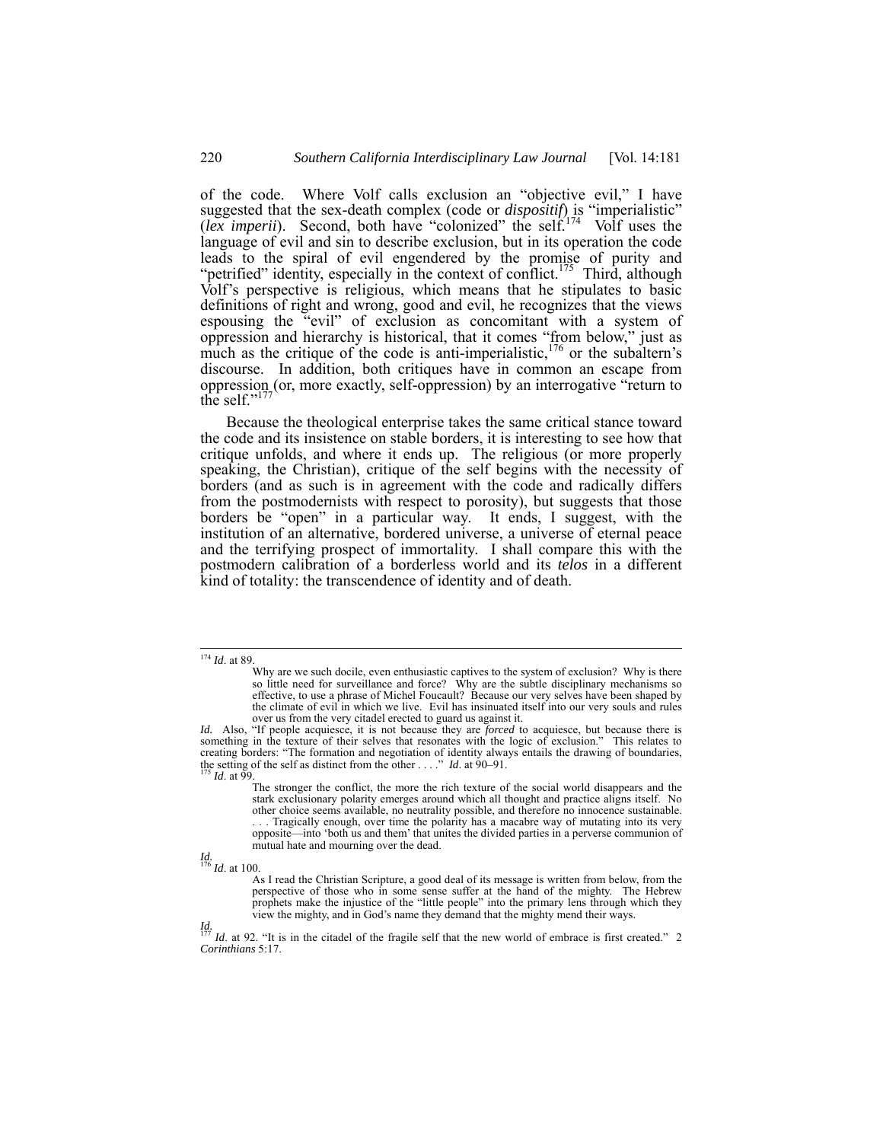of the code. Where Volf calls exclusion an "objective evil," I have suggested that the sex-death complex (code or *dispositif*) is "imperialistic" (*lex imperii*). Second, both have "colonized" the self.<sup>174</sup> Volf uses the language of evil and sin to describe exclusion, but in its operation the code leads to the spiral of evil engendered by the promise of purity and "petrified" identity, especially in the context of conflict.<sup>175</sup> Third, although Volf's perspective is religious, which means that he stipulates to basic definitions of right and wrong, good and evil, he recognizes that the views espousing the "evil" of exclusion as concomitant with a system of oppression and hierarchy is historical, that it comes "from below," just as much as the critique of the code is anti-imperialistic,  $176$  or the subaltern's discourse. In addition, both critiques have in common an escape from oppression (or, more exactly, self-oppression) by an interrogative "return to the self." $17$ 

Because the theological enterprise takes the same critical stance toward the code and its insistence on stable borders, it is interesting to see how that critique unfolds, and where it ends up. The religious (or more properly speaking, the Christian), critique of the self begins with the necessity of borders (and as such is in agreement with the code and radically differs from the postmodernists with respect to porosity), but suggests that those borders be "open" in a particular way. It ends, I suggest, with the institution of an alternative, bordered universe, a universe of eternal peace and the terrifying prospect of immortality. I shall compare this with the postmodern calibration of a borderless world and its *telos* in a different kind of totality: the transcendence of identity and of death.

 <sup>174</sup> *Id*. at 89.

Why are we such docile, even enthusiastic captives to the system of exclusion? Why is there so little need for surveillance and force? Why are the subtle disciplinary mechanisms so effective, to use a phrase of Michel Fouc the climate of evil in which we live. Evil has insinuated itself into our very souls and rules

over us from the very citadel erected to guard us against it.<br>*Id.* Also, "If people acquiesce, it is not because they are *forced* to acquiesce, but because there is something in the texture of their selves that resonates with the logic of exclusion." This relates to creating borders: "The formation and negotiation of identity always entails the drawing of boundaries, the setting of the self as distinct from the other . . . ." *Id*. at 90–91.<br><sup>175</sup> *Id*. at 99.

The stronger the conflict, the more the rich texture of the social world disappears and the stark exclusionary polarity emerges around which all thought and practice aligns itself. No other choice seems available, no neutrality possible, and therefore no innocence sustainable. . . . Tragically enough, over time the polarity has a macabre way of mutating into its very opposite—into 'both us and them' that unites the divided parties in a perverse communion of mutual hate and mourning over the dead.

*Id.*  <sup>176</sup> *Id*. at 100.

As I read the Christian Scripture, a good deal of its message is written from below, from the perspective of those who in some sense suffer at the hand of the mighty. The Hebrew prophets make the injustice of the "little people" into the primary lens through which they view the mighty, and in God's name they demand that the mighty mend their ways.

*Id.*  <sup>177</sup> *Id*. at 92. "It is in the citadel of the fragile self that the new world of embrace is first created." 2 *Corinthians* 5:17.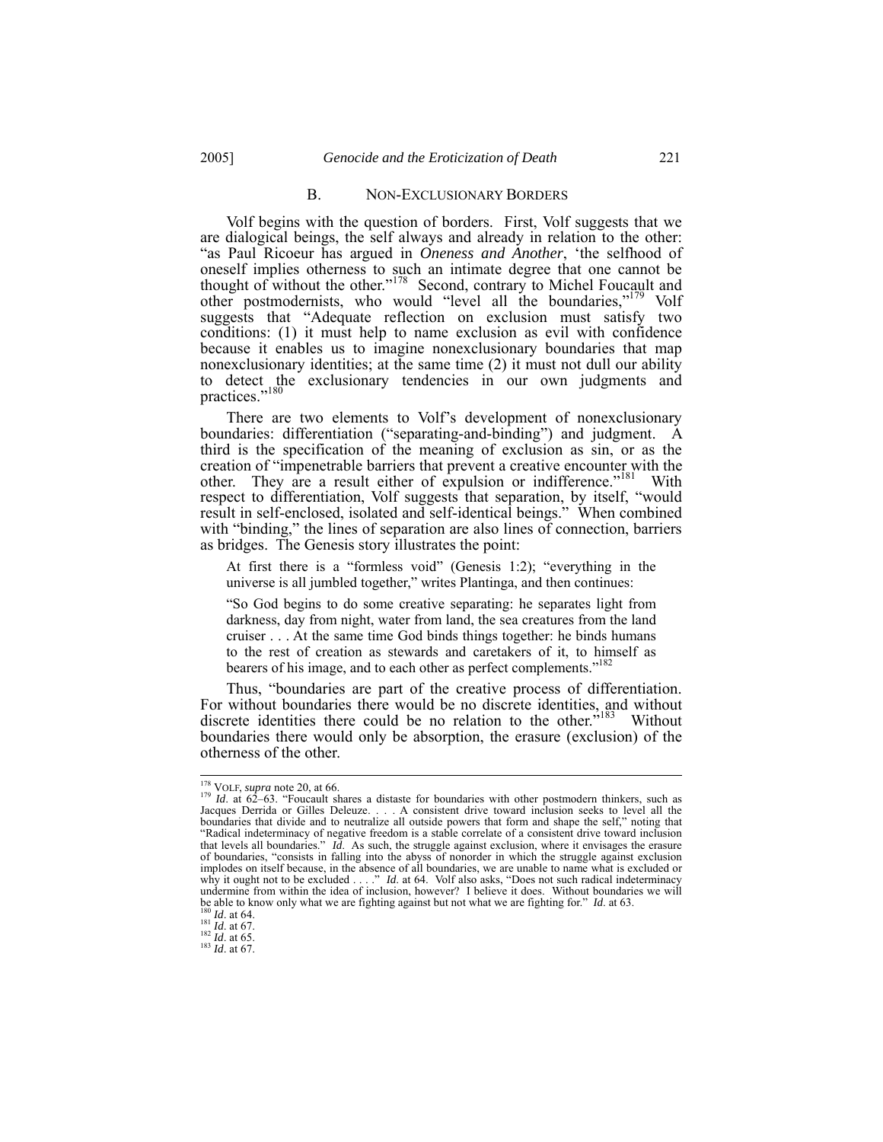#### B. NON-EXCLUSIONARY BORDERS

Volf begins with the question of borders. First, Volf suggests that we are dialogical beings, the self always and already in relation to the other: "as Paul Ricoeur has argued in *Oneness and Another*, 'the selfhood of oneself implies otherness to such an intimate degree that one cannot be thought of without the other."<sup>178</sup> Second, contrary to Michel Foucault and other postmodernists, who would "level all the boundaries,"<sup>179</sup> Volf suggests that "Adequate reflection on exclusion must satisfy two conditions: (1) it must help to name exclusion as evil with confidence because it enables us to imagine nonexclusionary boundaries that map nonexclusionary identities; at the same time (2) it must not dull our ability to detect the exclusionary tendencies in our own judgments and practices."<sup>180</sup>

There are two elements to Volf's development of nonexclusionary boundaries: differentiation ("separating-and-binding") and judgment. A third is the specification of the meaning of exclusion as sin, or as the creation of "impenetrable barriers that prevent a creative encounter with the other. They are a result either of expulsion or indifference."<sup>181</sup> With respect to differentiation, Volf suggests that separation, by itself, "would result in self-enclosed, isolated and self-identical beings." When combined with "binding," the lines of separation are also lines of connection, barriers as bridges. The Genesis story illustrates the point:

At first there is a "formless void" (Genesis 1:2); "everything in the universe is all jumbled together," writes Plantinga, and then continues:

"So God begins to do some creative separating: he separates light from darkness, day from night, water from land, the sea creatures from the land cruiser . . . At the same time God binds things together: he binds humans to the rest of creation as stewards and caretakers of it, to himself as bearers of his image, and to each other as perfect complements."<sup>182</sup>

Thus, "boundaries are part of the creative process of differentiation. For without boundaries there would be no discrete identities, and without discrete identities there could be no relation to the other.<sup>5183</sup> Without boundaries there would only be absorption, the erasure (exclusion) of the otherness of the other.

<sup>&</sup>lt;sup>178</sup> VOLF, *supra* note 20, at 66.<br><sup>179</sup> *Id.* at 62–63. "Foucault shares a distaste for boundaries with other postmodern thinkers, such as Jacques Derrida or Gilles Deleuze. . . . A consistent drive toward inclusion seeks to level all the boundaries that divide and to neutralize all outside powers that form and shape the self," noting that "Radical indeterminacy of negative freedom is a stable correlate of a consistent drive toward inclusion that levels all boundaries." *Id*. As such, the struggle against exclusion, where it envisages the erasure of boundaries, "consists in falling into the abyss of nonorder in which the struggle against exclusion implodes on itself because, in the absence of all boundaries, we are unable to name what is excluded or why it ought not to be excluded . . . ." *Id*. at 64. Volf also asks, "Does not such radical indeterminacy undermine from within the idea of inclusion, however? I believe it does. Without boundaries we will be able to know only what we are fighting against but not what we are fighting for." *Id.* at 63. <sup>181</sup> *Id.* at 67. <sup>182</sup> *Id.* at 65. <sup>181</sup> *Id.* at 65. <sup>182</sup> *Id.* at 67.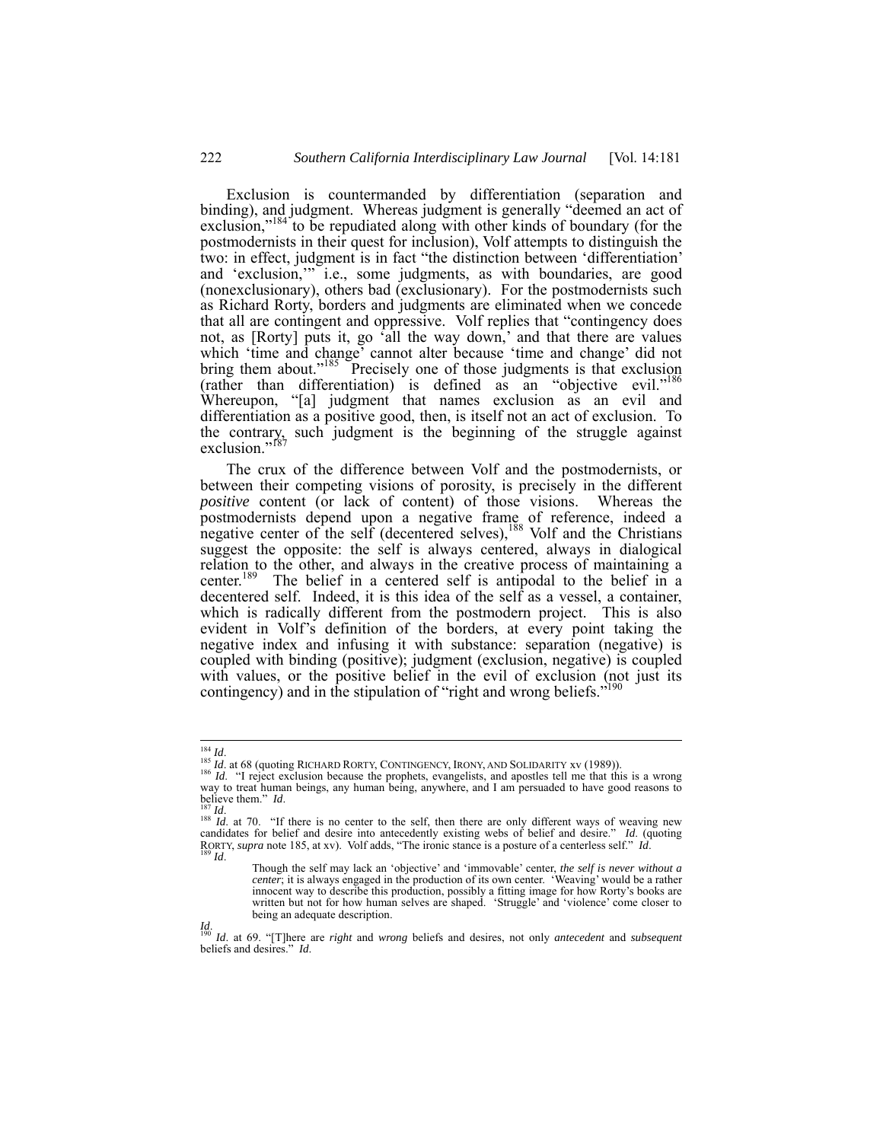Exclusion is countermanded by differentiation (separation and binding), and judgment. Whereas judgment is generally "deemed an act of exclusion,"<sup>184</sup> to be repudiated along with other kinds of boundary (for the postmodernists in their quest for inclusion), Volf attempts to distinguish the two: in effect, judgment is in fact "the distinction between 'differentiation' and 'exclusion,'" i.e., some judgments, as with boundaries, are good (nonexclusionary), others bad (exclusionary). For the postmodernists such as Richard Rorty, borders and judgments are eliminated when we concede that all are contingent and oppressive. Volf replies that "contingency does not, as [Rorty] puts it, go 'all the way down,' and that there are values which 'time and change' cannot alter because 'time and change' did not bring them about."<sup>185</sup> Precisely one of those judgments is that exclusion (rather than differentiation) is defined as an "objective evil."186 Whereupon, "[a] judgment that names exclusion as an evil and differentiation as a positive good, then, is itself not an act of exclusion. To the contrary, such judgment is the beginning of the struggle against exclusion."<sup>187</sup>

The crux of the difference between Volf and the postmodernists, or between their competing visions of porosity, is precisely in the different *positive* content (or lack of content) of those visions. Whereas the postmodernists depend upon a negative frame of reference, indeed a negative center of the self (decentered selves),  $188$  Volf and the Christians suggest the opposite: the self is always centered, always in dialogical relation to the other, and always in the creative process of maintaining a center.<sup>189</sup> The belief in a centered self is antipodal to the belief in a The belief in a centered self is antipodal to the belief in a decentered self. Indeed, it is this idea of the self as a vessel, a container, which is radically different from the postmodern project. This is also evident in Volf's definition of the borders, at every point taking the negative index and infusing it with substance: separation (negative) is coupled with binding (positive); judgment (exclusion, negative) is coupled with values, or the positive belief in the evil of exclusion (not just its contingency) and in the stipulation of "right and wrong beliefs."

<sup>&</sup>lt;sup>185</sup> *Id.* 185 *Id.* at 68 (quoting RICHARD RORTY, CONTINGENCY, IRONY, AND SOLIDARITY xv (1989)). <sup>186</sup> *Id.* "I reject exclusion because the prophets, evangelists, and apostles tell me that this is a wrong way to treat human beings, any human being, anywhere, and I am persuaded to have good reasons to believe them."  $Id$ .

 $\frac{187}{167}$  *Id.* 188 *Id.* at 70. "If there is no center to the self, then there are only different ways of weaving new candidates for belief and desire into antecedently existing webs of belief and desire." *Id*. (quoting RORTY, *supra* note 185, at xv). Volf adds, "The ironic stance is a posture of a centerless self." *Id*. 189 *Id*.

Though the self may lack an 'objective' and 'immovable' center, *the self is never without a center*; it is always engaged in the production of its own center. 'Weaving' would be a rather innocent way to describe this production, possibly a fitting image for how Rorty's books are written but not for how human selves are shaped. 'Struggle' and 'violence' come closer to being an adequate description.

*Id*. 190 *Id*. at 69. "[T]here are *right* and *wrong* beliefs and desires, not only *antecedent* and *subsequent* beliefs and desires." *Id*.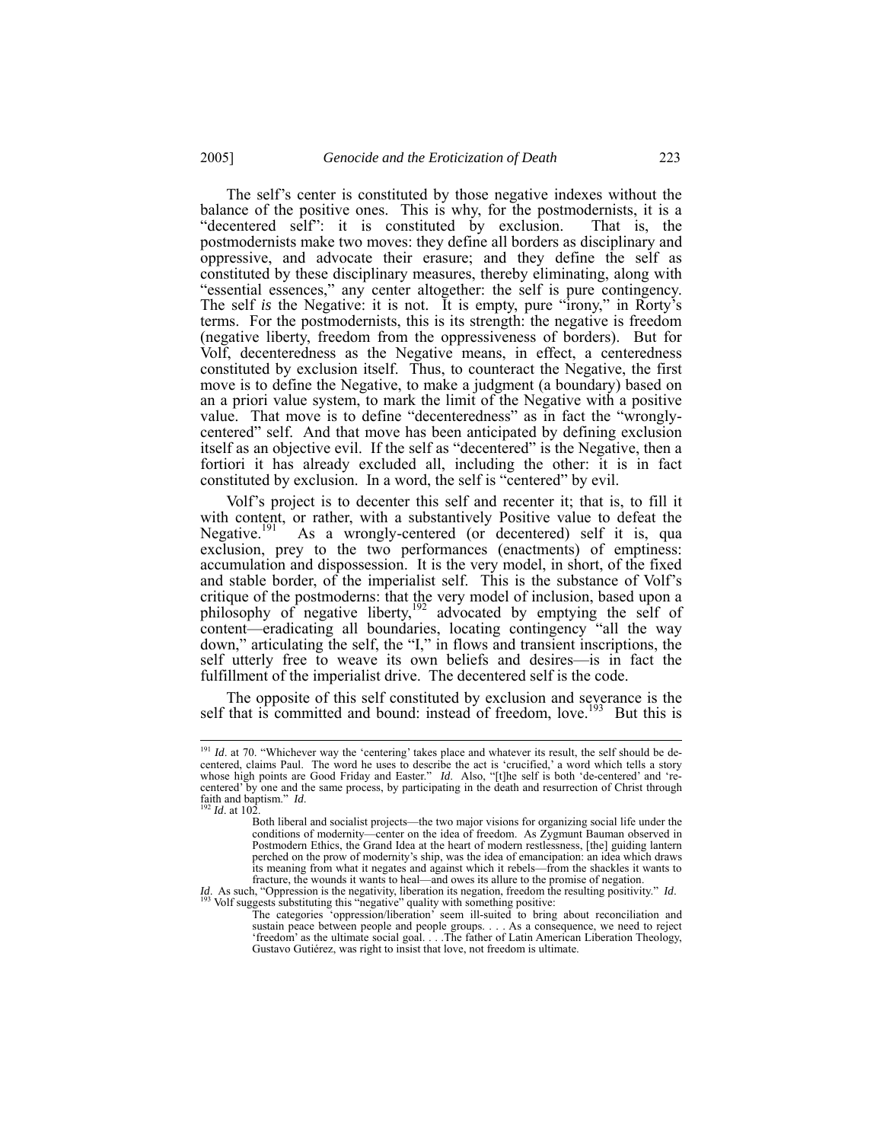The self's center is constituted by those negative indexes without the balance of the positive ones. This is why, for the postmodernists, it is a "decentered self": it is constituted by exclusion. That is, the postmodernists make two moves: they define all borders as disciplinary and oppressive, and advocate their erasure; and they define the self as constituted by these disciplinary measures, thereby eliminating, along with "essential essences," any center altogether: the self is pure contingency. The self *is* the Negative: it is not. It is empty, pure "irony," in Rorty's terms. For the postmodernists, this is its strength: the negative is freedom (negative liberty, freedom from the oppressiveness of borders). But for Volf, decenteredness as the Negative means, in effect, a centeredness constituted by exclusion itself. Thus, to counteract the Negative, the first move is to define the Negative, to make a judgment (a boundary) based on an a priori value system, to mark the limit of the Negative with a positive value. That move is to define "decenteredness" as in fact the "wronglycentered" self. And that move has been anticipated by defining exclusion itself as an objective evil. If the self as "decentered" is the Negative, then a fortiori it has already excluded all, including the other: it is in fact constituted by exclusion. In a word, the self is "centered" by evil.

Volf's project is to decenter this self and recenter it; that is, to fill it with content, or rather, with a substantively Positive value to defeat the Negative.<sup>[9]</sup> As a wrongly-centered (or decentered) self it is, qua As a wrongly-centered (or decentered) self it is, qua exclusion, prey to the two performances (enactments) of emptiness: accumulation and dispossession. It is the very model, in short, of the fixed and stable border, of the imperialist self. This is the substance of Volf's critique of the postmoderns: that the very model of inclusion, based upon a philosophy of negative liberty,<sup>192</sup> advocated by emptying the self of content—eradicating all boundaries, locating contingency "all the way down," articulating the self, the "I," in flows and transient inscriptions, the self utterly free to weave its own beliefs and desires—is in fact the fulfillment of the imperialist drive. The decentered self is the code.

The opposite of this self constituted by exclusion and severance is the self that is committed and bound: instead of freedom, love.<sup>193</sup> But this is

<sup>&</sup>lt;sup>191</sup> *Id.* at 70. "Whichever way the 'centering' takes place and whatever its result, the self should be decentered, claims Paul. The word he uses to describe the act is 'crucified,' a word which tells a story whose high points are Good Friday and Easter." *Id*. Also, "[t]he self is both 'de-centered' and 're-<br>centered' by one and the same process, by participating in the death and resurrection of Christ through faith and baptism." *Id*. 192 *Id*. at 102.

Both liberal and socialist projects—the two major visions for organizing social life under the conditions of modernity—center on the idea of freedom. As Zygmunt Bauman observed in Postmodern Ethics, the Grand Idea at the heart of modern restlessness, [the] guiding lantern perched on the prow of modernity's ship, was the idea of emancipation: an idea which draws its meaning from what it negates and against which it rebels—from the shackles it wants to fracture, the wounds it wants to heal—and owes its allure to the promise of negation.

*Id*. As such, "Oppression is the negativity, liberation its negation, freedom the resulting positivity." *Id.* 193 Volf suggests substituting this "negative" quality with something positive:

The categories 'oppression/liberation' seem ill-suited to bring about reconciliation and sustain peace between people and people groups. . . . As a consequence, we need to reject 'freedom' as the ultimate social goal. . . .The father of Latin American Liberation Theology, Gustavo Gutiérez, was right to insist that love, not freedom is ultimate.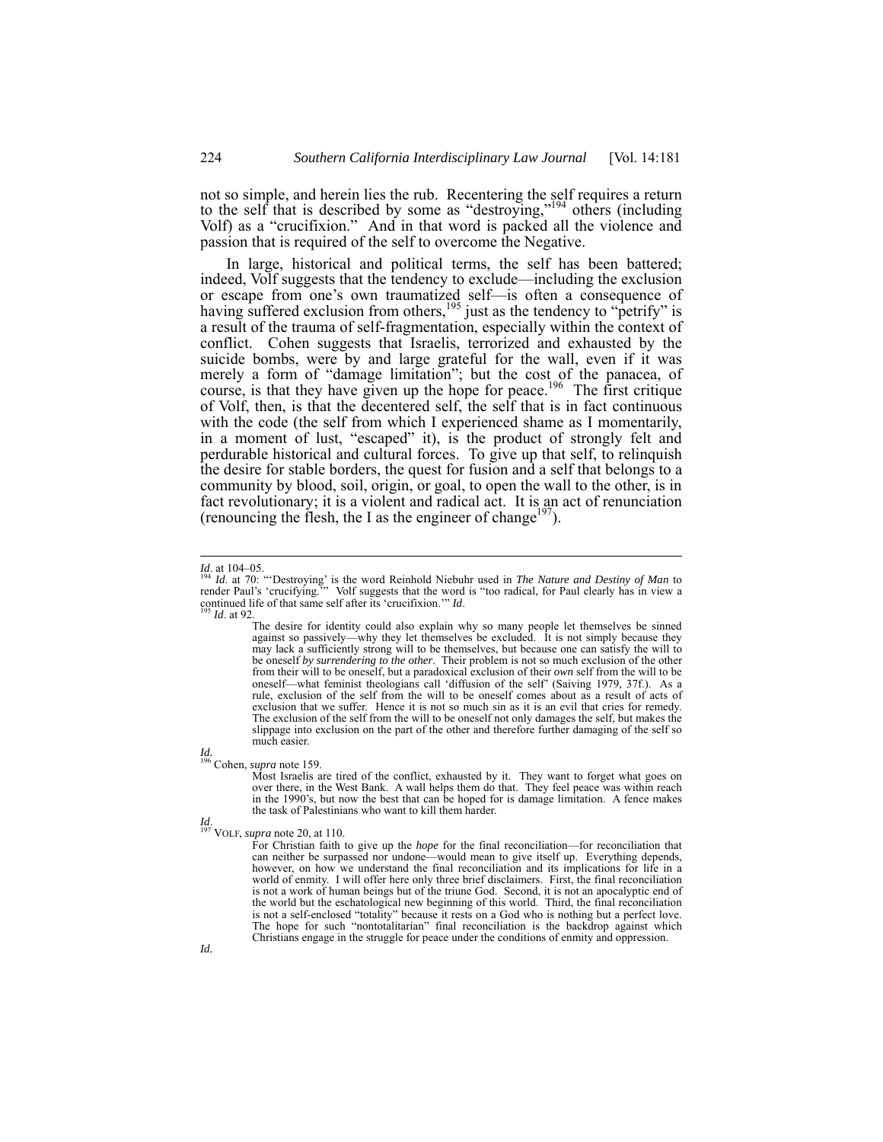not so simple, and herein lies the rub. Recentering the self requires a return to the self that is described by some as "destroying,"194 others (including Volf) as a "crucifixion." And in that word is packed all the violence and passion that is required of the self to overcome the Negative.

In large, historical and political terms, the self has been battered; indeed, Volf suggests that the tendency to exclude—including the exclusion or escape from one's own traumatized self—is often a consequence of having suffered exclusion from others,  $195$  just as the tendency to "petrify" is a result of the trauma of self-fragmentation, especially within the context of conflict. Cohen suggests that Israelis, terrorized and exhausted by the suicide bombs, were by and large grateful for the wall, even if it was merely a form of "damage limitation"; but the cost of the panacea, of course, is that they have given up the hope for peace.<sup>196</sup> The first critique of Volf, then, is that the decentered self, the self that is in fact continuous with the code (the self from which I experienced shame as I momentarily, in a moment of lust, "escaped" it), is the product of strongly felt and perdurable historical and cultural forces. To give up that self, to relinquish the desire for stable borders, the quest for fusion and a self that belongs to a community by blood, soil, origin, or goal, to open the wall to the other, is in fact revolutionary; it is a violent and radical act. It is an act of renunciation (renouncing the flesh, the I as the engineer of change<sup>197</sup>).

*Id.*  196 Cohen, *supra* note 159.

Most Israelis are tired of the conflict, exhausted by it. They want to forget what goes on over there, in the West Bank. A wall helps them do that. They feel peace was within reach in the 1990's, but now the best that can be hoped for is damage limitation. A fence makes the task of Palestinians who want to kill them harder.

*Id*. 197 VOLF, *supra* note 20, at 110.

For Christian faith to give up the *hope* for the final reconciliation—for reconciliation that can neither be surpassed nor undone—would mean to give itself up. Everything depends, however, on how we understand the final reconciliation and its implications for life in a world of enmity. I will offer here only three brief disclaimers. First, the final reconciliation is not a work of human beings but of the triune God. Second, it is not an apocalyptic end of the world but the eschatological new beginning of this world. Third, the final reconciliation is not a self-enclosed "totality" because it rests on a God who is nothing but a perfect love. The hope for such "nontotalitarian" final reconciliation is the backdrop against which Christians engage in the struggle for peace under the conditions of enmity and oppression.

*Id.* at 104–05.

*Id.* at 104–05.<br><sup>194</sup> *Id.* at 70: "Destroying' is the word Reinhold Niebuhr used in *The Nature and Destiny of Man* to<br>render Paul's 'crucifying.'" Volf suggests that the word is "too radical, for Paul clearly has in vie continued life of that same self after its 'crucifixion.'" *Id*. 195 *Id*. at 92.

The desire for identity could also explain why so many people let themselves be sinned against so passively—why they let themselves be excluded. It is not simply because they may lack a sufficiently strong will to be themselves, but because one can satisfy the will to be oneself *by surrendering to the other*. Their problem is not so much exclusion of the other from their will to be oneself, but a paradoxical exclusion of their *own* self from the will to be oneself—what feminist theologians call 'diffusion of the self' (Saiving 1979, 37f.). As a rule, exclusion of the self from the will to be oneself comes about as a result of acts of exclusion that we suffer. Hence it is not so much sin as it is an evil that cries for remedy. The exclusion of the self from the will to be oneself not only damages the self, but makes the slippage into exclusion on the part of the other and therefore further damaging of the self so much easier.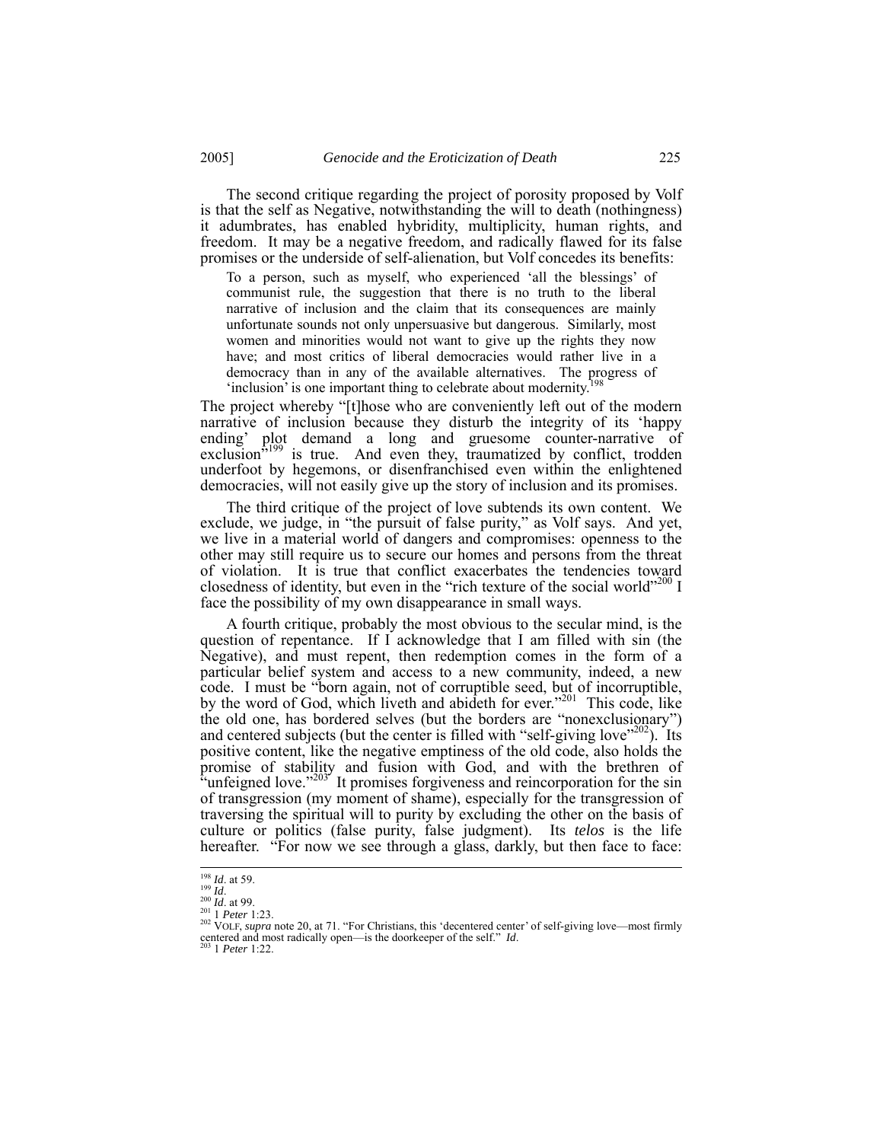The second critique regarding the project of porosity proposed by Volf is that the self as Negative, notwithstanding the will to death (nothingness) it adumbrates, has enabled hybridity, multiplicity, human rights, and freedom. It may be a negative freedom, and radically flawed for its false promises or the underside of self-alienation, but Volf concedes its benefits:

To a person, such as myself, who experienced 'all the blessings' of communist rule, the suggestion that there is no truth to the liberal narrative of inclusion and the claim that its consequences are mainly unfortunate sounds not only unpersuasive but dangerous. Similarly, most women and minorities would not want to give up the rights they now have; and most critics of liberal democracies would rather live in a democracy than in any of the available alternatives. The progress of 'inclusion' is one important thing to celebrate about modernity.<sup>198</sup>

The project whereby "[t]hose who are conveniently left out of the modern narrative of inclusion because they disturb the integrity of its 'happy ending' plot demand a long and gruesome counter-narrative of exclusion $\hat{v}^{199}$  is true. And even they, traumatized by conflict, trodden underfoot by hegemons, or disenfranchised even within the enlightened democracies, will not easily give up the story of inclusion and its promises.

The third critique of the project of love subtends its own content. We exclude, we judge, in "the pursuit of false purity," as Volf says. And yet, we live in a material world of dangers and compromises: openness to the other may still require us to secure our homes and persons from the threat of violation. It is true that conflict exacerbates the tendencies toward closedness of identity, but even in the "rich texture of the social world"<sup>200</sup> I face the possibility of my own disappearance in small ways.

A fourth critique, probably the most obvious to the secular mind, is the question of repentance. If I acknowledge that I am filled with sin (the Negative), and must repent, then redemption comes in the form of a particular belief system and access to a new community, indeed, a new code. I must be "born again, not of corruptible seed, but of incorruptible, by the word of God, which liveth and abideth for ever."<sup>201</sup> This code, like the old one, has bordered selves (but the borders are "nonexclusionary") and centered subjects (but the center is filled with "self-giving love"<sup>202</sup>). Its positive content, like the negative emptiness of the old code, also holds the promise of stability and fusion with God, and with the brethren of "unfeigned love." $203$ " It promises forgiveness and reincorporation for the sin of transgression (my moment of shame), especially for the transgression of traversing the spiritual will to purity by excluding the other on the basis of culture or politics (false purity, false judgment). Its *telos* is the life hereafter. "For now we see through a glass, darkly, but then face to face:

<sup>&</sup>lt;sup>198</sup> *Id.* at 59.<br><sup>199</sup> *Id.* 200 *Id.* at 99.<br><sup>201</sup> 1 *Peter* 1:23.<br><sup>202</sup> VOLF, *supra* note 20, at 71. "For Christians, this 'decentered center' of self-giving love—most firmly centered and most radically open—is the doorkeeper of the self." *Id.* 203 1 *Peter* 1:22.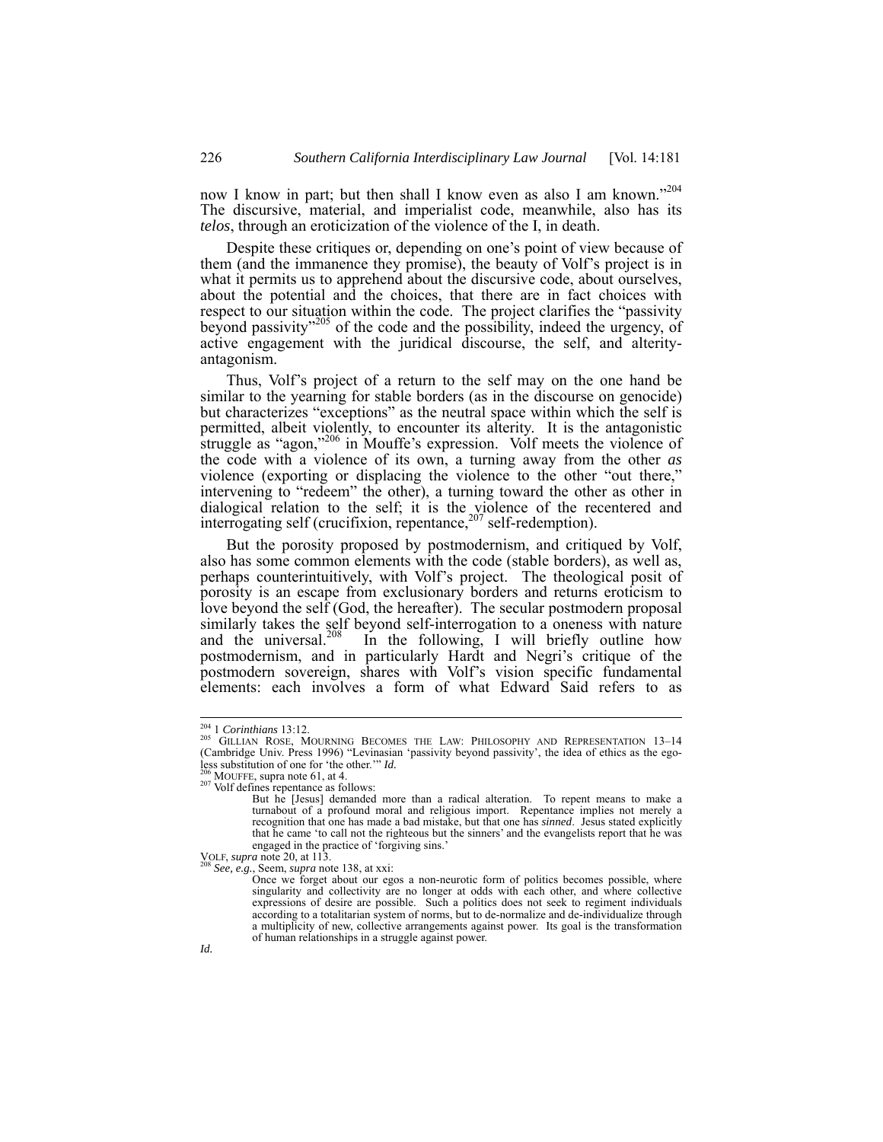now I know in part; but then shall I know even as also I am known."<sup>204</sup> The discursive, material, and imperialist code, meanwhile, also has its *telos*, through an eroticization of the violence of the I, in death.

Despite these critiques or, depending on one's point of view because of them (and the immanence they promise), the beauty of Volf's project is in what it permits us to apprehend about the discursive code, about ourselves, about the potential and the choices, that there are in fact choices with respect to our situation within the code. The project clarifies the "passivity beyond passivity"<sup>205</sup> of the code and the possibility, indeed the urgency, of active engagement with the juridical discourse, the self, and alterityantagonism.

Thus, Volf's project of a return to the self may on the one hand be similar to the yearning for stable borders (as in the discourse on genocide) but characterizes "exceptions" as the neutral space within which the self is permitted, albeit violently, to encounter its alterity. It is the antagonistic struggle as "agon,"<sup>206</sup> in Mouffe's expression. Volf meets the violence of the code with a violence of its own, a turning away from the other *as* violence (exporting or displacing the violence to the other "out there," intervening to "redeem" the other), a turning toward the other as other in dialogical relation to the self; it is the violence of the recentered and interrogating self (crucifixion, repentance,  $207$  self-redemption).

But the porosity proposed by postmodernism, and critiqued by Volf, also has some common elements with the code (stable borders), as well as, perhaps counterintuitively, with Volf's project. The theological posit of porosity is an escape from exclusionary borders and returns eroticism to love beyond the self (God, the hereafter). The secular postmodern proposal similarly takes the self beyond self-interrogation to a oneness with nature and the universal.<sup>208</sup> In the following, I will briefly outline how In the following, I will briefly outline how postmodernism, and in particularly Hardt and Negri's critique of the postmodern sovereign, shares with Volf's vision specific fundamental elements: each involves a form of what Edward Said refers to as

<sup>&</sup>lt;sup>204</sup> 1 *Corinthians* 13:12.<br><sup>205</sup> GILLIAN ROSE, MOURNING BECOMES THE LAW: PHILOSOPHY AND REPRESENTATION 13–14 (Cambridge Univ. Press 1996) "Levinasian 'passivity beyond passivity', the idea of ethics as the ego-<br>less substitution of one for 'the other.'"  $Id$ .

<sup>&</sup>lt;sup>206</sup> MOUFFE, supra note 61, at 4. <sup>207</sup> Volf defines repentance as follows:

But he [Jesus] demanded more than a radical alteration. To repent means to make a turnabout of a profound moral and religious import. Repentance implies not merely a recognition that one has made a bad mistake, but that one has *sinned*. Jesus stated explicitly that he came 'to call not the righteous but the sinners' and the evangelists report that he was engaged in the practice of 'forgiving sins.'<br>VOLF, *supra* note 20, at 113.

See, e.g., Seem, *supra* note 138, at xxi:

Once we forget about our egos a non-neurotic form of politics becomes possible, where singularity and collectivity are no longer at odds with each other, and where collective expressions of desire are possible. Such a politics does not seek to regiment individuals according to a totalitarian system of norms, but to de-normalize and de-individualize through a multiplicity of new, collective arrangements against power. Its goal is the transformation of human relationships in a struggle against power.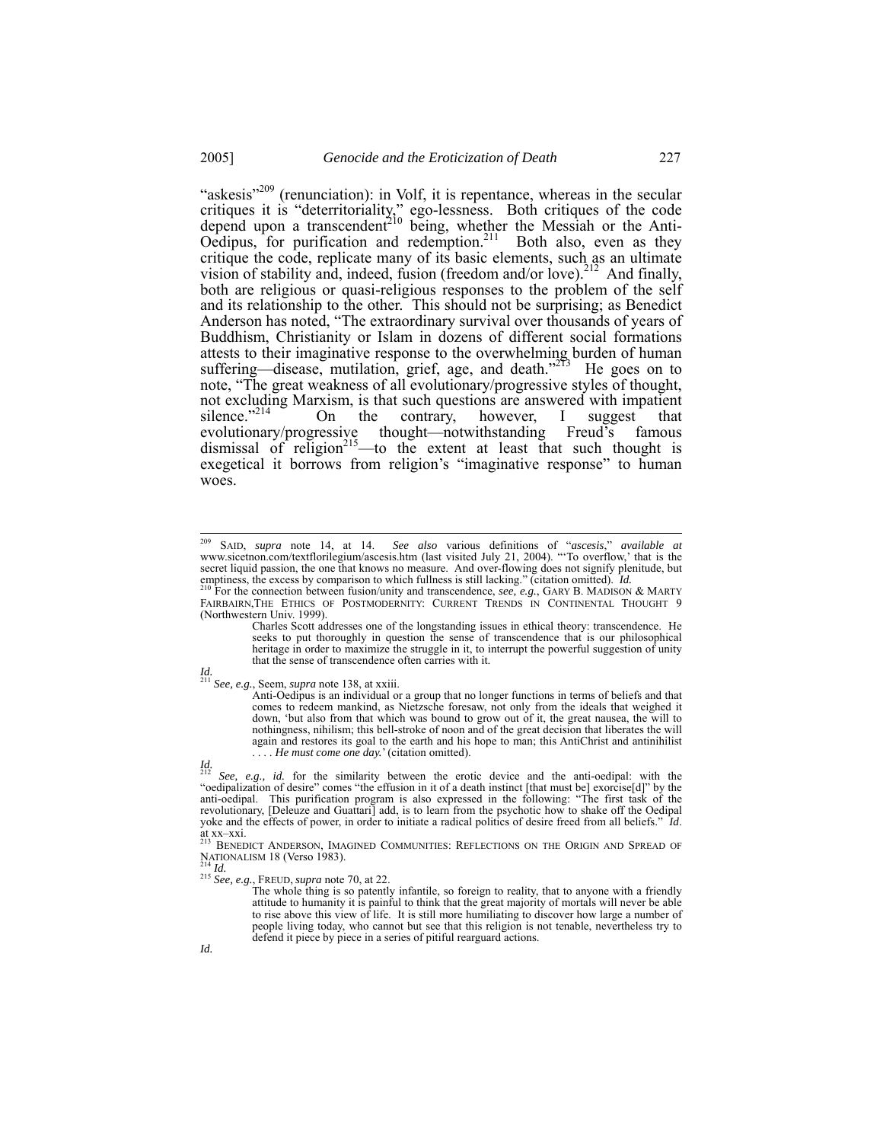"askesis"<sup>209</sup> (renunciation): in Volf, it is repentance, whereas in the secular critiques it is "deterritoriality," ego-lessness. Both critiques of the code depend upon a transcendent<sup>210</sup> being, whether the Messiah or the Anti-Oedipus, for purification and redemption.<sup>211</sup> Both also, even as they critique the code, replicate many of its basic elements, such as an ultimate vision of stability and, indeed, fusion (freedom and/or love).<sup>212</sup> And finally, both are religious or quasi-religious responses to the problem of the self and its relationship to the other. This should not be surprising; as Benedict Anderson has noted, "The extraordinary survival over thousands of years of Buddhism, Christianity or Islam in dozens of different social formations attests to their imaginative response to the overwhelming burden of human suffering—disease, mutilation, grief, age, and death."<sup>213</sup> He goes on to note, "The great weakness of all evolutionary/progressive styles of thought, not excluding Marxism, is that such questions are answered with impatient silence.<sup>7214</sup> On the contrary, however, I suggest that silence."<sup>214</sup> On the contrary, however, I suggest that evolutionary/progressive thought—notwithstanding Freud's famous dismissal of religion<sup>215</sup>—to the extent at least that such thought is exegetical it borrows from religion's "imaginative response" to human woes.

 $\frac{1}{15}$  See, e.g., FREUD, *supra* note 70, at 22.

 <sup>209</sup> SAID, *supra* note 14, at 14. *See also* various definitions of "*ascesis*," *available at* www.sicetnon.com/textflorilegium/ascesis.htm (last visited July 21, 2004). "'To overflow,' that is the secret liquid passion, the one that knows no measure. And over-flowing does not signify plenitude, but emptiness, the excess by comparison to which fullness is still lacking." (citation omitted). *Id.* 2<sup>10</sup> For the connection between fusion/unity and transcendence, *see, e.g.*, GARY B. MADISON & MARTY

FAIRBAIRN,THE ETHICS OF POSTMODERNITY: CURRENT TRENDS IN CONTINENTAL THOUGHT 9 (Northwestern Univ. 1999).

Charles Scott addresses one of the longstanding issues in ethical theory: transcendence. He seeks to put thoroughly in question the sense of transcendence that is our philosophical heritage in order to maximize the struggle in it, to interrupt the powerful suggestion of unity that the sense of transcendence often carries with it.

*Id.*  <sup>211</sup> *See, e.g.*, Seem, *supra* note 138, at xxiii. Anti-Oedipus is an individual or a group that no longer functions in terms of beliefs and that comes to redeem mankind, as Nietzsche foresaw, not only from the ideals that weighed it down, 'but also from that which was bound to grow out of it, the great nausea, the will to nothingness, nihilism; this bell-stroke of noon and of the great decision that liberates the will again and restores its goal to the earth and his hope to man; this AntiChrist and antinihilist . . . . *He must come one day.*' (citation omitted).

*Id.*  <sup>212</sup> *See, e.g., id.* for the similarity between the erotic device and the anti-oedipal: with the "oedipalization of desire" comes "the effusion in it of a death instinct [that must be] exorcise[d]" by the anti-oedipal. This purification program is also expressed in the following: "The first task of the revolutionary, [Deleuze and Guattari] add, is to learn from the psychotic how to shake off the Oedipal yoke and the effects of power, in order to initiate a radical politics of desire freed from all beliefs." *Id*. at  $x - xxi$ .

<sup>&</sup>lt;sup>213</sup> BENEDICT ANDERSON, IMAGINED COMMUNITIES: REFLECTIONS ON THE ORIGIN AND SPREAD OF NATIONALISM 18 (Verso 1983).<br><sup>214</sup> Id.

The whole thing is so patently infantile, so foreign to reality, that to anyone with a friendly attitude to humanity it is painful to think that the great majority of mortals will never be able to rise above this view of life. It is still more humiliating to discover how large a number of people living today, who cannot but see that this religion is not tenable, nevertheless try to defend it piece by piece in a series of pitiful rearguard actions.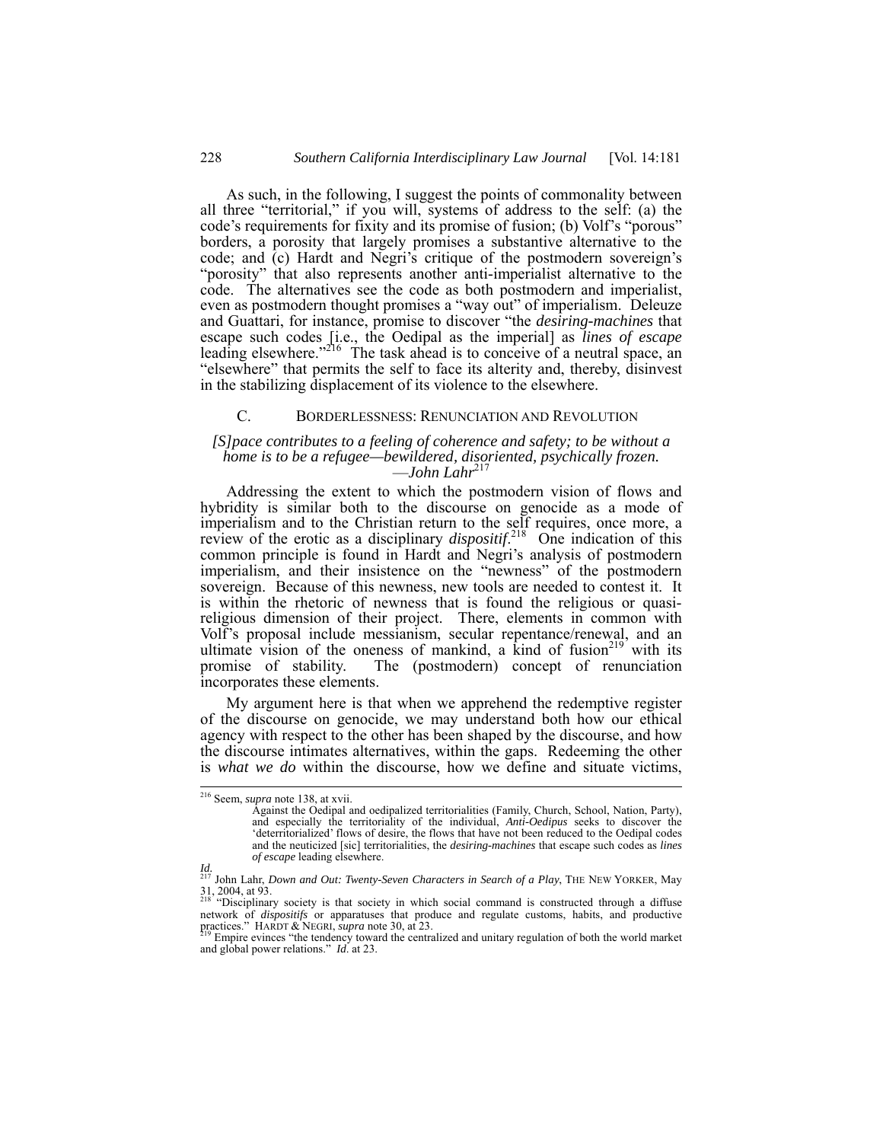As such, in the following, I suggest the points of commonality between all three "territorial," if you will, systems of address to the self: (a) the code's requirements for fixity and its promise of fusion; (b) Volf's "porous" borders, a porosity that largely promises a substantive alternative to the code; and (c) Hardt and Negri's critique of the postmodern sovereign's "porosity" that also represents another anti-imperialist alternative to the code. The alternatives see the code as both postmodern and imperialist, even as postmodern thought promises a "way out" of imperialism. Deleuze and Guattari, for instance, promise to discover "the *desiring-machines* that escape such codes [i.e., the Oedipal as the imperial] as *lines of escape*  leading elsewhere.<sup>2216</sup> The task ahead is to conceive of a neutral space, an "elsewhere" that permits the self to face its alterity and, thereby, disinvest in the stabilizing displacement of its violence to the elsewhere.

#### C. BORDERLESSNESS: RENUNCIATION AND REVOLUTION

#### *[S]pace contributes to a feeling of coherence and safety; to be without a home is to be a refugee—bewildered, disoriented, psychically frozen.*  —*John Lahr*<sup>217</sup>

Addressing the extent to which the postmodern vision of flows and hybridity is similar both to the discourse on genocide as a mode of imperialism and to the Christian return to the self requires, once more, a review of the erotic as a disciplinary *dispositif*. 218 One indication of this common principle is found in Hardt and Negri's analysis of postmodern imperialism, and their insistence on the "newness" of the postmodern sovereign. Because of this newness, new tools are needed to contest it. It is within the rhetoric of newness that is found the religious or quasireligious dimension of their project. There, elements in common with Volf's proposal include messianism, secular repentance/renewal, and an ultimate vision of the oneness of mankind, a kind of fusion<sup>219</sup> with its promise of stability. The (postmodern) concept of renunciation incorporates these elements.

My argument here is that when we apprehend the redemptive register of the discourse on genocide, we may understand both how our ethical agency with respect to the other has been shaped by the discourse, and how the discourse intimates alternatives, within the gaps. Redeeming the other is *what we do* within the discourse, how we define and situate victims,

 <sup>216</sup> Seem, *supra* note 138, at xvii.

Against the Oedipal and oedipalized territorialities (Family, Church, School, Nation, Party), and especially the territoriality of the individual, *Anti-Oedipus* seeks to discover the 'deterritorialized' flows of desire, the flows that have not been reduced to the Oedipal codes and the neuticized [sic] territorialities, the *desiring-machines* that escape such codes as *lines of escape* leading elsewhere.

*Id.*  217 John Lahr, *Down and Out: Twenty-Seven Characters in Search of a Play*, THE NEW YORKER, May  $31, 2004$ , at 93.<br><sup>218</sup> "Disciplinary society is that society in which social command is constructed through a diffuse

network of *dispositifs* or apparatuses that produce and regulate customs, habits, and productive practices." HARDT & NEGRI, *supra* note 30, at 23.

Empire evinces "the tendency toward the centralized and unitary regulation of both the world market and global power relations." *Id.* at 23.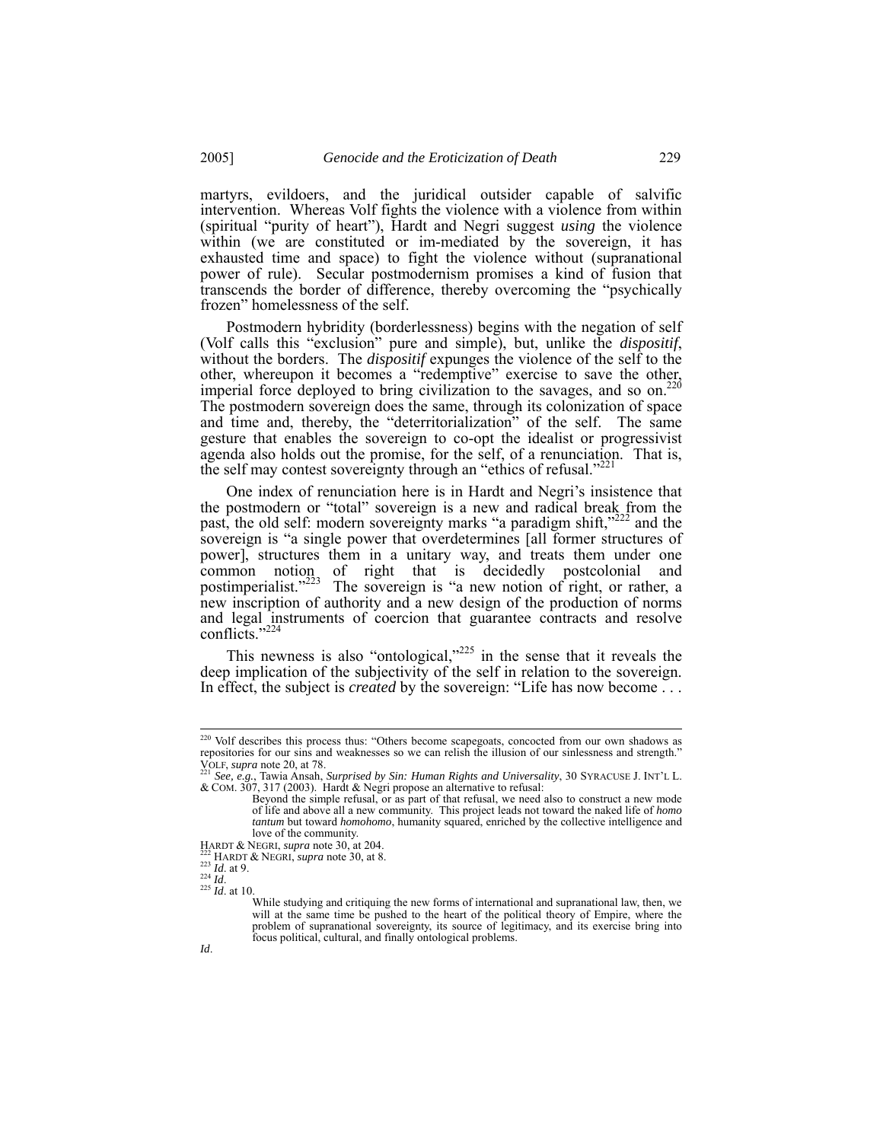martyrs, evildoers, and the juridical outsider capable of salvific intervention. Whereas Volf fights the violence with a violence from within (spiritual "purity of heart"), Hardt and Negri suggest *using* the violence within (we are constituted or im-mediated by the sovereign, it has exhausted time and space) to fight the violence without (supranational power of rule). Secular postmodernism promises a kind of fusion that transcends the border of difference, thereby overcoming the "psychically frozen" homelessness of the self.

Postmodern hybridity (borderlessness) begins with the negation of self (Volf calls this "exclusion" pure and simple), but, unlike the *dispositif*, without the borders. The *dispositif* expunges the violence of the self to the Without the pothers. The *disposity* expanses are series to save the other, whereupon it becomes a "redemptive" exercise to save the other, imperial force deployed to bring civilization to the savages, and so on.<sup>2</sup> The postmodern sovereign does the same, through its colonization of space and time and, thereby, the "deterritorialization" of the self. The same gesture that enables the sovereign to co-opt the idealist or progressivist agenda also holds out the promise, for the self, of a renunciation. That is, the self may contest sovereignty through an "ethics of refusal." $^{22}$ 

One index of renunciation here is in Hardt and Negri's insistence that the postmodern or "total" sovereign is a new and radical break from the past, the old self: modern sovereignty marks "a paradigm shift,"<sup>222</sup> and the sovereign is "a single power that overdetermines [all former structures of power], structures them in a unitary way, and treats them under one common notion of right that is decidedly postcolonial and postimperialist."<sup>223</sup> The sovereign is "a new notion of right, or rather, a new inscription of authority and a new design of the production of norms and legal instruments of coercion that guarantee contracts and resolve conflicts." $2^2$ 

This newness is also "ontological, $225$  in the sense that it reveals the deep implication of the subjectivity of the self in relation to the sovereign. In effect, the subject is *created* by the sovereign: "Life has now become . . .

<sup>&</sup>lt;sup>220</sup> Volf describes this process thus: "Others become scapegoats, concocted from our own shadows as repositories for our sins and weaknesses so we can relish the illusion of our sinlessness and strength."

VOLF, *supra* note 20, at 78.<br><sup>221</sup> *See, e.g.*, Tawia Ansah, *Surprised by Sin: Human Rights and Universality*, 30 SYRACUSE J. INT'L L.<br>& COM. 307, 317 (2003). Hardt & Negri propose an alternative to refusal:

Beyond the simple refusal, or as part of that refusal, we need also to construct a new mode of life and above all a new community. This project leads not toward the naked life of *homo tantum* but toward *homohomo*, humanity squared, enriched by the collective intelligence and love of the community.<br>HARDT & NEGRI, *supra* note 30, at 204.

<sup>&</sup>lt;sup>222</sup> HARDT & NEGRI, *supra* note 30, at 8.<br><sup>223</sup> *Id.* at 9.<br><sup>224</sup> *Id.* at 10.

While studying and critiquing the new forms of international and supranational law, then, we will at the same time be pushed to the heart of the political theory of Empire, where the problem of supranational sovereignty, its source of legitimacy, and its exercise bring into focus political, cultural, and finally ontological problems.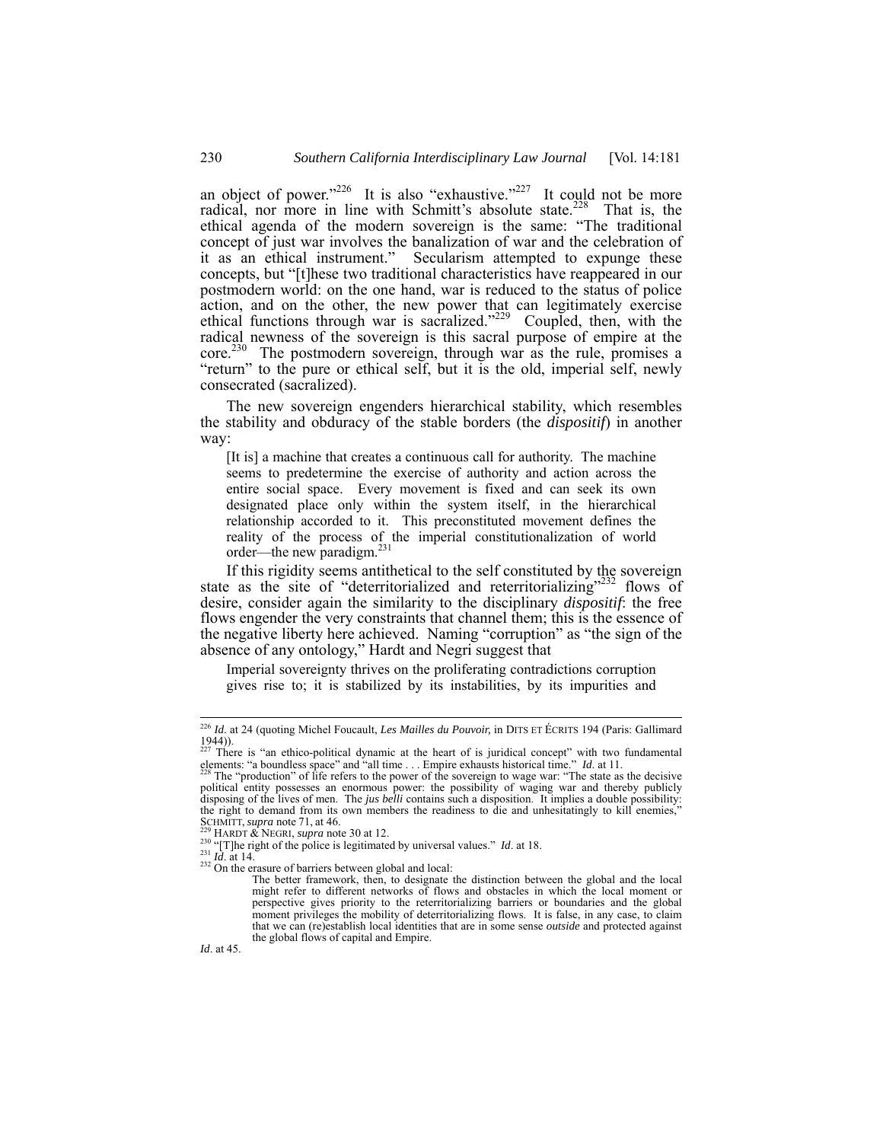an object of power."<sup>226</sup> It is also "exhaustive."<sup>227</sup> It could not be more radical, nor more in line with Schmitt's absolute state.<sup>228</sup> That is, the ethical agenda of the modern sovereign is the same: "The traditional concept of just war involves the banalization of war and the celebration of it as an ethical instrument." Secularism attempted to expunge these concepts, but "[t]hese two traditional characteristics have reappeared in our postmodern world: on the one hand, war is reduced to the status of police action, and on the other, the new power that can legitimately exercise ethical functions through war is sacralized."<sup>229</sup> Coupled, then, with the radical newness of the sovereign is this sacral purpose of empire at the  $\text{core.}^{230}$  The postmodern sovereign, through war as the rule, promises a "return" to the pure or ethical self, but it is the old, imperial self, newly consecrated (sacralized).

The new sovereign engenders hierarchical stability, which resembles the stability and obduracy of the stable borders (the *dispositif*) in another way:

[It is] a machine that creates a continuous call for authority. The machine seems to predetermine the exercise of authority and action across the entire social space. Every movement is fixed and can seek its own designated place only within the system itself, in the hierarchical relationship accorded to it. This preconstituted movement defines the reality of the process of the imperial constitutionalization of world order—the new paradigm.231

If this rigidity seems antithetical to the self constituted by the sovereign state as the site of "deterritorialized and reterritorializing"<sup>232</sup> flows of desire, consider again the similarity to the disciplinary *dispositif*: the free flows engender the very constraints that channel them; this is the essence of the negative liberty here achieved. Naming "corruption" as "the sign of the absence of any ontology," Hardt and Negri suggest that

Imperial sovereignty thrives on the proliferating contradictions corruption gives rise to; it is stabilized by its instabilities, by its impurities and

*Id*. at 45.

 <sup>226</sup> *Id*. at 24 (quoting Michel Foucault, *Les Mailles du Pouvoir,* in DITS ET ÉCRITS 194 (Paris: Gallimard  $\frac{1944}{227}$ .

<sup>&</sup>lt;sup>227</sup> There is "an ethico-political dynamic at the heart of is juridical concept" with two fundamental elements: "a boundless space" and "all time . . . Empire exhausts historical time." *Id*. at 11.<br><sup>228</sup> The "production" of life refers to the power of the sovereign to wage war: "The state as the decisive

political entity possesses an enormous power: the possibility of waging war and thereby publicly disposing of the lives of men. The *jus belli* contains such a disposition. It implies a double possibility: the right to demand from its own members the readiness to die and unhesitatingly to kill enemies,"<br>SSGHMITT, supra note 71, at 46.

<sup>&</sup>lt;sup>229</sup> HARDT & NEGRI, *supra* note 30 at 12.<br><sup>230</sup> "[T]he right of the police is legitimated by universal values." *Id.* at 18.<br><sup>231</sup> *Id.* at 14.<br><sup>232</sup> On the erasure of barriers between global and local:

The better framework, then, to designate the distinction between the global and the local might refer to different networks of flows and obstacles in which the local moment or perspective gives priority to the reterritorializing barriers or boundaries and the global moment privileges the mobility of deterritorializing flows. It is false, in any case, to claim that we can (re)establish local identities that are in some sense *outside* and protected against the global flows of capital and Empire.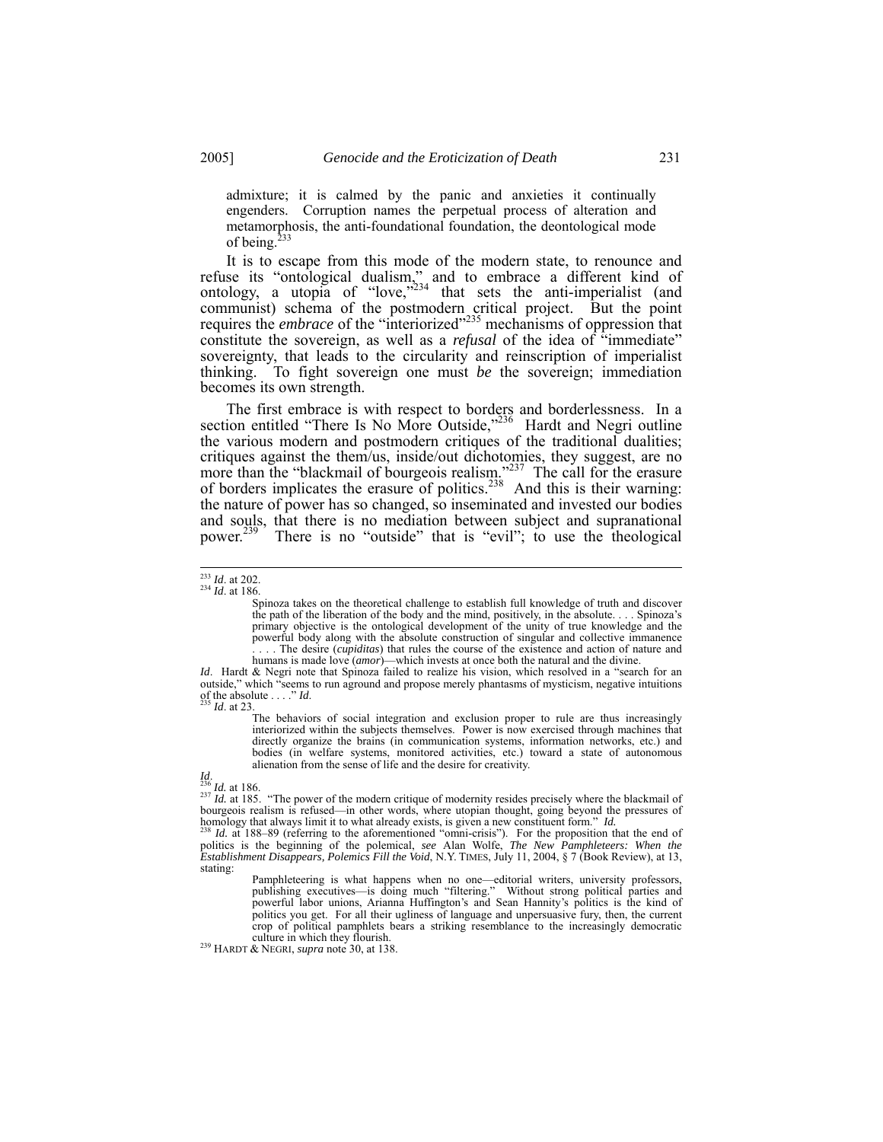admixture; it is calmed by the panic and anxieties it continually engenders. Corruption names the perpetual process of alteration and metamorphosis, the anti-foundational foundation, the deontological mode of being.<sup>233</sup>

It is to escape from this mode of the modern state, to renounce and refuse its "ontological dualism," and to embrace a different kind of ontology, a utopia of "love," $234$  that sets the anti-imperialist (and communist) schema of the postmodern critical project. But the point requires the *embrace* of the "interiorized"<sup>235</sup> mechanisms of oppression that constitute the sovereign, as well as a *refusal* of the idea of "immediate" sovereignty, that leads to the circularity and reinscription of imperialist thinking. To fight sovereign one must *be* the sovereign; immediation becomes its own strength.

The first embrace is with respect to borders and borderlessness. In a section entitled "There Is No More Outside,"<sup>236</sup> Hardt and Negri outline the various modern and postmodern critiques of the traditional dualities; critiques against the them/us, inside/out dichotomies, they suggest, are no more than the "blackmail of bourgeois realism."<sup>237</sup> The call for the erasure of borders implicates the erasure of politics.<sup>238</sup> And this is their warning: the nature of power has so changed, so inseminated and invested our bodies and souls, that there is no mediation between subject and supranational power.<sup>239</sup> There is no "outside" that is "evil"; to use the theological There is no "outside" that is "evil"; to use the theological

*Id.* Hardt & Negri note that Spinoza failed to realize his vision, which resolved in a "search for an outside," which "seems to run aground and propose merely phantasms of mysticism, negative intuitions of the absolute  $\ddot{B}$ of the absolute  $\ldots$ <br><sup>235</sup> *Id.* at 23.

The behaviors of social integration and exclusion proper to rule are thus increasingly interiorized within the subjects themselves. Power is now exercised through machines that directly organize the brains (in communication systems, information networks, etc.) and bodies (in welfare systems, monitored activities, etc.) toward a state of autonomous alienation from the sense of life and the desire for creativity.

*Id.*<br><sup>236</sup> *Id.* at 186.<br><sup>237</sup> *Id.* at 185. "The power of the modern critique of modernity resides precisely where the blackmail of bourgeois realism is refused—in other words, where utopian thought, going beyond the pressures of

homology that always limit it to what already exists, is given a new constituent form." *Id.* <sup>238</sup> *Id.* at 188–89 (referring to the aforementioned "omni-crisis"). For the proposition that the end of politics is the beginning of the polemical, *see* Alan Wolfe, *The New Pamphleteers: When the Establishment Disappears, Polemics Fill the Void*, N.Y. TIMES, July 11, 2004, § 7 (Book Review), at 13, stating:

Pamphleteering is what happens when no one—editorial writers, university professors, publishing executives—is doing much "filtering." Without strong political parties and powerful labor unions, Arianna Huffington's and Sean Hannity's politics is the kind of politics you get. For all their ugliness of language and unpersuasive fury, then, the current crop of political pamphlets bears a striking resemblance to the increasingly democratic culture in which they flourish.

<sup>239</sup> HARDT & NEGRI, *supra* note 30, at 138.

<sup>233</sup> *Id*. at 202. 234 *Id*. at 186.

Spinoza takes on the theoretical challenge to establish full knowledge of truth and discover<br>the path of the liberation of the body and the mind, positively, in the absolute.... Spinoza's<br>primary objective is the ontologic powerful body along with the absolute construction of singular and collective immanence . . . . The desire (*cupiditas*) that rules the course of the existence and action of nature and humans is made love (*amor*)—which invests at once both the natural and the divine.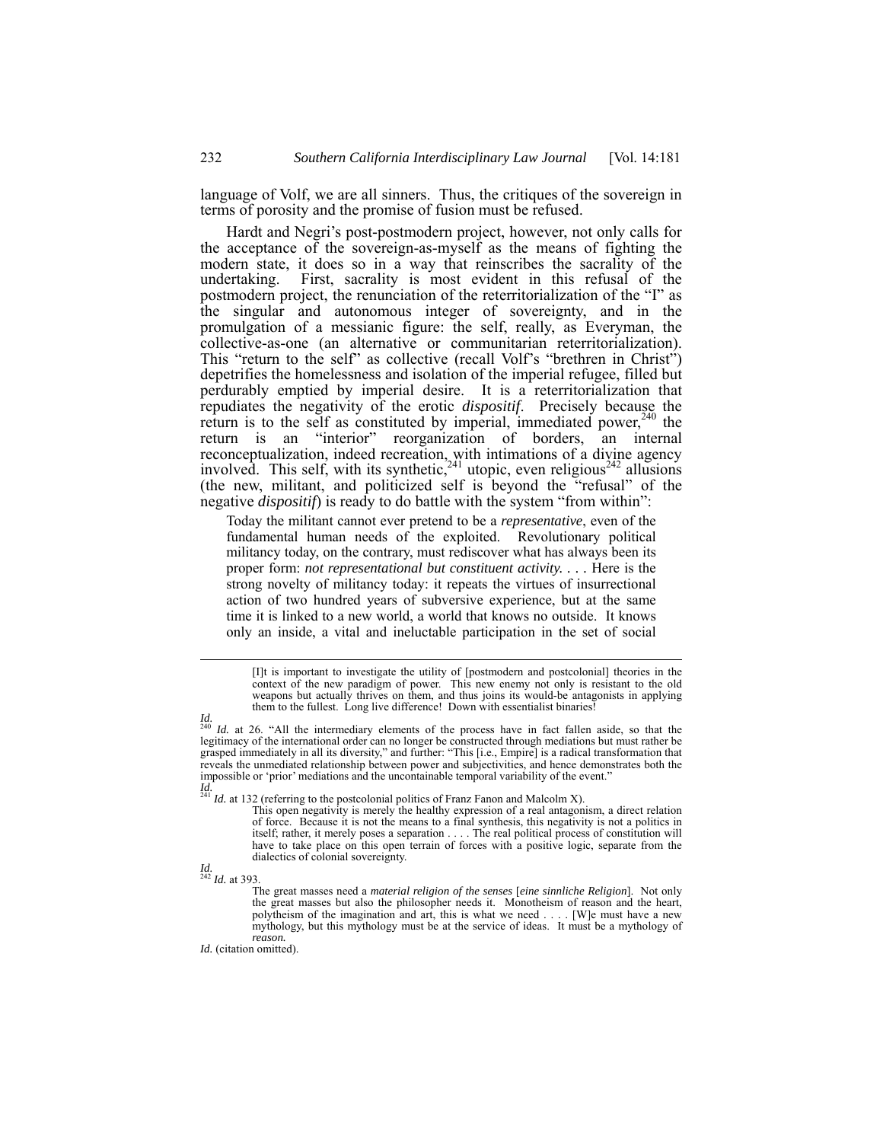language of Volf, we are all sinners. Thus, the critiques of the sovereign in terms of porosity and the promise of fusion must be refused.

Hardt and Negri's post-postmodern project, however, not only calls for the acceptance of the sovereign-as-myself as the means of fighting the modern state, it does so in a way that reinscribes the sacrality of the undertaking. First, sacrality is most evident in this refusal of the postmodern project, the renunciation of the reterritorialization of the "I" as the singular and autonomous integer of sovereignty, and in the promulgation of a messianic figure: the self, really, as Everyman, the collective-as-one (an alternative or communitarian reterritorialization). This "return to the self" as collective (recall Volf's "brethren in Christ") depetrifies the homelessness and isolation of the imperial refugee, filled but perdurably emptied by imperial desire. It is a reterritorialization that repudiates the negativity of the erotic *dispositif*. Precisely because the return is to the self as constituted by imperial, immediated power,  $240$  the return is an "interior" reorganization of borders, an internal reconceptualization, indeed recreation, with intimations of a divine agency involved. This self, with its synthetic,<sup>241</sup> utopic, even religious<sup>242</sup> allusions (the new, militant, and politicized self is beyond the "refusal" of the negative *dispositif*) is ready to do battle with the system "from within":

Today the militant cannot ever pretend to be a *representative*, even of the fundamental human needs of the exploited. Revolutionary political militancy today, on the contrary, must rediscover what has always been its proper form: *not representational but constituent activity. . . .* Here is the strong novelty of militancy today: it repeats the virtues of insurrectional action of two hundred years of subversive experience, but at the same time it is linked to a new world, a world that knows no outside. It knows only an inside, a vital and ineluctable participation in the set of social

*Id.*  <sup>242</sup> *Id.* at 393.

*Id.* (citation omitted).

 <sup>[</sup>I]t is important to investigate the utility of [postmodern and postcolonial] theories in the context of the new paradigm of power. This new enemy not only is resistant to the old weapons but actually thrives on them, and thus joins its would-be antagonists in applying them to the fullest. Long live difference! Down with essentialist binaries!

*Id.*  <sup>240</sup> *Id.* at 26. "All the intermediary elements of the process have in fact fallen aside, so that the legitimacy of the international order can no longer be constructed through mediations but must rather be grasped immediately in all its diversity," and further: "This [i.e., Empire] is a radical transformation that reveals the unmediated relationship between power and subjectivities, and hence demonstrates both the impossible or 'prior' mediations and the uncontainable temporal variability of the event."

*Id. Id.* at 132 (referring to the postcolonial politics of Franz Fanon and Malcolm X).

This open negativity is merely the healthy expression of a real antagonism, a direct relation of force. Because it is not the means to a final synthesis, this negativity is not a politics in itself; rather, it merely poses a separation . . . . The real political process of constitution will have to take place on this open terrain of forces with a positive logic, separate from the dialectics of colonial sovereignty.

The great masses need a *material religion of the senses* [*eine sinnliche Religion*]. Not only the great masses but also the philosopher needs it. Monotheism of reason and the heart, polytheism of the imagination and art, this is what we need . . . . [W]e must have a new mythology, but this mythology must be at the service of ideas. It must be a mythology of *reason.*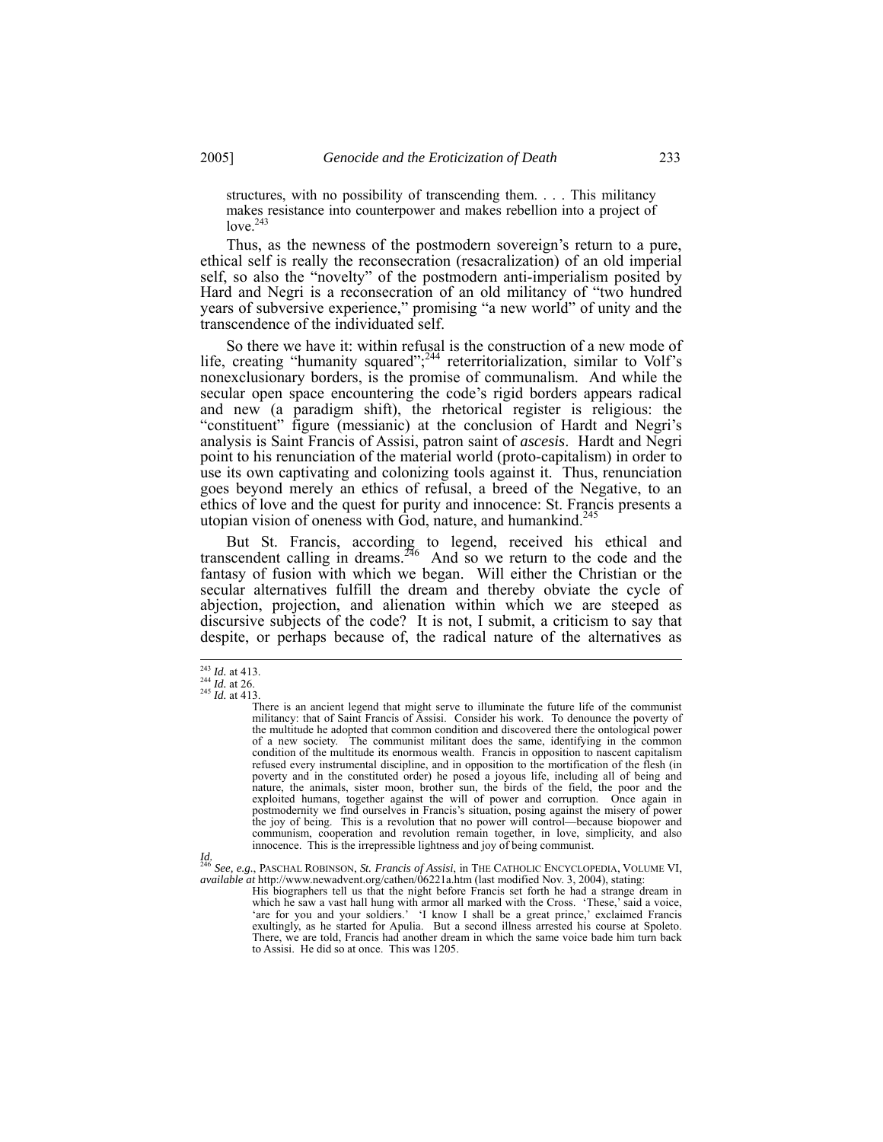structures, with no possibility of transcending them. . . . This militancy makes resistance into counterpower and makes rebellion into a project of  $love.<sup>243</sup>$ 

Thus, as the newness of the postmodern sovereign's return to a pure, ethical self is really the reconsecration (resacralization) of an old imperial self, so also the "novelty" of the postmodern anti-imperialism posited by Hard and Negri is a reconsecration of an old militancy of "two hundred years of subversive experience," promising "a new world" of unity and the transcendence of the individuated self.

So there we have it: within refusal is the construction of a new mode of life, creating "humanity squared";<sup>244</sup> reterritorialization, similar to Volf's nonexclusionary borders, is the promise of communalism. And while the secular open space encountering the code's rigid borders appears radical and new (a paradigm shift), the rhetorical register is religious: the "constituent" figure (messianic) at the conclusion of Hardt and Negri's analysis is Saint Francis of Assisi, patron saint of *ascesis*. Hardt and Negri point to his renunciation of the material world (proto-capitalism) in order to use its own captivating and colonizing tools against it. Thus, renunciation goes beyond merely an ethics of refusal, a breed of the Negative, to an ethics of love and the quest for purity and innocence: St. Francis presents a utopian vision of oneness with God, nature, and humankind.<sup>24</sup>

But St. Francis, according to legend, received his ethical and transcendent calling in dreams.<sup>246</sup> And so we return to the code and the fantasy of fusion with which we began. Will either the Christian or the secular alternatives fulfill the dream and thereby obviate the cycle of abjection, projection, and alienation within which we are steeped as discursive subjects of the code? It is not, I submit, a criticism to say that despite, or perhaps because of, the radical nature of the alternatives as

<sup>&</sup>lt;sup>243</sup> *Id.* at 413.<br><sup>244</sup> *Id.* at 26.<br><sup>245</sup> *Id.* at 413.

There is an ancient legend that might serve to illuminate the future life of the communist militancy: that of Saint Francis of Assisi. Consider his work. To denounce the poverty of the multitude he adopted that common condition and discovered there the ontological power of a new society. The communist militant does the same, identifying in the common condition of the multitude its enormous wealth. Francis in opposition to nascent capitalism refused every instrumental discipline, and in opposition to the mortification of the flesh (in poverty and in the constituted order) he posed a joyous life, including all of being and nature, the animals, sister moon, brother sun, the birds of the field, the poor and the exploited humans, together against the will of power and corruption. Once again in postmodernity we find ourselves in Francis's situation, posing against the misery of power the joy of being. This is a revolution that no power will control—because biopower and communism, cooperation and revolution remain together, in love, simplicity, and also innocence. This is the irrepressible lightness and joy of being communist.

*Id.*  <sup>246</sup> *See, e.g.*, PASCHAL ROBINSON, *St. Francis of Assisi*, in THE CATHOLIC ENCYCLOPEDIA, VOLUME VI, *available at* http://www.newadvent.org/cathen/06221a.htm (last modified Nov. 3, 2004), stating:

His biographers tell us that the night before Francis set forth he had a strange dream in which he saw a vast hall hung with armor all marked with the Cross. 'These,' said a voice, are for you and your soldiers.' 'I know I shall be a great prince,' exclaimed Francis' exultingly, as he started for Apulia. But a second illness arrested his course at Spoleto. There, we are told, Francis had another dream in which the same voice bade him turn back to Assisi. He did so at once. This was 1205.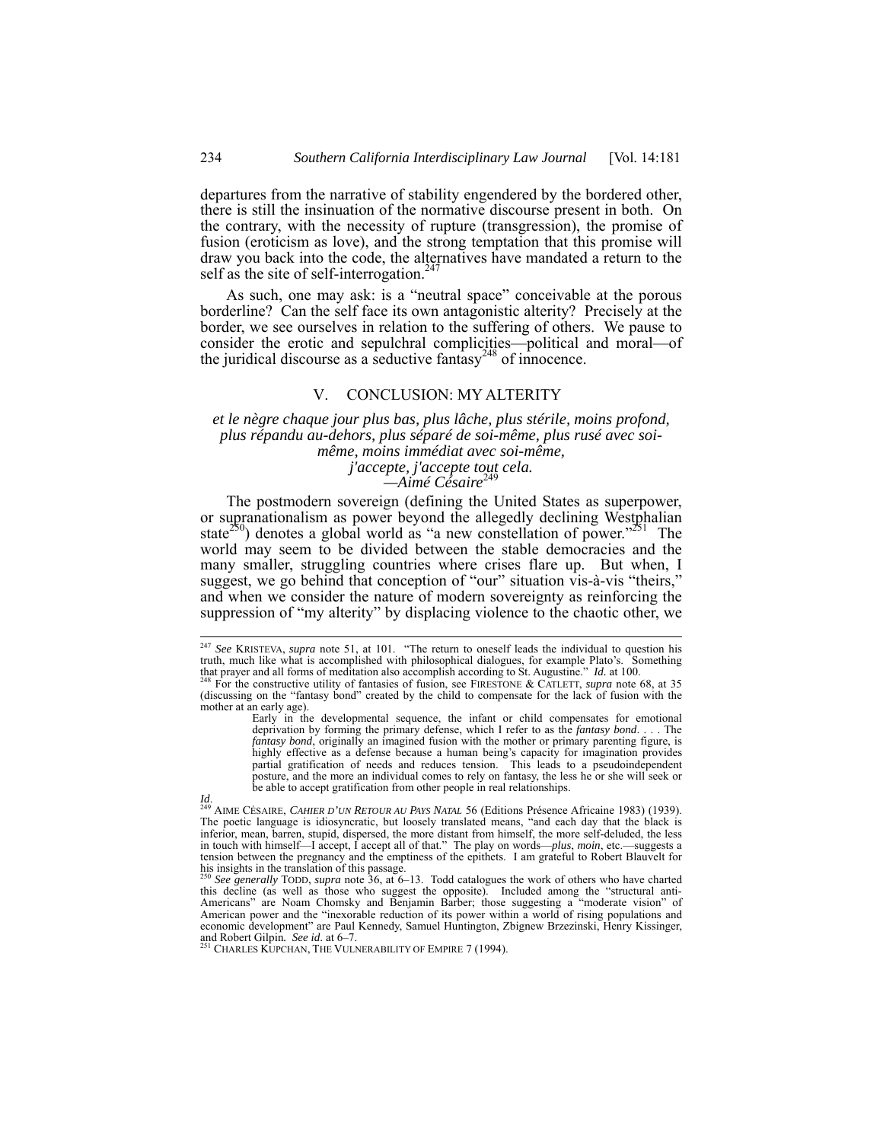departures from the narrative of stability engendered by the bordered other, there is still the insinuation of the normative discourse present in both. On the contrary, with the necessity of rupture (transgression), the promise of fusion (eroticism as love), and the strong temptation that this promise will draw you back into the code, the alternatives have mandated a return to the self as the site of self-interrogation.<sup>247</sup>

As such, one may ask: is a "neutral space" conceivable at the porous borderline? Can the self face its own antagonistic alterity? Precisely at the border, we see ourselves in relation to the suffering of others. We pause to consider the erotic and sepulchral complicities—political and moral—of the juridical discourse as a seductive fantasy<sup>248</sup> of innocence.

#### V. CONCLUSION: MY ALTERITY

#### *et le nègre chaque jour plus bas, plus lâche, plus stérile, moins profond, plus répandu au-dehors, plus séparé de soi-même, plus rusé avec soimême, moins immédiat avec soi-même, j'accepte, j'accepte tout cela.*

—Aimé Césaire<sup>24</sup>

The postmodern sovereign (defining the United States as superpower, or supranationalism as power beyond the allegedly declining Westphalian state<sup>250</sup>) denotes a global world as "a new constellation of power."<sup>251</sup> The world may seem to be divided between the stable democracies and the many smaller, struggling countries where crises flare up. But when, I suggest, we go behind that conception of "our" situation vis-à-vis "theirs," and when we consider the nature of modern sovereignty as reinforcing the suppression of "my alterity" by displacing violence to the chaotic other, we

<sup>&</sup>lt;sup>247</sup> *See* KRISTEVA, *supra* note 51, at 101. "The return to oneself leads the individual to question his truth much like what is accomplished with philosophical dialogues, for example Plato's. Something truth, much like what is accomplished with philosophical dialogues, for example Plato's. that prayer and all forms of meditation also accomplish according to St. Augustine." *Id.* at 100.

<sup>&</sup>lt;sup>248</sup> For the constructive utility of fantasies of fusion, see FIRESTONE & CATLETT, *supra* note 68, at 35 (discussing on the "fantasy bond" created by the child to compensate for the lack of fusion with the mother at an early age).

Early in the developmental sequence, the infant or child compensates for emotional deprivation by forming the primary defense, which I refer to as the *fantasy bond*. . . . The *fantasy bond*, originally an imagined fusion with the mother or primary parenting figure, is highly effective as a defense because a human being's capacity for imagination provides partial gratification of needs and reduces tension. This leads to a pseudoindependent posture, and the more an individual comes to rely on fantasy, the less he or she will seek or be able to accept gratification from other people in real relationships.

*Id.* <sup>249</sup> AIME CÉSAIRE, *CAHIER D'UN RETOUR AU PAYS NATAL* 56 (Editions Présence Africaine 1983) (1939).<br>
<sup>249</sup> AIME CÉSAIRE, *CAHIER D'UN RETOUR AU PAYS NATAL* 56 (Editions Présence Africaine 1983) (1939). The poetic language is idiosyncratic, but loosely translated means, "and each day that the black is inferior, mean, barren, stupid, dispersed, the more distant from himself, the more self-deluded, the less in touch with himself—I accept, I accept all of that." The play on words—*plus*, *moin*, etc.—suggests a tension between the pregnancy and the emptiness of the epithets. I am grateful to Robert Blauvelt for his insights in the translation of this passage.<br><sup>250</sup> *See generally* TODD, *supra* note 36, at 6–13. Todd catalogues the work of others who have charted

this decline (as well as those who suggest the opposite). Included among the "structural anti-Americans" are Noam Chomsky and Benjamin Barber; those suggesting a "moderate vision" of American power and the "inexorable reduction of its power within a world of rising populations and economic development" are Paul Kennedy, Samuel Huntington, Zbignew Brzezinski, Henry Kissinger, and Robert Gilpin. *See id.* at 6–7.<br>
<sup>251</sup> CHARLES KUPCHAN, THE VULNERABILITY OF EMPIRE 7 (1994).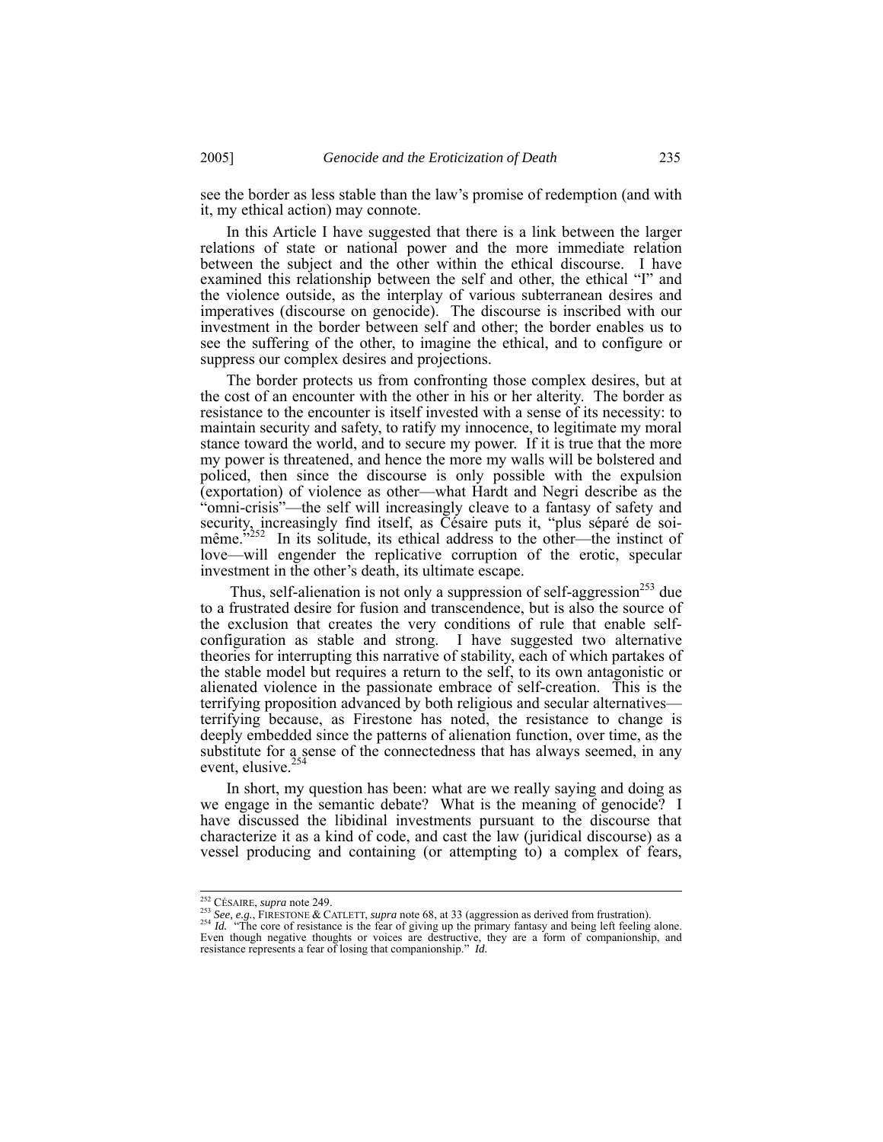see the border as less stable than the law's promise of redemption (and with it, my ethical action) may connote.

In this Article I have suggested that there is a link between the larger relations of state or national power and the more immediate relation between the subject and the other within the ethical discourse. I have examined this relationship between the self and other, the ethical "I" and the violence outside, as the interplay of various subterranean desires and imperatives (discourse on genocide). The discourse is inscribed with our investment in the border between self and other; the border enables us to see the suffering of the other, to imagine the ethical, and to configure or suppress our complex desires and projections.

The border protects us from confronting those complex desires, but at the cost of an encounter with the other in his or her alterity. The border as resistance to the encounter is itself invested with a sense of its necessity: to maintain security and safety, to ratify my innocence, to legitimate my moral stance toward the world, and to secure my power. If it is true that the more my power is threatened, and hence the more my walls will be bolstered and policed, then since the discourse is only possible with the expulsion (exportation) of violence as other—what Hardt and Negri describe as the "omni-crisis"—the self will increasingly cleave to a fantasy of safety and security, increasingly find itself, as Césaire puts it, "plus séparé de soimême.<sup> $5252$ </sup> In its solitude, its ethical address to the other—the instinct of love—will engender the replicative corruption of the erotic, specular investment in the other's death, its ultimate escape.

Thus, self-alienation is not only a suppression of self-aggression<sup>253</sup> due to a frustrated desire for fusion and transcendence, but is also the source of the exclusion that creates the very conditions of rule that enable selfconfiguration as stable and strong. I have suggested two alternative theories for interrupting this narrative of stability, each of which partakes of the stable model but requires a return to the self, to its own antagonistic or alienated violence in the passionate embrace of self-creation. This is the terrifying proposition advanced by both religious and secular alternatives terrifying because, as Firestone has noted, the resistance to change is deeply embedded since the patterns of alienation function, over time, as the substitute for a sense of the connectedness that has always seemed, in any event, elusive.<sup>254</sup>

In short, my question has been: what are we really saying and doing as we engage in the semantic debate? What is the meaning of genocide? I have discussed the libidinal investments pursuant to the discourse that characterize it as a kind of code, and cast the law (juridical discourse) as a vessel producing and containing (or attempting to) a complex of fears,

<sup>&</sup>lt;sup>252</sup> CÉSAIRE, *supra* note 249.<br><sup>253</sup> See, e.g., FIRESTONE & CATLETT, *supra* note 68, at 33 (aggression as derived from frustration).

<sup>254</sup> Id. "The core of resistance is the fear of giving up the primary fantasy and being left feeling alone.<br>Even though negative thoughts or voices are destructive, they are a form of companionship, and<br>Even though negativ resistance represents a fear of losing that companionship." *Id.*